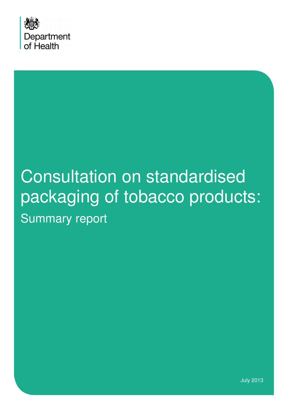

# Consultation on standardised packaging of tobacco products: Summary report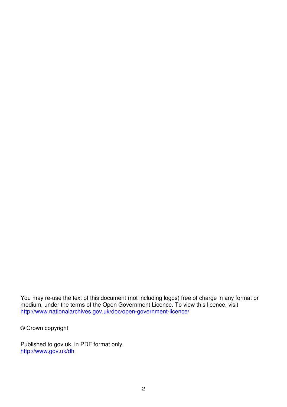You may re-use the text of this document (not including logos) free of charge in any format or medium, under the terms of the Open Government Licence. To view this licence, visit http://www.nationalarchives.gov.uk/doc/open-government-licence/

© Crown copyright

Published to gov.uk, in PDF format only. http://www.gov.uk/dh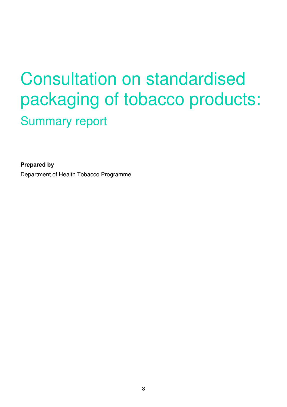# Consultation on standardised packaging of tobacco products: Summary report

**Prepared by**  Department of Health Tobacco Programme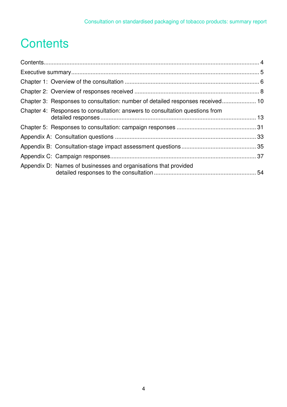# **Contents**

| Chapter 3: Responses to consultation: number of detailed responses received 10 |  |
|--------------------------------------------------------------------------------|--|
| Chapter 4: Responses to consultation: answers to consultation questions from   |  |
|                                                                                |  |
|                                                                                |  |
|                                                                                |  |
|                                                                                |  |
| Appendix D: Names of businesses and organisations that provided                |  |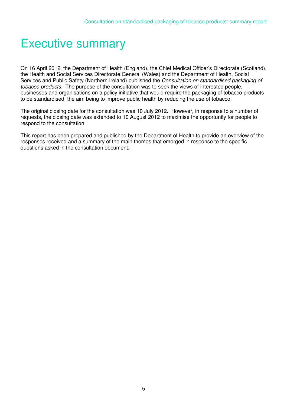### Executive summary

On 16 April 2012, the Department of Health (England), the Chief Medical Officer's Directorate (Scotland), the Health and Social Services Directorate General (Wales) and the Department of Health, Social Services and Public Safety (Northern Ireland) published the *Consultation on standardised packaging of tobacco products*. The purpose of the consultation was to seek the views of interested people, businesses and organisations on a policy initiative that would require the packaging of tobacco products to be standardised, the aim being to improve public health by reducing the use of tobacco.

The original closing date for the consultation was 10 July 2012. However, in response to a number of requests, the closing date was extended to 10 August 2012 to maximise the opportunity for people to respond to the consultation.

This report has been prepared and published by the Department of Health to provide an overview of the responses received and a summary of the main themes that emerged in response to the specific questions asked in the consultation document.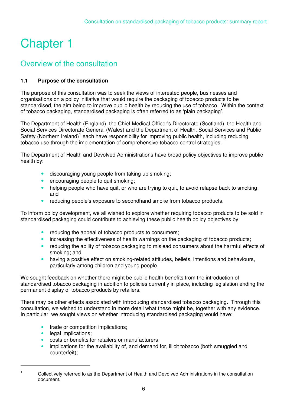# Chapter 1

### Overview of the consultation

#### **1.1 Purpose of the consultation**

The purpose of this consultation was to seek the views of interested people, businesses and organisations on a policy initiative that would require the packaging of tobacco products to be standardised, the aim being to improve public health by reducing the use of tobacco. Within the context of tobacco packaging, standardised packaging is often referred to as 'plain packaging'.

The Department of Health (England), the Chief Medical Officer's Directorate (Scotland), the Health and Social Services Directorate General (Wales) and the Department of Health, Social Services and Public Safety (Northern Ireland)<sup>1</sup> each have responsibility for improving public health, including reducing tobacco use through the implementation of comprehensive tobacco control strategies.

The Department of Health and Devolved Administrations have broad policy objectives to improve public health by:

- discouraging young people from taking up smoking;
- encouraging people to quit smoking;
- helping people who have quit, or who are trying to quit, to avoid relapse back to smoking; and
- reducing people's exposure to secondhand smoke from tobacco products.

To inform policy development, we all wished to explore whether requiring tobacco products to be sold in standardised packaging could contribute to achieving these public health policy objectives by:

- reducing the appeal of tobacco products to consumers;
- increasing the effectiveness of health warnings on the packaging of tobacco products;
- reducing the ability of tobacco packaging to mislead consumers about the harmful effects of smoking; and
- having a positive effect on smoking-related attitudes, beliefs, intentions and behaviours, particularly among children and young people.

We sought feedback on whether there might be public health benefits from the introduction of standardised tobacco packaging in addition to policies currently in place, including legislation ending the permanent display of tobacco products by retailers.

There may be other effects associated with introducing standardised tobacco packaging. Through this consultation, we wished to understand in more detail what these might be, together with any evidence. In particular, we sought views on whether introducing standardised packaging would have:

- trade or competition implications:
- legal implications;

 $\overline{a}$ 

- costs or benefits for retailers or manufacturers;
- implications for the availability of, and demand for, illicit tobacco (both smuggled and counterfeit);

<sup>1</sup> Collectively referred to as the Department of Health and Devolved Administrations in the consultation document.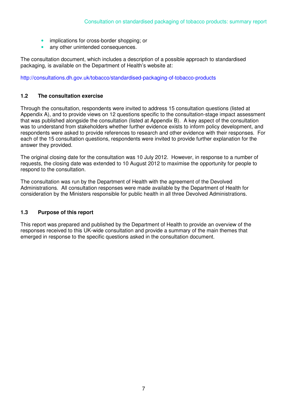- implications for cross-border shopping; or
- any other unintended consequences.

The consultation document, which includes a description of a possible approach to standardised packaging, is available on the Department of Health's website at:

http://consultations.dh.gov.uk/tobacco/standardised-packaging-of-tobacco-products

#### **1.2 The consultation exercise**

Through the consultation, respondents were invited to address 15 consultation questions (listed at Appendix A), and to provide views on 12 questions specific to the consultation-stage impact assessment that was published alongside the consultation (listed at Appendix B). A key aspect of the consultation was to understand from stakeholders whether further evidence exists to inform policy development, and respondents were asked to provide references to research and other evidence with their responses. For each of the 15 consultation questions, respondents were invited to provide further explanation for the answer they provided.

The original closing date for the consultation was 10 July 2012. However, in response to a number of requests, the closing date was extended to 10 August 2012 to maximise the opportunity for people to respond to the consultation.

The consultation was run by the Department of Health with the agreement of the Devolved Administrations. All consultation responses were made available by the Department of Health for consideration by the Ministers responsible for public health in all three Devolved Administrations.

#### **1.3 Purpose of this report**

This report was prepared and published by the Department of Health to provide an overview of the responses received to this UK-wide consultation and provide a summary of the main themes that emerged in response to the specific questions asked in the consultation document.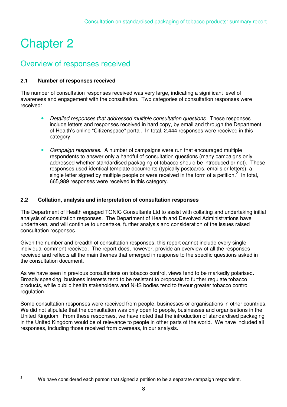# Chapter 2

 $\overline{a}$ 2

### Overview of responses received

#### **2.1 Number of responses received**

The number of consultation responses received was very large, indicating a significant level of awareness and engagement with the consultation. Two categories of consultation responses were received:

- *Detailed responses that addressed multiple consultation questions.* These responses include letters and responses received in hard copy, by email and through the Department of Health's online "Citizenspace" portal. In total, 2,444 responses were received in this category.
- *Campaign responses.* A number of campaigns were run that encouraged multiple respondents to answer only a handful of consultation questions (many campaigns only addressed whether standardised packaging of tobacco should be introduced or not). These responses used identical template documents (typically postcards, emails or letters), a single letter signed by multiple people or were received in the form of a petition.<sup>2</sup> In total, 665,989 responses were received in this category.

#### **2.2 Collation, analysis and interpretation of consultation responses**

The Department of Health engaged TONIC Consultants Ltd to assist with collating and undertaking initial analysis of consultation responses. The Department of Health and Devolved Administrations have undertaken, and will continue to undertake, further analysis and consideration of the issues raised consultation responses.

Given the number and breadth of consultation responses, this report cannot include every single individual comment received. The report does, however, provide an overview of all the responses received and reflects all the main themes that emerged in response to the specific questions asked in the consultation document.

As we have seen in previous consultations on tobacco control, views tend to be markedly polarised. Broadly speaking, business interests tend to be resistant to proposals to further regulate tobacco products, while public health stakeholders and NHS bodies tend to favour greater tobacco control regulation.

Some consultation responses were received from people, businesses or organisations in other countries. We did not stipulate that the consultation was only open to people, businesses and organisations in the United Kingdom. From these responses, we have noted that the introduction of standardised packaging in the United Kingdom would be of relevance to people in other parts of the world. We have included all responses, including those received from overseas, in our analysis.

We have considered each person that signed a petition to be a separate campaign respondent.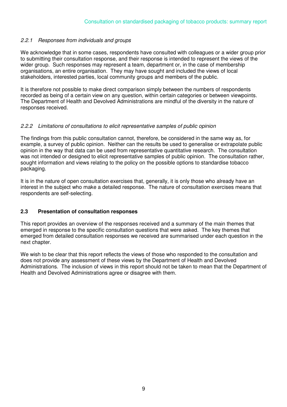#### *2.2.1 Responses from individuals and groups*

We acknowledge that in some cases, respondents have consulted with colleagues or a wider group prior to submitting their consultation response, and their response is intended to represent the views of the wider group. Such responses may represent a team, department or, in the case of membership organisations, an entire organisation. They may have sought and included the views of local stakeholders, interested parties, local community groups and members of the public.

It is therefore not possible to make direct comparison simply between the numbers of respondents recorded as being of a certain view on any question, within certain categories or between viewpoints. The Department of Health and Devolved Administrations are mindful of the diversity in the nature of responses received.

#### *2.2.2 Limitations of consultations to elicit representative samples of public opinion*

The findings from this public consultation cannot, therefore, be considered in the same way as, for example, a survey of public opinion. Neither can the results be used to generalise or extrapolate public opinion in the way that data can be used from representative quantitative research. The consultation was not intended or designed to elicit representative samples of public opinion. The consultation rather, sought information and views relating to the policy on the possible options to standardise tobacco packaging.

It is in the nature of open consultation exercises that, generally, it is only those who already have an interest in the subject who make a detailed response. The nature of consultation exercises means that respondents are self-selecting.

#### **2.3 Presentation of consultation responses**

This report provides an overview of the responses received and a summary of the main themes that emerged in response to the specific consultation questions that were asked. The key themes that emerged from detailed consultation responses we received are summarised under each question in the next chapter.

We wish to be clear that this report reflects the views of those who responded to the consultation and does not provide any assessment of these views by the Department of Health and Devolved Administrations. The inclusion of views in this report should not be taken to mean that the Department of Health and Devolved Administrations agree or disagree with them.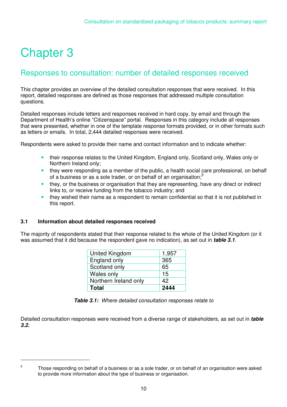# Chapter 3

### Responses to consultation: number of detailed responses received

This chapter provides an overview of the detailed consultation responses that were received. In this report, detailed responses are defined as those responses that addressed multiple consultation questions.

Detailed responses include letters and responses received in hard copy, by email and through the Department of Health's online "Citizenspace" portal. Responses in this category include all responses that were presented, whether in one of the template response formats provided, or in other formats such as letters or emails. In total, 2,444 detailed responses were received.

Respondents were asked to provide their name and contact information and to indicate whether:

- their response relates to the United Kingdom, England only, Scotland only, Wales only or Northern Ireland only;
- they were responding as a member of the public, a health social care professional, on behalf of a business or as a sole trader, or on behalf of an organisation;<sup>3</sup>
- they, or the business or organisation that they are representing, have any direct or indirect links to, or receive funding from the tobacco industry; and
- they wished their name as a respondent to remain confidential so that it is not published in this report.

#### **3.1 Information about detailed responses received**

The majority of respondents stated that their response related to the whole of the United Kingdom (or it was assumed that it did because the respondent gave no indication), as set out in *table 3.1.*

| <b>United Kingdom</b> | 1,957 |
|-----------------------|-------|
| England only          | 365   |
| Scotland only         | 65    |
| Wales only            | 15    |
| Northern Ireland only | 42    |
| <b>Total</b>          | 2444  |

|  | Table 3.1: Where detailed consultation responses relate to |  |  |  |
|--|------------------------------------------------------------|--|--|--|
|--|------------------------------------------------------------|--|--|--|

Detailed consultation responses were received from a diverse range of stakeholders, as set out in *table 3.2.*

 $\overline{a}$ 3

Those responding on behalf of a business or as a sole trader, or on behalf of an organisation were asked to provide more information about the type of business or organisation.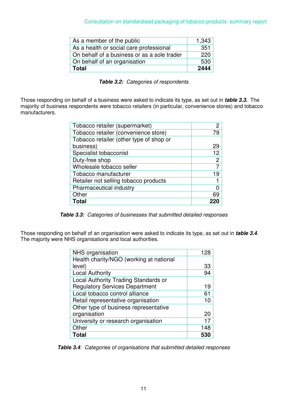| As a member of the public                   | 1,343            |
|---------------------------------------------|------------------|
| As a health or social care professional     | 351              |
| On behalf of a business or as a sole trader | $\overline{220}$ |
| On behalf of an organisation                | 530              |
| <b>Total</b>                                | 2444             |

*Table 3.2: Categories of respondents* 

Those responding on behalf of a business were asked to indicate its type, as set out in *table 3.3***.** The majority of business respondents were tobacco retailers (in particular, convenience stores) and tobacco manufacturers.

| Tobacco retailer (supermarket)          | 2  |
|-----------------------------------------|----|
| Tobacco retailer (convenience store)    | 79 |
| Tobacco retailer (other type of shop or |    |
| business)                               | 29 |
| Specialist tobacconist                  | 12 |
| Duty-free shop                          | 2  |
| Wholesale tobacco seller                |    |
| Tobacco manufacturer                    | 19 |
| Retailer not selling tobacco products   |    |
| Pharmaceutical industry                 |    |
| Other                                   | 69 |
| Total                                   |    |

*Table 3.3: Categories of businesses that submitted detailed responses*

Those responding on behalf of an organisation were asked to indicate its type, as set out in *table 3.4*. The majority were NHS organisations and local authorities.

| NHS organisation                        | 128 |
|-----------------------------------------|-----|
| Health charity/NGO (working at national |     |
| level)                                  | 33  |
| <b>Local Authority</b>                  | 94  |
| Local Authority Trading Standards or    |     |
| <b>Regulatory Services Department</b>   | 19  |
| Local tobacco control alliance          | 61  |
| Retail representative organisation      | 10  |
| Other type of business representative   |     |
| organisation                            | 20  |
| University or research organisation     | 17  |
| Other                                   | 148 |
| Total                                   | 53  |

*Table 3.4: Categories of organisations that submitted detailed responses*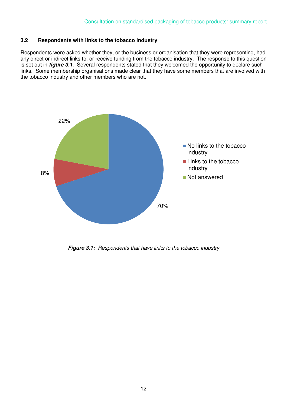#### **3.2 Respondents with links to the tobacco industry**

Respondents were asked whether they, or the business or organisation that they were representing, had any direct or indirect links to, or receive funding from the tobacco industry. The response to this question is set out in *figure 3.1*. Several respondents stated that they welcomed the opportunity to declare such links. Some membership organisations made clear that they have some members that are involved with the tobacco industry and other members who are not.



*Figure 3.1: Respondents that have links to the tobacco industry*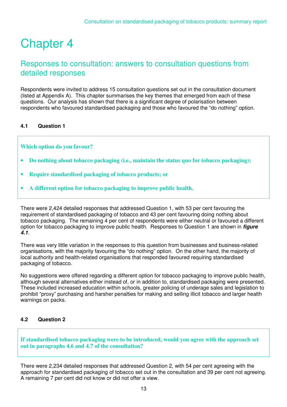### Chapter 4

### Responses to consultation: answers to consultation questions from detailed responses

Respondents were invited to address 15 consultation questions set out in the consultation document (listed at Appendix A). This chapter summarises the key themes that emerged from each of these questions. Our analysis has shown that there is a significant degree of polarisation between respondents who favoured standardised packaging and those who favoured the "do nothing" option.

#### **4.1 Question 1**

**Which option do you favour?** 

- **Do nothing about tobacco packaging (i.e., maintain the status quo for tobacco packaging);**
- **Require standardised packaging of tobacco products; or**
- **A different option for tobacco packaging to improve public health.**

There were 2,424 detailed responses that addressed Question 1, with 53 per cent favouring the requirement of standardised packaging of tobacco and 43 per cent favouring doing nothing about tobacco packaging. The remaining 4 per cent of respondents were either neutral or favoured a different option for tobacco packaging to improve public health. Responses to Question 1 are shown in *figure 4.1.*

There was very little variation in the responses to this question from businesses and business-related organisations, with the majority favouring the "do nothing" option. On the other hand, the majority of local authority and health-related organisations that responded favoured requiring standardised packaging of tobacco.

No suggestions were offered regarding a different option for tobacco packaging to improve public health, although several alternatives either instead of, or in addition to, standardised packaging were presented. These included increased education within schools, greater policing of underage sales and legislation to prohibit "proxy" purchasing and harsher penalties for making and selling illicit tobacco and larger health warnings on packs.

#### **4.2 Question 2**

**If standardised tobacco packaging were to be introduced, would you agree with the approach set out in paragraphs 4.6 and 4.7 of the consultation?** 

There were 2,234 detailed responses that addressed Question 2, with 54 per cent agreeing with the approach for standardised packaging of tobacco set out in the consultation and 39 per cent not agreeing. A remaining 7 per cent did not know or did not offer a view.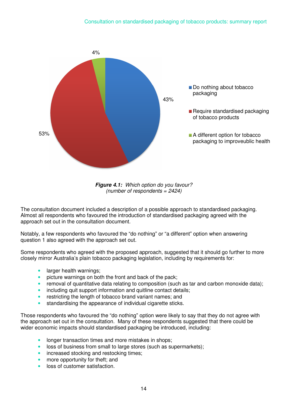

*Figure 4.1: Which option do you favour? (number of respondents = 2424)* 

The consultation document included a description of a possible approach to standardised packaging. Almost all respondents who favoured the introduction of standardised packaging agreed with the approach set out in the consultation document.

Notably, a few respondents who favoured the "do nothing" or "a different" option when answering question 1 also agreed with the approach set out.

Some respondents who agreed with the proposed approach, suggested that it should go further to more closely mirror Australia's plain tobacco packaging legislation, including by requirements for:

- larger health warnings;
- picture warnings on both the front and back of the pack;
- removal of quantitative data relating to composition (such as tar and carbon monoxide data);
- including quit support information and quitline contact details;
- restricting the length of tobacco brand variant names; and
- standardising the appearance of individual cigarette sticks.

Those respondents who favoured the "do nothing" option were likely to say that they do not agree with the approach set out in the consultation. Many of these respondents suggested that there could be wider economic impacts should standardised packaging be introduced, including:

- longer transaction times and more mistakes in shops;
- loss of business from small to large stores (such as supermarkets);
- increased stocking and restocking times;
- more opportunity for theft; and
- loss of customer satisfaction.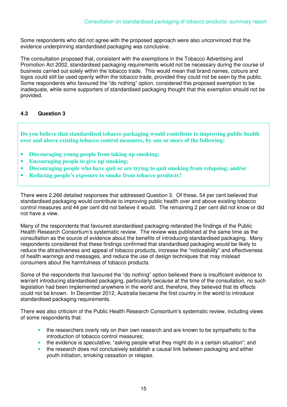Some respondents who did not agree with the proposed approach were also unconvinced that the evidence underpinning standardised packaging was conclusive.

The consultation proposed that, consistent with the exemptions in the Tobacco Advertising and Promotion Act 2002, standardised packaging requirements would not be necessary during the course of business carried out solely within the tobacco trade. This would mean that brand names, colours and logos could still be used openly within the tobacco trade, provided they could not be seen by the public. Some respondents who favoured the "do nothing" option, considered this proposed exemption to be inadequate, while some supporters of standardised packaging thought that this exemption should not be provided.

#### **4.3 Question 3**

**Do you believe that standardised tobacco packaging would contribute to improving public health over and above existing tobacco control measures, by one or more of the following:** 

- **Discouraging young people from taking up smoking;**
- **Encouraging people to give up smoking;**
- **Discouraging people who have quit or are trying to quit smoking from relapsing; and/or**
- **Reducing people's exposure to smoke from tobacco products?**

There were 2,266 detailed responses that addressed Question 3. Of these, 54 per cent believed that standardised packaging would contribute to improving public health over and above existing tobacco control measures and 44 per cent did not believe it would. The remaining 2 per cent did not know or did not have a view.

Many of the respondents that favoured standardised packaging reiterated the findings of the Public Health Research Consortium's systematic review. The review was published at the same time as the consultation as the source of evidence about the benefits of introducing standardised packaging. Many respondents considered that these findings confirmed that standardised packaging would be likely to reduce the attractiveness and appeal of tobacco products, increase the "noticeability" and effectiveness of health warnings and messages, and reduce the use of design techniques that may mislead consumers about the harmfulness of tobacco products.

Some of the respondents that favoured the "do nothing" option believed there is insufficient evidence to warrant introducing standardised packaging, particularly because at the time of the consultation, no such legislation had been implemented anywhere in the world and, therefore, they believed that its effects could not be known. In December 2012, Australia became the first country in the world to introduce standardised packaging requirements.

There was also criticism of the Public Health Research Consortium's systematic review, including views of some respondents that:

- the researchers overly rely on their own research and are known to be sympathetic to the introduction of tobacco control measures;
- the evidence is speculative, "asking people what they might do in a certain situation"; and
- the research does not conclusively establish a causal link between packaging and either youth initiation, smoking cessation or relapse.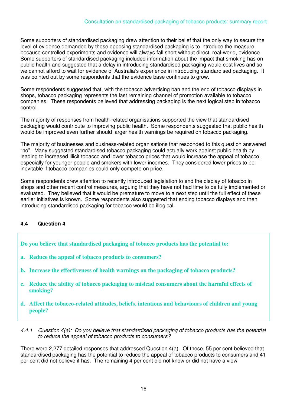Some supporters of standardised packaging drew attention to their belief that the only way to secure the level of evidence demanded by those opposing standardised packaging is to introduce the measure because controlled experiments and evidence will always fall short without direct, real-world, evidence. Some supporters of standardised packaging included information about the impact that smoking has on public health and suggested that a delay in introducing standardised packaging would cost lives and so we cannot afford to wait for evidence of Australia's experience in introducing standardised packaging. It was pointed out by some respondents that the evidence base continues to grow.

Some respondents suggested that, with the tobacco advertising ban and the end of tobacco displays in shops, tobacco packaging represents the last remaining channel of promotion available to tobacco companies. These respondents believed that addressing packaging is the next logical step in tobacco control.

The majority of responses from health-related organisations supported the view that standardised packaging would contribute to improving public health. Some respondents suggested that public health would be improved even further should larger health warnings be required on tobacco packaging.

The majority of businesses and business-related organisations that responded to this question answered "no". Many suggested standardised tobacco packaging could actually work against public health by leading to increased illicit tobacco and lower tobacco prices that would increase the appeal of tobacco, especially for younger people and smokers with lower incomes. They considered lower prices to be inevitable if tobacco companies could only compete on price.

Some respondents drew attention to recently introduced legislation to end the display of tobacco in shops and other recent control measures, arguing that they have not had time to be fully implemented or evaluated. They believed that it would be premature to move to a next step until the full effect of these earlier initiatives is known. Some respondents also suggested that ending tobacco displays and then introducing standardised packaging for tobacco would be illogical.

#### **4.4 Question 4**

- **Do you believe that standardised packaging of tobacco products has the potential to:**
- **a. Reduce the appeal of tobacco products to consumers?**
- **b. Increase the effectiveness of health warnings on the packaging of tobacco products?**
- **c. Reduce the ability of tobacco packaging to mislead consumers about the harmful effects of smoking?**
- **d. Affect the tobacco-related attitudes, beliefs, intentions and behaviours of children and young people?**
- *4.4.1 Question 4(a): Do you believe that standardised packaging of tobacco products has the potential to reduce the appeal of tobacco products to consumers?*

There were 2,277 detailed responses that addressed Question 4(a). Of these, 55 per cent believed that standardised packaging has the potential to reduce the appeal of tobacco products to consumers and 41 per cent did not believe it has. The remaining 4 per cent did not know or did not have a view.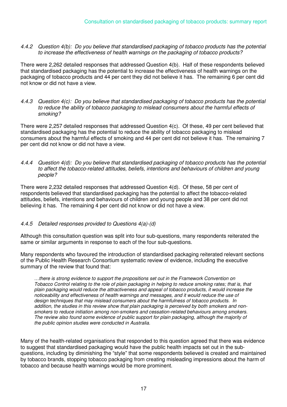*4.4.2 Question 4(b): Do you believe that standardised packaging of tobacco products has the potential to increase the effectiveness of health warnings on the packaging of tobacco products?* 

There were 2,262 detailed responses that addressed Question 4(b). Half of these respondents believed that standardised packaging has the potential to increase the effectiveness of health warnings on the packaging of tobacco products and 44 per cent they did not believe it has. The remaining 6 per cent did not know or did not have a view.

*4.4.3 Question 4(c): Do you believe that standardised packaging of tobacco products has the potential to reduce the ability of tobacco packaging to mislead consumers about the harmful effects of smoking?* 

There were 2,257 detailed responses that addressed Question 4(c). Of these, 49 per cent believed that standardised packaging has the potential to reduce the ability of tobacco packaging to mislead consumers about the harmful effects of smoking and 44 per cent did not believe it has. The remaining 7 per cent did not know or did not have a view.

*4.4.4 Question 4(d): Do you believe that standardised packaging of tobacco products has the potential to affect the tobacco-related attitudes, beliefs, intentions and behaviours of children and young people?*

There were 2,232 detailed responses that addressed Question 4(d). Of these, 58 per cent of respondents believed that standardised packaging has the potential to affect the tobacco-related attitudes, beliefs, intentions and behaviours of children and young people and 38 per cent did not believing it has. The remaining 4 per cent did not know or did not have a view.

#### *4.4.5 Detailed responses provided to Questions 4(a)-(d)*

Although this consultation question was split into four sub-questions, many respondents reiterated the same or similar arguments in response to each of the four sub-questions.

Many respondents who favoured the introduction of standardised packaging reiterated relevant sections of the Public Health Research Consortium systematic review of evidence, including the executive summary of the review that found that:

*…there is strong evidence to support the propositions set out in the Framework Convention on Tobacco Control relating to the role of plain packaging in helping to reduce smoking rates; that is, that plain packaging would reduce the attractiveness and appeal of tobacco products, it would increase the noticeability and effectiveness of health warnings and messages, and it would reduce the use of design techniques that may mislead consumers about the harmfulness of tobacco products. In addition, the studies in this review show that plain packaging is perceived by both smokers and nonsmokers to reduce initiation among non-smokers and cessation-related behaviours among smokers. The review also found some evidence of public support for plain packaging, although the majority of the public opinion studies were conducted in Australia.* 

Many of the health-related organisations that responded to this question agreed that there was evidence to suggest that standardised packaging would have the public health impacts set out in the subquestions, including by diminishing the "style" that some respondents believed is created and maintained by tobacco brands, stopping tobacco packaging from creating misleading impressions about the harm of tobacco and because health warnings would be more prominent.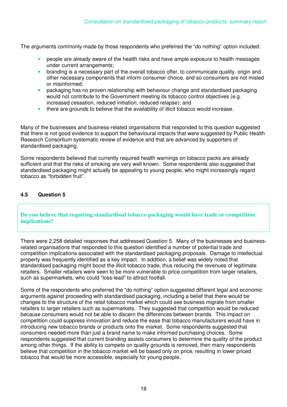The arguments commonly made by those respondents who preferred the "do nothing" option included:

- people are already aware of the health risks and have ample exposure to health messages under current arrangements;
- branding is a necessary part of the overall tobacco offer, to communicate quality, origin and other necessary components that inform consumer choice, and so consumers are not misled or misinformed;
- packaging has no proven relationship with behaviour change and standardised packaging would not contribute to the Government meeting its tobacco control objectives (e.g. increased cessation, reduced initiation, reduced relapse); and
- there are grounds to believe that the availability of illicit tobacco would increase.

Many of the businesses and business-related organisations that responded to this question suggested that there is not good evidence to support the behavioural impacts that were suggested by Public Health Research Consortium systematic review of evidence and that are advanced by supporters of standardised packaging.

Some respondents believed that currently required health warnings on tobacco packs are already sufficient and that the risks of smoking are very well known. Some respondents also suggested that standardised packaging might actually be appealing to young people, who might increasingly regard tobacco as "forbidden fruit".

#### **4.5 Question 5**

#### **Do you believe that requiring standardised tobacco packaging would have trade or competition implications?**

There were 2,258 detailed responses that addressed Question 5. Many of the businesses and businessrelated organisations that responded to this question identified a number of potential trade and competition implications associated with the standardised packaging proposals. Damage to intellectual property was frequently identified as a key impact. In addition, a belief was widely noted that standardised packaging might boost the illicit tobacco trade, thus reducing the revenues of legitimate retailers. Smaller retailers were seen to be more vulnerable to price competition from larger retailers, such as supermarkets, who could "loss-lead" to attract footfall.

Some of the respondents who preferred the "do nothing" option suggested different legal and economic arguments against proceeding with standardised packaging, including a belief that there would be changes to the structure of the retail tobacco market which could see business migrate from smaller retailers to larger retailers such as supermarkets. They suggested that competition would be reduced because consumers would not be able to discern the differences between brands. This impact on competition could suppress innovation and reduce the ease that tobacco manufacturers would have in introducing new tobacco brands or products onto the market. Some respondents suggested that consumers needed more than just a brand name to make informed purchasing choices. Some respondents suggested that current branding assists consumers to determine the quality of the product among other things. If the ability to compete on quality grounds is removed, then many respondents believe that competition in the tobacco market will be based only on price, resulting in lower priced tobacco that would be more accessible, especially for young people.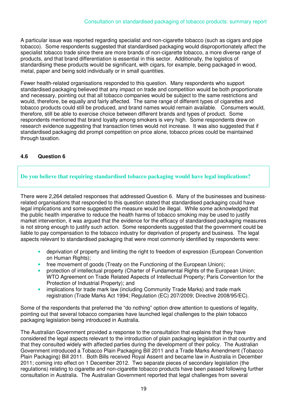A particular issue was reported regarding specialist and non-cigarette tobacco (such as cigars and pipe tobacco). Some respondents suggested that standardised packaging would disproportionately affect the specialist tobacco trade since there are more brands of non-cigarette tobacco, a more diverse range of products, and that brand differentiation is essential in this sector. Additionally, the logistics of standardising these products would be significant, with cigars, for example, being packaged in wood, metal, paper and being sold individually or in small quantities.

Fewer health-related organisations responded to this question. Many respondents who support standardised packaging believed that any impact on trade and competition would be both proportionate and necessary, pointing out that all tobacco companies would be subject to the same restrictions and would, therefore, be equally and fairly affected. The same range of different types of cigarettes and tobacco products could still be produced, and brand names would remain available. Consumers would, therefore, still be able to exercise choice between different brands and types of product. Some respondents mentioned that brand loyalty among smokers is very high. Some respondents drew on research evidence suggesting that transaction times would not increase. It was also suggested that if standardised packaging did prompt competition on price alone, tobacco prices could be maintained through taxation.

#### **4.6 Question 6**

#### **Do you believe that requiring standardised tobacco packaging would have legal implications?**

There were 2,264 detailed responses that addressed Question 6. Many of the businesses and businessrelated organisations that responded to this question stated that standardised packaging could have legal implications and some suggested the measure would be illegal. While some acknowledged that the public health imperative to reduce the health harms of tobacco smoking may be used to justify market intervention, it was argued that the evidence for the efficacy of standardised packaging measures is not strong enough to justify such action. Some respondents suggested that the government could be liable to pay compensation to the tobacco industry for deprivation of property and business. The legal aspects relevant to standardised packaging that were most commonly identified by respondents were:

- deprivation of property and limiting the right to freedom of expression (European Convention on Human Rights);
- free movement of goods (Treaty on the Functioning of the European Union);
- protection of intellectual property (Charter of Fundamental Rights of the European Union; WTO Agreement on Trade Related Aspects of Intellectual Property; Paris Convention for the Protection of Industrial Property); and
- implications for trade mark law (including Community Trade Marks) and trade mark registration (Trade Marks Act 1994; Regulation (EC) 207/2009; Directive 2008/95/EC).

Some of the respondents that preferred the "do nothing" option drew attention to questions of legality, pointing out that several tobacco companies have launched legal challenges to the plain tobacco packaging legislation being introduced in Australia.

The Australian Government provided a response to the consultation that explains that they have considered the legal aspects relevant to the introduction of plain packaging legislation in that country and that they consulted widely with affected parties during the development of their policy. The Australian Government introduced a Tobacco Plain Packaging Bill 2011 and a Trade Marks Amendment (Tobacco Plain Packaging) Bill 2011. Both Bills received Royal Assent and became law in Australia in December 2011; coming into effect on 1 December 2012. Two separate pieces of secondary legislation (the regulations) relating to cigarette and non-cigarette tobacco products have been passed following further consultation in Australia. The Australian Government reported that legal challenges from several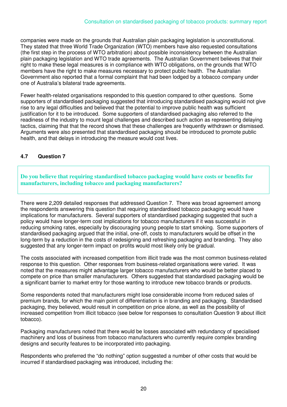companies were made on the grounds that Australian plain packaging legislation is unconstitutional. They stated that three World Trade Organization (WTO) members have also requested consultations (the first step in the process of WTO arbitration) about possible inconsistency between the Australian plain packaging legislation and WTO trade agreements. The Australian Government believes that their right to make these legal measures is in compliance with WTO obligations, on the grounds that WTO members have the right to make measures necessary to protect public health. The Australian Government also reported that a formal complaint that had been lodged by a tobacco company under one of Australia's bilateral trade agreements.

Fewer health-related organisations responded to this question compared to other questions. Some supporters of standardised packaging suggested that introducing standardised packaging would not give rise to any legal difficulties and believed that the potential to improve public health was sufficient justification for it to be introduced. Some supporters of standardised packaging also referred to the readiness of the industry to mount legal challenges and described such action as representing delaying tactics, claiming that that the record shows that these challenges are frequently withdrawn or dismissed. Arguments were also presented that standardised packaging should be introduced to promote public health, and that delays in introducing the measure would cost lives.

#### **4.7 Question 7**

**Do you believe that requiring standardised tobacco packaging would have costs or benefits for manufacturers, including tobacco and packaging manufacturers?** 

There were 2,209 detailed responses that addressed Question 7. There was broad agreement among the respondents answering this question that requiring standardised tobacco packaging would have implications for manufacturers. Several supporters of standardised packaging suggested that such a policy would have longer-term cost implications for tobacco manufacturers if it was successful in reducing smoking rates, especially by discouraging young people to start smoking. Some supporters of standardised packaging argued that the initial, one-off, costs to manufacturers would be offset in the long-term by a reduction in the costs of redesigning and refreshing packaging and branding. They also suggested that any longer-term impact on profits would most likely only be gradual.

The costs associated with increased competition from illicit trade was the most common business-related response to this question. Other responses from business-related organisations were varied. It was noted that the measures might advantage larger tobacco manufacturers who would be better placed to compete on price than smaller manufacturers. Others suggested that standardised packaging would be a significant barrier to market entry for those wanting to introduce new tobacco brands or products.

Some respondents noted that manufacturers might lose considerable income from reduced sales of premium brands, for which the main point of differentiation is in branding and packaging. Standardised packaging, they believed, would result in competition on price alone, as well as the possibility of increased competition from illicit tobacco (see below for responses to consultation Question 9 about illicit tobacco).

Packaging manufacturers noted that there would be losses associated with redundancy of specialised machinery and loss of business from tobacco manufacturers who currently require complex branding designs and security features to be incorporated into packaging.

Respondents who preferred the "do nothing" option suggested a number of other costs that would be incurred if standardised packaging was introduced, including the: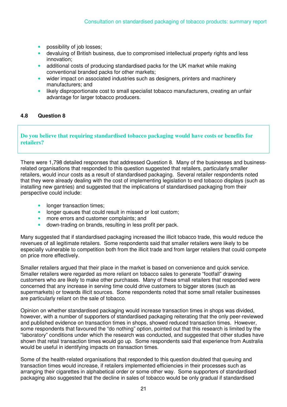- possibility of job losses;
- devaluing of British business, due to compromised intellectual property rights and less innovation;
- additional costs of producing standardised packs for the UK market while making conventional branded packs for other markets;
- wider impact on associated industries such as designers, printers and machinery manufacturers; and
- likely disproportionate cost to small specialist tobacco manufacturers, creating an unfair advantage for larger tobacco producers.

#### **4.8 Question 8**

#### **Do you believe that requiring standardised tobacco packaging would have costs or benefits for retailers?**

There were 1,798 detailed responses that addressed Question 8. Many of the businesses and businessrelated organisations that responded to this question suggested that retailers, particularly smaller retailers, would incur costs as a result of standardised packaging. Several retailer respondents noted that they were already dealing with the cost of implementing legislation to end tobacco displays (such as installing new gantries) and suggested that the implications of standardised packaging from their perspective could include:

- longer transaction times;
- longer queues that could result in missed or lost custom;
- more errors and customer complaints; and
- down-trading on brands, resulting in less profit per pack.

Many suggested that if standardised packaging increased the illicit tobacco trade, this would reduce the revenues of all legitimate retailers. Some respondents said that smaller retailers were likely to be especially vulnerable to competition both from the illicit trade and from larger retailers that could compete on price more effectively.

Smaller retailers argued that their place in the market is based on convenience and quick service. Smaller retailers were regarded as more reliant on tobacco sales to generate "footfall" drawing customers who are likely to make other purchases. Many of these small retailers that responded were concerned that any increase in serving time could drive customers to bigger stores (such as supermarkets) or towards illicit sources. Some respondents noted that some small retailer businesses are particularly reliant on the sale of tobacco.

Opinion on whether standardised packaging would increase transaction times in shops was divided, however, with a number of supporters of standardised packaging reiterating that the only peer-reviewed and published evidence on transaction times in shops, showed reduced transaction times. However, some respondents that favoured the "do nothing" option, pointed out that this research is limited by the "laboratory" conditions under which the research was conducted, and suggested that other studies have shown that retail transaction times would go up. Some respondents said that experience from Australia would be useful in identifying impacts on transaction times.

Some of the health-related organisations that responded to this question doubted that queuing and transaction times would increase, if retailers implemented efficiencies in their processes such as arranging their cigarettes in alphabetical order or some other way. Some supporters of standardised packaging also suggested that the decline in sales of tobacco would be only gradual if standardised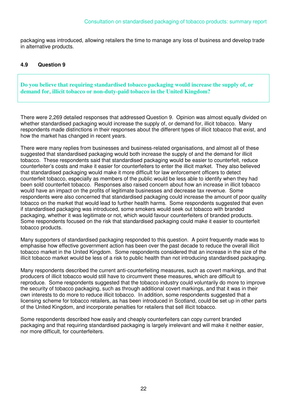packaging was introduced, allowing retailers the time to manage any loss of business and develop trade in alternative products.

#### **4.9 Question 9**

**Do you believe that requiring standardised tobacco packaging would increase the supply of, or demand for, illicit tobacco or non-duty-paid tobacco in the United Kingdom?** 

There were 2,269 detailed responses that addressed Question 9. Opinion was almost equally divided on whether standardised packaging would increase the supply of, or demand for, illicit tobacco. Many respondents made distinctions in their responses about the different types of illicit tobacco that exist, and how the market has changed in recent years.

There were many replies from businesses and business-related organisations, and almost all of these suggested that standardised packaging would both increase the supply of and the demand for illicit tobacco. These respondents said that standardised packaging would be easier to counterfeit, reduce counterfeiter's costs and make it easier for counterfeiters to enter the illicit market. They also believed that standardised packaging would make it more difficult for law enforcement officers to detect counterfeit tobacco, especially as members of the public would be less able to identify when they had been sold counterfeit tobacco. Responses also raised concern about how an increase in illicit tobacco would have an impact on the profits of legitimate businesses and decrease tax revenue. Some respondents were also concerned that standardised packaging could increase the amount of poor quality tobacco on the market that would lead to further health harms. Some respondents suggested that even if standardised packaging was introduced, some smokers would seek out tobacco with branded packaging, whether it was legitimate or not, which would favour counterfeiters of branded products. Some respondents focused on the risk that standardised packaging could make it easier to counterfeit tobacco products.

Many supporters of standardised packaging responded to this question. A point frequently made was to emphasise how effective government action has been over the past decade to reduce the overall illicit tobacco market in the United Kingdom. Some respondents considered that an increase in the size of the illicit tobacco market would be less of a risk to public health than not introducing standardised packaging.

Many respondents described the current anti-counterfeiting measures, such as covert markings, and that producers of illicit tobacco would still have to circumvent these measures, which are difficult to reproduce. Some respondents suggested that the tobacco industry could voluntarily do more to improve the security of tobacco packaging, such as through additional covert markings, and that it was in their own interests to do more to reduce illicit tobacco. In addition, some respondents suggested that a licensing scheme for tobacco retailers, as has been introduced in Scotland, could be set up in other parts of the United Kingdom, and incorporate penalties for retailers that sell illicit tobacco.

Some respondents described how easily and cheaply counterfeiters can copy current branded packaging and that requiring standardised packaging is largely irrelevant and will make it neither easier, nor more difficult, for counterfeiters.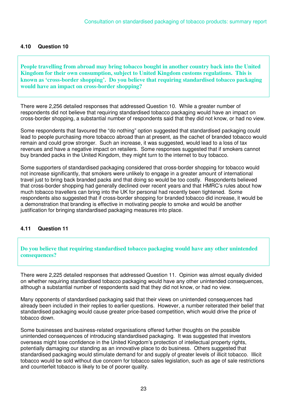#### **4.10 Question 10**

**People travelling from abroad may bring tobacco bought in another country back into the United Kingdom for their own consumption, subject to United Kingdom customs regulations. This is known as 'cross-border shopping'. Do you believe that requiring standardised tobacco packaging would have an impact on cross-border shopping?** 

There were 2,256 detailed responses that addressed Question 10. While a greater number of respondents did not believe that requiring standardised tobacco packaging would have an impact on cross-border shopping, a substantial number of respondents said that they did not know, or had no view.

Some respondents that favoured the "do nothing" option suggested that standardised packaging could lead to people purchasing more tobacco abroad than at present, as the cachet of branded tobacco would remain and could grow stronger. Such an increase, it was suggested, would lead to a loss of tax revenues and have a negative impact on retailers. Some responses suggested that if smokers cannot buy branded packs in the United Kingdom, they might turn to the internet to buy tobacco.

Some supporters of standardised packaging considered that cross-border shopping for tobacco would not increase significantly, that smokers were unlikely to engage in a greater amount of international travel just to bring back branded packs and that doing so would be too costly. Respondents believed that cross-border shopping had generally declined over recent years and that HMRC's rules about how much tobacco travellers can bring into the UK for personal had recently been tightened. Some respondents also suggested that if cross-border shopping for branded tobacco did increase, it would be a demonstration that branding is effective in motivating people to smoke and would be another justification for bringing standardised packaging measures into place.

#### **4.11 Question 11**

#### **Do you believe that requiring standardised tobacco packaging would have any other unintended consequences?**

There were 2,225 detailed responses that addressed Question 11. Opinion was almost equally divided on whether requiring standardised tobacco packaging would have any other unintended consequences, although a substantial number of respondents said that they did not know, or had no view.

Many opponents of standardised packaging said that their views on unintended consequences had already been included in their replies to earlier questions. However, a number reiterated their belief that standardised packaging would cause greater price-based competition, which would drive the price of tobacco down.

Some businesses and business-related organisations offered further thoughts on the possible unintended consequences of introducing standardised packaging. It was suggested that investors overseas might lose confidence in the United Kingdom's protection of intellectual property rights, potentially damaging our standing as an innovative place to do business. Others suggested that standardised packaging would stimulate demand for and supply of greater levels of illicit tobacco. Illicit tobacco would be sold without due concern for tobacco sales legislation, such as age of sale restrictions and counterfeit tobacco is likely to be of poorer quality.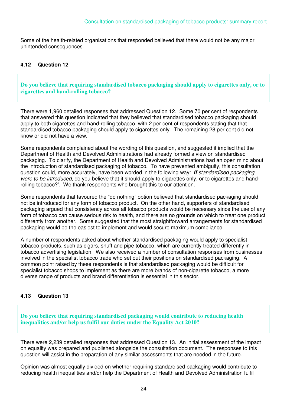Some of the health-related organisations that responded believed that there would not be any major unintended consequences.

#### **4.12 Question 12**

**Do you believe that requiring standardised tobacco packaging should apply to cigarettes only, or to cigarettes and hand-rolling tobacco?** 

There were 1,960 detailed responses that addressed Question 12. Some 70 per cent of respondents that answered this question indicated that they believed that standardised tobacco packaging should apply to both cigarettes and hand-rolling tobacco, with 2 per cent of respondents stating that that standardised tobacco packaging should apply to cigarettes only. The remaining 28 per cent did not know or did not have a view.

Some respondents complained about the wording of this question, and suggested it implied that the Department of Health and Devolved Administrations had already formed a view on standardised packaging. To clarify, the Department of Health and Devolved Administrations had an open mind about the introduction of standardised packaging of tobacco. To have prevented ambiguity, this consultation question could, more accurately, have been worded in the following way: '*If standardised packaging were to be introduced,* do you believe that it should apply to cigarettes only, or to cigarettes and handrolling tobacco?'. We thank respondents who brought this to our attention.

Some respondents that favoured the "do nothing" option believed that standardised packaging should not be introduced for any form of tobacco product. On the other hand, supporters of standardised packaging argued that consistency across all tobacco products would be necessary since the use of any form of tobacco can cause serious risk to health, and there are no grounds on which to treat one product differently from another. Some suggested that the most straightforward arrangements for standardised packaging would be the easiest to implement and would secure maximum compliance.

A number of respondents asked about whether standardised packaging would apply to specialist tobacco products, such as cigars, snuff and pipe tobacco, which are currently treated differently in tobacco advertising legislation. We also received a number of consultation responses from businesses involved in the specialist tobacco trade who set out their positions on standardised packaging. A common point raised by these respondents is that standardised packaging would be difficult for specialist tobacco shops to implement as there are more brands of non-cigarette tobacco, a more diverse range of products and brand differentiation is essential in this sector.

#### **4.13 Question 13**

**Do you believe that requiring standardised packaging would contribute to reducing health inequalities and/or help us fulfil our duties under the Equality Act 2010?** 

There were 2,239 detailed responses that addressed Question 13. An initial assessment of the impact on equality was prepared and published alongside the consultation document. The responses to this question will assist in the preparation of any similar assessments that are needed in the future.

Opinion was almost equally divided on whether requiring standardised packaging would contribute to reducing health inequalities and/or help the Department of Health and Devolved Administration fulfil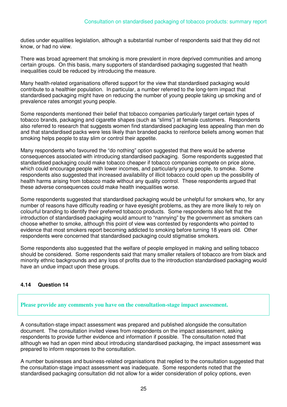duties under equalities legislation, although a substantial number of respondents said that they did not know, or had no view.

There was broad agreement that smoking is more prevalent in more deprived communities and among certain groups. On this basis, many supporters of standardised packaging suggested that health inequalities could be reduced by introducing the measure.

Many health-related organisations offered support for the view that standardised packaging would contribute to a healthier population. In particular, a number referred to the long-term impact that standardised packaging might have on reducing the number of young people taking up smoking and of prevalence rates amongst young people.

Some respondents mentioned their belief that tobacco companies particularly target certain types of tobacco brands, packaging and cigarette shapes (such as "slims") at female customers. Respondents also referred to research that suggests women find standardised packaging less appealing than men do and that standardised packs were less likely than branded packs to reinforce beliefs among women that smoking helps people to stay slim or control their appetite.

Many respondents who favoured the "do nothing" option suggested that there would be adverse consequences associated with introducing standardised packaging. Some respondents suggested that standardised packaging could make tobacco cheaper if tobacco companies compete on price alone, which could encourage people with lower incomes, and particularly young people, to smoke. Some respondents also suggested that increased availability of illicit tobacco could open up the possibility of health harms arising from tobacco made without any quality control. These respondents argued that these adverse consequences could make health inequalities worse.

Some respondents suggested that standardised packaging would be unhelpful for smokers who, for any number of reasons have difficulty reading or have eyesight problems, as they are more likely to rely on colourful branding to identify their preferred tobacco products. Some respondents also felt that the introduction of standardised packaging would amount to "nannying" by the government as smokers can choose whether to smoke, although this point of view was contested by respondents who pointed to evidence that most smokers report becoming addicted to smoking before turning 18 years old. Other respondents were concerned that standardised packaging could stigmatise smokers.

Some respondents also suggested that the welfare of people employed in making and selling tobacco should be considered. Some respondents said that many smaller retailers of tobacco are from black and minority ethnic backgrounds and any loss of profits due to the introduction standardised packaging would have an undue impact upon these groups.

#### **4.14 Question 14**

#### **Please provide any comments you have on the consultation-stage impact assessment.**

A consultation-stage impact assessment was prepared and published alongside the consultation document. The consultation invited views from respondents on the impact assessment, asking respondents to provide further evidence and information if possible. The consultation noted that although we had an open mind about introducing standardised packaging, the impact assessment was prepared to inform responses to the consultation.

A number businesses and business-related organisations that replied to the consultation suggested that the consultation-stage impact assessment was inadequate. Some respondents noted that the standardised packaging consultation did not allow for a wider consideration of policy options, even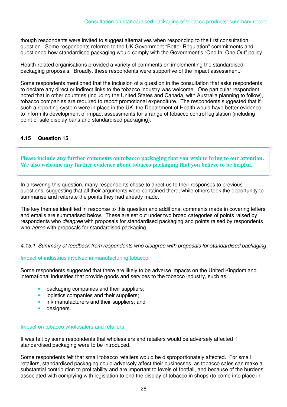though respondents were invited to suggest alternatives when responding to the first consultation question. Some respondents referred to the UK Government "Better Regulation" commitments and questioned how standardised packaging would comply with the Government's "One In, One Out" policy.

Health-related organisations provided a variety of comments on implementing the standardised packaging proposals. Broadly, these respondents were supportive of the impact assessment.

Some respondents mentioned that the inclusion of a question in the consultation that asks respondents to declare any direct or indirect links to the tobacco industry was welcome. One particular respondent noted that in other countries (including the United States and Canada, with Australia planning to follow), tobacco companies are required to report promotional expenditure. The respondents suggested that if such a reporting system were in place in the UK, the Department of Health would have better evidence to inform its development of impact assessments for a range of tobacco control legislation (including point of sale display bans and standardised packaging).

#### **4.15 Question 15**

**Please include any further comments on tobacco packaging that you wish to bring to our attention. We also welcome any further evidence about tobacco packaging that you believe to be helpful.** 

In answering this question, many respondents chose to direct us to their responses to previous questions, suggesting that all their arguments were contained there, while others took the opportunity to summarise and reiterate the points they had already made.

The key themes identified in response to this question and additional comments made in covering letters and emails are summarised below. These are set out under two broad categories of points raised by respondents who *disagree* with proposals for standardised packaging and points raised by respondents who *agree* with proposals for standardised packaging.

#### *4.15.1 Summary of feedback from respondents who disagree with proposals for standardised packaging*

#### Impact of industries involved in manufacturing tobacco

Some respondents suggested that there are likely to be adverse impacts on the United Kingdom and international industries that provide goods and services to the tobacco industry, such as:

- packaging companies and their suppliers;
- logistics companies and their suppliers;
- ink manufacturers and their suppliers; and
- designers.

#### Impact on tobacco wholesalers and retailers

It was felt by some respondents that wholesalers and retailers would be adversely affected if standardised packaging were to be introduced.

Some respondents felt that small tobacco retailers would be disproportionately affected. For small retailers, standardised packaging could adversely affect their businesses, as tobacco sales can make a substantial contribution to profitability and are important to levels of footfall, and because of the burdens associated with complying with legislation to end the display of tobacco in shops (to come into place in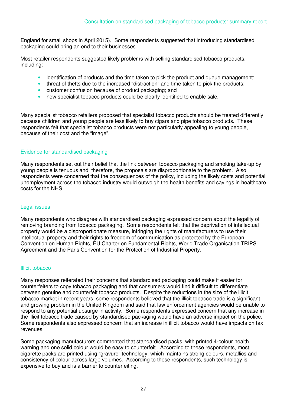England for small shops in April 2015). Some respondents suggested that introducing standardised packaging could bring an end to their businesses.

Most retailer respondents suggested likely problems with selling standardised tobacco products, including:

- identification of products and the time taken to pick the product and queue management;
- threat of thefts due to the increased "distraction" and time taken to pick the products;
- customer confusion because of product packaging; and
- how specialist tobacco products could be clearly identified to enable sale.

Many specialist tobacco retailers proposed that specialist tobacco products should be treated differently, because children and young people are less likely to buy cigars and pipe tobacco products. These respondents felt that specialist tobacco products were not particularly appealing to young people, because of their cost and the "image".

#### Evidence for standardised packaging

Many respondents set out their belief that the link between tobacco packaging and smoking take-up by young people is tenuous and, therefore, the proposals are disproportionate to the problem. Also, respondents were concerned that the consequences of the policy, including the likely costs and potential unemployment across the tobacco industry would outweigh the health benefits and savings in healthcare costs for the NHS.

#### Legal issues

Many respondents who disagree with standardised packaging expressed concern about the legality of removing branding from tobacco packaging. Some respondents felt that the deprivation of intellectual property would be a disproportionate measure, infringing the rights of manufacturers to use their intellectual property and their rights to freedom of communication as protected by the European Convention on Human Rights, EU Charter on Fundamental Rights, World Trade Organisation TRIPS Agreement and the Paris Convention for the Protection of Industrial Property.

#### Illicit tobacco

Many responses reiterated their concerns that standardised packaging could make it easier for counterfeiters to copy tobacco packaging and that consumers would find it difficult to differentiate between genuine and counterfeit tobacco products. Despite the reductions in the size of the illicit tobacco market in recent years, some respondents believed that the illicit tobacco trade is a significant and growing problem in the United Kingdom and said that law enforcement agencies would be unable to respond to any potential upsurge in activity. Some respondents expressed concern that any increase in the illicit tobacco trade caused by standardised packaging would have an adverse impact on the police. Some respondents also expressed concern that an increase in illicit tobacco would have impacts on tax revenues.

Some packaging manufacturers commented that standardised packs, with printed 4-colour health warning and one solid colour would be easy to counterfeit. According to these respondents, most cigarette packs are printed using "gravure" technology, which maintains strong colours, metallics and consistency of colour across large volumes. According to these respondents, such technology is expensive to buy and is a barrier to counterfeiting.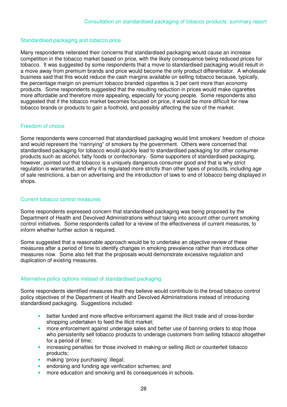#### Standardised packaging and tobacco price

Many respondents reiterated their concerns that standardised packaging would cause an increase competition in the tobacco market based on price, with the likely consequence being reduced prices for tobacco. It was suggested by some respondents that a move to standardised packaging would result in a move away from premium brands and price would become the only product differentiator. A wholesale business said that this would reduce the cash margins available on selling tobacco because, typically, the percentage margin on premium tobacco branded cigarettes is 3 per cent more than economy products. Some respondents suggested that the resulting reduction in prices would make cigarettes more affordable and therefore more appealing, especially for young people. Some respondents also suggested that if the tobacco market becomes focused on price, it would be more difficult for new tobacco brands or products to gain a foothold, and possibly affecting the size of the market.

#### Freedom of choice

Some respondents were concerned that standardised packaging would limit smokers' freedom of choice and would represent the "nannying" of smokers by the government. Others were concerned that standardised packaging for tobacco would quickly lead to standardised packaging for other consumer products such as alcohol, fatty foods or confectionary. Some supporters of standardised packaging, however, pointed out that tobacco is a uniquely dangerous consumer good and that is why strict regulation is warranted, and why it is regulated more strictly than other types of products, including age of sale restrictions, a ban on advertising and the introduction of laws to end of tobacco being displayed in shops.

#### Current tobacco control measures

Some respondents expressed concern that standardised packaging was being proposed by the Department of Health and Devolved Administrations without taking into account other current smoking control initiatives. Some respondents called for a review of the effectiveness of current measures, to inform whether further action is required.

Some suggested that a reasonable approach would be to undertake an objective review of these measures after a period of time to identify changes in smoking prevalence rather than introduce other measures now. Some also felt that the proposals would demonstrate excessive regulation and duplication of existing measures.

#### Alternative policy options instead of standardised packaging

Some respondents identified measures that they believe would contribute to the broad tobacco control policy objectives of the Department of Health and Devolved Administrations instead of introducing standardised packaging. Suggestions included:

- better funded and more effective enforcement against the illicit trade and of cross-border shopping undertaken to feed the illicit market;
- more enforcement against underage sales and better use of banning orders to stop those who persistently sell tobacco products to underage customers from selling tobacco altogether for a period of time;
- increasing penalties for those involved in making or selling illicit or counterfeit tobacco products;
- making 'proxy purchasing' illegal;
- endorsing and funding age verification schemes; and
- more education and smoking and its consequences in schools.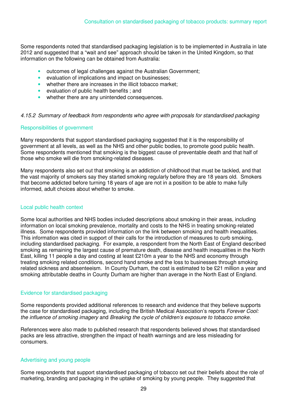Some respondents noted that standardised packaging legislation is to be implemented in Australia in late 2012 and suggested that a "wait and see" approach should be taken in the United Kingdom, so that information on the following can be obtained from Australia:

- outcomes of legal challenges against the Australian Government;
- evaluation of implications and impact on businesses;
- whether there are increases in the illicit tobacco market:
- evaluation of public health benefits ; and
- whether there are any unintended consequences.

#### *4.15.2 Summary of feedback from respondents who agree with proposals for standardised packaging*

#### Responsibilities of government

Many respondents that support standardised packaging suggested that it is the responsibility of government at all levels, as well as the NHS and other public bodies, to promote good public health. Some respondents mentioned that smoking is the biggest cause of preventable death and that half of those who smoke will die from smoking-related diseases.

Many respondents also set out that smoking is an addiction of childhood that must be tackled, and that the vast majority of smokers say they started smoking regularly before they are 18 years old. Smokers that become addicted before turning 18 years of age are not in a position to be able to make fully informed, adult choices about whether to smoke.

#### Local public health context

Some local authorities and NHS bodies included descriptions about smoking in their areas, including information on local smoking prevalence, mortality and costs to the NHS in treating smoking-related illness. Some respondents provided information on the link between smoking and health inequalities. This information was cited in support of their calls for the introduction of measures to curb smoking, including standardised packaging. For example, a respondent from the North East of England described smoking as remaining the largest cause of premature death, disease and health inequalities in the North East, killing 11 people a day and costing at least £210m a year to the NHS and economy through treating smoking related conditions, second hand smoke and the loss to businesses through smoking related sickness and absenteeism. In County Durham, the cost is estimated to be £21 million a year and smoking attributable deaths in County Durham are higher than average in the North East of England.

#### Evidence for standardised packaging

Some respondents provided additional references to research and evidence that they believe supports the case for standardised packaging, including the British Medical Association's reports *Forever Cool: the influence of smoking imagery* and *Breaking the cycle of children's exposure to tobacco smoke.* 

References were also made to published research that respondents believed shows that standardised packs are less attractive, strengthen the impact of health warnings and are less misleading for consumers.

#### Advertising and young people

Some respondents that support standardised packaging of tobacco set out their beliefs about the role of marketing, branding and packaging in the uptake of smoking by young people. They suggested that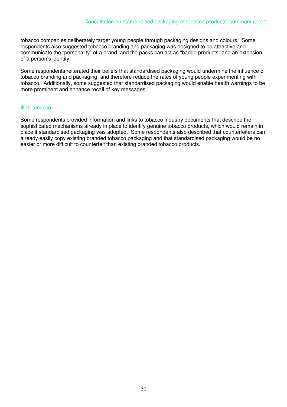tobacco companies deliberately target young people through packaging designs and colours. Some respondents also suggested tobacco branding and packaging was designed to be attractive and communicate the "personality" of a brand, and the packs can act as "badge products" and an extension of a person's identity.

Some respondents reiterated their beliefs that standardised packaging would undermine the influence of tobacco branding and packaging, and therefore reduce the rates of young people experimenting with tobacco. Additionally, some suggested that standardised packaging would enable health warnings to be more prominent and enhance recall of key messages.

#### Illicit tobacco

Some respondents provided information and links to tobacco industry documents that describe the sophisticated mechanisms already in place to identify genuine tobacco products, which would remain in place if standardised packaging was adopted. Some respondents also described that counterfeiters can already easily copy existing branded tobacco packaging and that standardised packaging would be no easier or more difficult to counterfeit than existing branded tobacco products.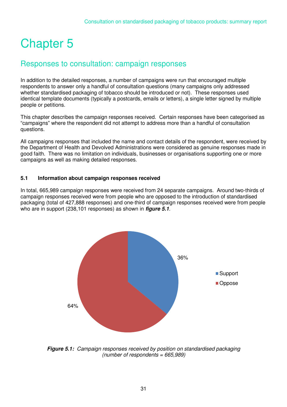## Chapter 5

### Responses to consultation: campaign responses

In addition to the detailed responses, a number of campaigns were run that encouraged multiple respondents to answer only a handful of consultation questions (many campaigns only addressed whether standardised packaging of tobacco should be introduced or not). These responses used identical template documents (typically a postcards, emails or letters), a single letter signed by multiple people or petitions.

This chapter describes the campaign responses received. Certain responses have been categorised as "campaigns" where the respondent did not attempt to address more than a handful of consultation questions.

All campaigns responses that included the name and contact details of the respondent, were received by the Department of Health and Devolved Administrations were considered as genuine responses made in good faith. There was no limitation on individuals, businesses or organisations supporting one or more campaigns as well as making detailed responses.

#### **5.1 Information about campaign responses received**

In total, 665,989 campaign responses were received from 24 separate campaigns. Around two-thirds of campaign responses received were from people who are opposed to the introduction of standardised packaging (total of 427,888 responses) and one-third of campaign responses received were from people who are in support (238,101 responses) as shown in *figure 5.1.* 



*Figure 5.1: Campaign responses received by position on standardised packaging (number of respondents = 665,989)*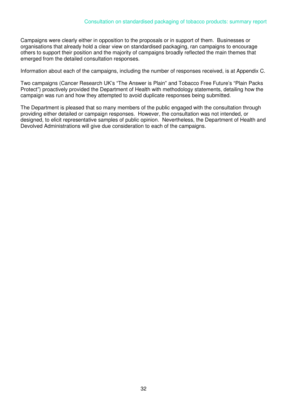Campaigns were clearly either in opposition to the proposals or in support of them. Businesses or organisations that already hold a clear view on standardised packaging, ran campaigns to encourage others to support their position and the majority of campaigns broadly reflected the main themes that emerged from the detailed consultation responses.

Information about each of the campaigns, including the number of responses received, is at Appendix C.

Two campaigns (Cancer Research UK's "The Answer is Plain" and Tobacco Free Future's "Plain Packs Protect") proactively provided the Department of Health with methodology statements, detailing how the campaign was run and how they attempted to avoid duplicate responses being submitted.

The Department is pleased that so many members of the public engaged with the consultation through providing either detailed or campaign responses. However, the consultation was not intended, or designed, to elicit representative samples of public opinion. Nevertheless, the Department of Health and Devolved Administrations will give due consideration to each of the campaigns.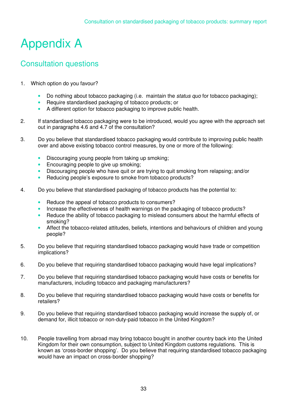# Appendix A

### Consultation questions

- 1. Which option do you favour?
	- Do nothing about tobacco packaging (i.e. maintain the *status quo* for tobacco packaging);
	- Require standardised packaging of tobacco products; or
	- A different option for tobacco packaging to improve public health.
- 2. If standardised tobacco packaging were to be introduced, would you agree with the approach set out in paragraphs 4.6 and 4.7 of the consultation?
- 3. Do you believe that standardised tobacco packaging would contribute to improving public health over and above existing tobacco control measures, by one or more of the following:
	- Discouraging young people from taking up smoking;
	- Encouraging people to give up smoking;
	- Discouraging people who have quit or are trying to quit smoking from relapsing; and/or
	- Reducing people's exposure to smoke from tobacco products?
- 4. Do you believe that standardised packaging of tobacco products has the potential to:
	- Reduce the appeal of tobacco products to consumers?
	- Increase the effectiveness of health warnings on the packaging of tobacco products?
	- Reduce the ability of tobacco packaging to mislead consumers about the harmful effects of smoking?
	- Affect the tobacco-related attitudes, beliefs, intentions and behaviours of children and young people?
- 5. Do you believe that requiring standardised tobacco packaging would have trade or competition implications?
- 6. Do you believe that requiring standardised tobacco packaging would have legal implications?
- 7. Do you believe that requiring standardised tobacco packaging would have costs or benefits for manufacturers, including tobacco and packaging manufacturers?
- 8. Do you believe that requiring standardised tobacco packaging would have costs or benefits for retailers?
- 9. Do you believe that requiring standardised tobacco packaging would increase the supply of, or demand for, illicit tobacco or non-duty-paid tobacco in the United Kingdom?
- 10. People travelling from abroad may bring tobacco bought in another country back into the United Kingdom for their own consumption, subject to United Kingdom customs regulations. This is known as 'cross-border shopping'. Do you believe that requiring standardised tobacco packaging would have an impact on cross-border shopping?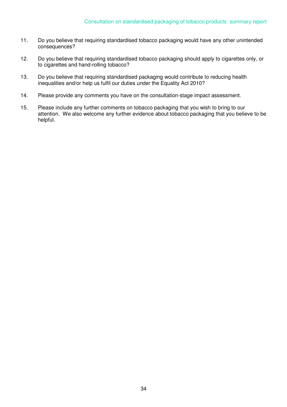- 11. Do you believe that requiring standardised tobacco packaging would have any other unintended consequences?
- 12. Do you believe that requiring standardised tobacco packaging should apply to cigarettes only, or to cigarettes and hand-rolling tobacco?
- 13. Do you believe that requiring standardised packaging would contribute to reducing health inequalities and/or help us fulfil our duties under the Equality Act 2010?
- 14. Please provide any comments you have on the consultation-stage impact assessment.
- 15. Please include any further comments on tobacco packaging that you wish to bring to our attention. We also welcome any further evidence about tobacco packaging that you believe to be helpful.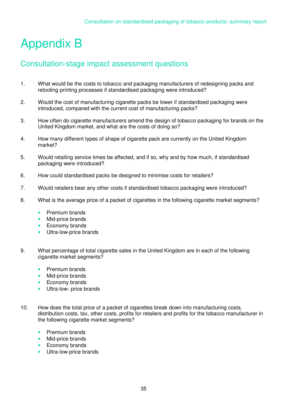# Appendix B

### Consultation-stage impact assessment questions

- 1. What would be the costs to tobacco and packaging manufacturers of redesigning packs and retooling printing processes if standardised packaging were introduced?
- 2. Would the cost of manufacturing cigarette packs be lower if standardised packaging were introduced, compared with the current cost of manufacturing packs?
- 3. How often do cigarette manufacturers amend the design of tobacco packaging for brands on the United Kingdom market, and what are the costs of doing so?
- 4. How many different types of shape of cigarette pack are currently on the United Kingdom market?
- 5. Would retailing service times be affected, and if so, why and by how much, if standardised packaging were introduced?
- 6. How could standardised packs be designed to minimise costs for retailers?
- 7. Would retailers bear any other costs if standardised tobacco packaging were introduced?
- 8. What is the average price of a packet of cigarettes in the following cigarette market segments?
	- Premium brands
	- Mid-price brands
	- Economy brands
	- Ultra-low-price brands
- 9. What percentage of total cigarette sales in the United Kingdom are in each of the following cigarette market segments?
	- Premium brands
	- Mid-price brands
	- Economy brands
	- Ultra-low- price brands
- 10. How does the total price of a packet of cigarettes break down into manufacturing costs, distribution costs, tax, other costs, profits for retailers and profits for the tobacco manufacturer in the following cigarette market segments?
	- Premium brands
	- Mid-price brands
	- Economy brands
	- Ultra-low-price brands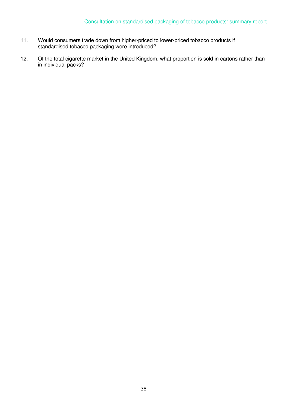- 11. Would consumers trade down from higher-priced to lower-priced tobacco products if standardised tobacco packaging were introduced?
- 12. Of the total cigarette market in the United Kingdom, what proportion is sold in cartons rather than in individual packs?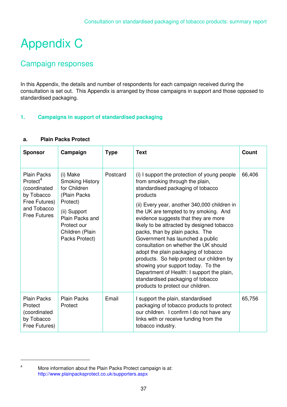# Appendix C

# Campaign responses

In this Appendix, the details and number of respondents for each campaign received during the consultation is set out. This Appendix is arranged by those campaigns in support and those opposed to standardised packaging.

## **1. Campaigns in support of standardised packaging**

| <b>Sponsor</b>                                                                                                                  | Campaign                                                                                                                                                               | <b>Type</b> | <b>Text</b>                                                                                                                                                                                                                                                                                                                                                                                                                                                                                                                                                                                                                                                                         | <b>Count</b> |
|---------------------------------------------------------------------------------------------------------------------------------|------------------------------------------------------------------------------------------------------------------------------------------------------------------------|-------------|-------------------------------------------------------------------------------------------------------------------------------------------------------------------------------------------------------------------------------------------------------------------------------------------------------------------------------------------------------------------------------------------------------------------------------------------------------------------------------------------------------------------------------------------------------------------------------------------------------------------------------------------------------------------------------------|--------------|
| <b>Plain Packs</b><br>Protect <sup>4</sup><br>(coordinated<br>by Tobacco<br>Free Futures)<br>and Tobacco<br><b>Free Futures</b> | (i) Make<br><b>Smoking History</b><br>for Children<br>(Plain Packs)<br>Protect)<br>(ii) Support<br>Plain Packs and<br>Protect our<br>Children (Plain<br>Packs Protect) | Postcard    | (i) I support the protection of young people<br>from smoking through the plain,<br>standardised packaging of tobacco<br>products<br>(ii) Every year, another 340,000 children in<br>the UK are tempted to try smoking. And<br>evidence suggests that they are more<br>likely to be attracted by designed tobacco<br>packs, than by plain packs. The<br>Government has launched a public<br>consultation on whether the UK should<br>adopt the plain packaging of tobacco<br>products. So help protect our children by<br>showing your support today. To the<br>Department of Health: I support the plain,<br>standardised packaging of tobacco<br>products to protect our children. | 66,406       |
| <b>Plain Packs</b><br>Protect<br>(coordinated<br>by Tobacco<br>Free Futures)                                                    | <b>Plain Packs</b><br>Protect                                                                                                                                          | Email       | I support the plain, standardised<br>packaging of tobacco products to protect<br>our children. I confirm I do not have any<br>links with or receive funding from the<br>tobacco industry.                                                                                                                                                                                                                                                                                                                                                                                                                                                                                           | 65,756       |

#### **a. Plain Packs Protect**

 $\overline{a}$ 4

More information about the Plain Packs Protect campaign is at: http://www.plainpacksprotect.co.uk/supporters.aspx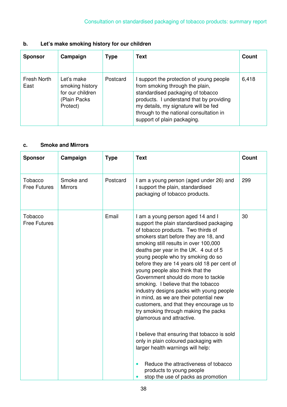# **b. Let's make smoking history for our children**

| <b>Sponsor</b>      | Campaign                                                                      | <b>Type</b> | <b>Text</b>                                                                                                                                                                                                                                                                    | Count |
|---------------------|-------------------------------------------------------------------------------|-------------|--------------------------------------------------------------------------------------------------------------------------------------------------------------------------------------------------------------------------------------------------------------------------------|-------|
| Fresh North<br>East | Let's make<br>smoking history<br>for our children<br>(Plain Packs<br>Protect) | Postcard    | I support the protection of young people<br>from smoking through the plain,<br>standardised packaging of tobacco<br>products. I understand that by providing<br>my details, my signature will be fed<br>through to the national consultation in<br>support of plain packaging. | 6,418 |

#### **c. Smoke and Mirrors**

| <b>Sponsor</b>                 | Campaign                    | <b>Type</b> | <b>Text</b>                                                                                                                                                                                                                                                                                                                                                                                                                                                                                                                                                                                                                                                                                                                                                                                                                                                                                          | <b>Count</b> |
|--------------------------------|-----------------------------|-------------|------------------------------------------------------------------------------------------------------------------------------------------------------------------------------------------------------------------------------------------------------------------------------------------------------------------------------------------------------------------------------------------------------------------------------------------------------------------------------------------------------------------------------------------------------------------------------------------------------------------------------------------------------------------------------------------------------------------------------------------------------------------------------------------------------------------------------------------------------------------------------------------------------|--------------|
| Tobacco<br><b>Free Futures</b> | Smoke and<br><b>Mirrors</b> | Postcard    | I am a young person (aged under 26) and<br>I support the plain, standardised<br>packaging of tobacco products.                                                                                                                                                                                                                                                                                                                                                                                                                                                                                                                                                                                                                                                                                                                                                                                       | 299          |
| Tobacco<br><b>Free Futures</b> |                             | Email       | I am a young person aged 14 and I<br>support the plain standardised packaging<br>of tobacco products. Two thirds of<br>smokers start before they are 18, and<br>smoking still results in over 100,000<br>deaths per year in the UK. 4 out of 5<br>young people who try smoking do so<br>before they are 14 years old 18 per cent of<br>young people also think that the<br>Government should do more to tackle<br>smoking. I believe that the tobacco<br>industry designs packs with young people<br>in mind, as we are their potential new<br>customers, and that they encourage us to<br>try smoking through making the packs<br>glamorous and attractive.<br>I believe that ensuring that tobacco is sold<br>only in plain coloured packaging with<br>larger health warnings will help:<br>Reduce the attractiveness of tobacco<br>products to young people<br>stop the use of packs as promotion | 30           |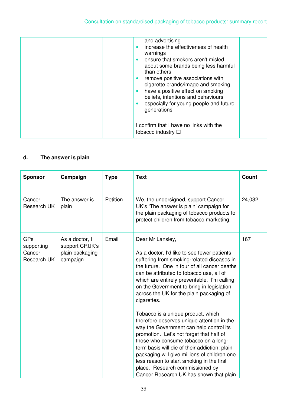| and advertising<br>increase the effectiveness of health<br>$\bullet$<br>warnings<br>ensure that smokers aren't misled<br>$\bullet$<br>about some brands being less harmful<br>than others<br>remove positive associations with<br>$\bullet$<br>cigarette brands/image and smoking<br>have a positive effect on smoking<br>$\bullet$<br>beliefs, intentions and behaviours<br>especially for young people and future<br>$\bullet$<br>generations |  |
|-------------------------------------------------------------------------------------------------------------------------------------------------------------------------------------------------------------------------------------------------------------------------------------------------------------------------------------------------------------------------------------------------------------------------------------------------|--|
| I confirm that I have no links with the<br>tobacco industry $\Box$                                                                                                                                                                                                                                                                                                                                                                              |  |

# **d. The answer is plain**

| <b>Sponsor</b>                             | Campaign                                                        | <b>Type</b> | <b>Text</b>                                                                                                                                                                                                                                                                                                                                                                                                                                                                                                                                                                                                                                                                                                                                                                                                     | <b>Count</b> |
|--------------------------------------------|-----------------------------------------------------------------|-------------|-----------------------------------------------------------------------------------------------------------------------------------------------------------------------------------------------------------------------------------------------------------------------------------------------------------------------------------------------------------------------------------------------------------------------------------------------------------------------------------------------------------------------------------------------------------------------------------------------------------------------------------------------------------------------------------------------------------------------------------------------------------------------------------------------------------------|--------------|
| Cancer<br>Research UK                      | The answer is<br>plain                                          | Petition    | We, the undersigned, support Cancer<br>UK's 'The answer is plain' campaign for<br>the plain packaging of tobacco products to<br>protect children from tobacco marketing.                                                                                                                                                                                                                                                                                                                                                                                                                                                                                                                                                                                                                                        | 24,032       |
| GPs<br>supporting<br>Cancer<br>Research UK | As a doctor, I<br>support CRUK's<br>plain packaging<br>campaign | Email       | Dear Mr Lansley,<br>As a doctor, I'd like to see fewer patients<br>suffering from smoking-related diseases in<br>the future. One in four of all cancer deaths<br>can be attributed to tobacco use, all of<br>which are entirely preventable. I'm calling<br>on the Government to bring in legislation<br>across the UK for the plain packaging of<br>cigarettes.<br>Tobacco is a unique product, which<br>therefore deserves unique attention in the<br>way the Government can help control its<br>promotion. Let's not forget that half of<br>those who consume tobacco on a long-<br>term basis will die of their addiction: plain<br>packaging will give millions of children one<br>less reason to start smoking in the first<br>place. Research commissioned by<br>Cancer Research UK has shown that plain | 167          |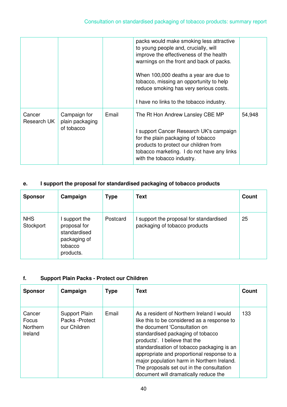|                       |                                               |       | packs would make smoking less attractive<br>to young people and, crucially, will<br>improve the effectiveness of the health<br>warnings on the front and back of packs.<br>When 100,000 deaths a year are due to<br>tobacco, missing an opportunity to help<br>reduce smoking has very serious costs.<br>I have no links to the tobacco industry. |        |
|-----------------------|-----------------------------------------------|-------|---------------------------------------------------------------------------------------------------------------------------------------------------------------------------------------------------------------------------------------------------------------------------------------------------------------------------------------------------|--------|
| Cancer<br>Research UK | Campaign for<br>plain packaging<br>of tobacco | Email | The Rt Hon Andrew Lansley CBE MP<br>I support Cancer Research UK's campaign<br>for the plain packaging of tobacco<br>products to protect our children from<br>tobacco marketing. I do not have any links<br>with the tobacco industry.                                                                                                            | 54,948 |

## **e. I support the proposal for standardised packaging of tobacco products**

| <b>Sponsor</b>          | Campaign                                                                            | <b>Type</b> | <b>Text</b>                                                              | Count |
|-------------------------|-------------------------------------------------------------------------------------|-------------|--------------------------------------------------------------------------|-------|
| <b>NHS</b><br>Stockport | support the<br>proposal for<br>standardised<br>packaging of<br>tobacco<br>products. | Postcard    | I support the proposal for standardised<br>packaging of tobacco products | 25    |

## **f. Support Plain Packs - Protect our Children**

| <b>Sponsor</b>                                | Campaign                                         | <b>Type</b> | <b>Text</b>                                                                                                                                                                                                                                                                                                                                                                                                                     | Count |
|-----------------------------------------------|--------------------------------------------------|-------------|---------------------------------------------------------------------------------------------------------------------------------------------------------------------------------------------------------------------------------------------------------------------------------------------------------------------------------------------------------------------------------------------------------------------------------|-------|
| Cancer<br>Focus<br><b>Northern</b><br>Ireland | Support Plain<br>Packs - Protect<br>our Children | Email       | As a resident of Northern Ireland I would<br>like this to be considered as a response to<br>the document 'Consultation on<br>standardised packaging of tobacco<br>products'. I believe that the<br>standardisation of tobacco packaging is an<br>appropriate and proportional response to a<br>major population harm in Northern Ireland.<br>The proposals set out in the consultation<br>document will dramatically reduce the | 133   |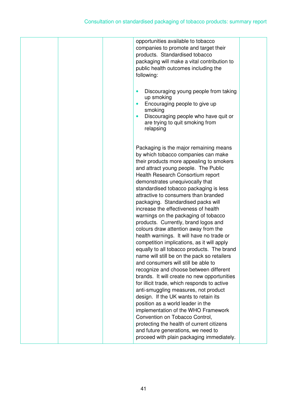|  | opportunities available to tobacco<br>companies to promote and target their<br>products. Standardised tobacco<br>packaging will make a vital contribution to<br>public health outcomes including the<br>following:<br>Discouraging young people from taking<br>$\bullet$<br>up smoking<br>Encouraging people to give up<br>$\bullet$<br>smoking<br>Discouraging people who have quit or<br>$\bullet$<br>are trying to quit smoking from<br>relapsing                                                                                                                                                                                                                                                                                                                                                                                                                                                                                                                                                                                                                                                                                                                                                                                    |  |
|--|-----------------------------------------------------------------------------------------------------------------------------------------------------------------------------------------------------------------------------------------------------------------------------------------------------------------------------------------------------------------------------------------------------------------------------------------------------------------------------------------------------------------------------------------------------------------------------------------------------------------------------------------------------------------------------------------------------------------------------------------------------------------------------------------------------------------------------------------------------------------------------------------------------------------------------------------------------------------------------------------------------------------------------------------------------------------------------------------------------------------------------------------------------------------------------------------------------------------------------------------|--|
|  | Packaging is the major remaining means<br>by which tobacco companies can make<br>their products more appealing to smokers<br>and attract young people. The Public<br>Health Research Consortium report<br>demonstrates unequivocally that<br>standardised tobacco packaging is less<br>attractive to consumers than branded<br>packaging. Standardised packs will<br>increase the effectiveness of health<br>warnings on the packaging of tobacco<br>products. Currently, brand logos and<br>colours draw attention away from the<br>health warnings. It will have no trade or<br>competition implications, as it will apply<br>equally to all tobacco products. The brand<br>name will still be on the pack so retailers<br>and consumers will still be able to<br>recognize and choose between different<br>brands. It will create no new opportunities<br>for illicit trade, which responds to active<br>anti-smuggling measures, not product<br>design. If the UK wants to retain its<br>position as a world leader in the<br>implementation of the WHO Framework<br>Convention on Tobacco Control,<br>protecting the health of current citizens<br>and future generations, we need to<br>proceed with plain packaging immediately. |  |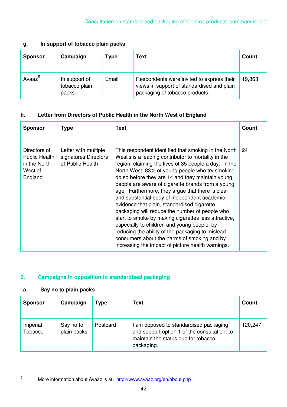#### **g. In support of tobacco plain packs**

| <b>Sponsor</b>     | Campaign                                | Type  | <b>Text</b>                                                                                                               | Count  |
|--------------------|-----------------------------------------|-------|---------------------------------------------------------------------------------------------------------------------------|--------|
| Avaaz <sup>5</sup> | In support of<br>tobacco plain<br>packs | Email | Respondents were invited to express their<br>views in support of standardised and plain<br>packaging of tobacco products. | 19,863 |

## **h. Letter from Directors of Public Health in the North West of England**

| <b>Sponsor</b>                                                             | <b>Type</b>                                                      | <b>Text</b>                                                                                                                                                                                                                                                                                                                                                                                                                                                                                                                                                                                                                                                                                                                                                                                          | Count |
|----------------------------------------------------------------------------|------------------------------------------------------------------|------------------------------------------------------------------------------------------------------------------------------------------------------------------------------------------------------------------------------------------------------------------------------------------------------------------------------------------------------------------------------------------------------------------------------------------------------------------------------------------------------------------------------------------------------------------------------------------------------------------------------------------------------------------------------------------------------------------------------------------------------------------------------------------------------|-------|
| Directors of<br><b>Public Health</b><br>in the North<br>West of<br>England | Letter with multiple<br>signatures Directors<br>of Public Health | This respondent identified that smoking in the North<br>West's is a leading contributor to mortality in the<br>region, claiming the lives of 35 people a day. In the<br>North West, 83% of young people who try smoking<br>do so before they are 14 and they maintain young<br>people are aware of cigarette brands from a young<br>age. Furthermore, they argue that there is clear<br>and substantial body of independent academic<br>evidence that plain, standardised cigarette<br>packaging will reduce the number of people who<br>start to smoke by making cigarettes less attractive,<br>especially to children and young people, by<br>reducing the ability of the packaging to mislead<br>consumers about the harms of smoking and by<br>increasing the impact of picture health warnings. | 24    |

## **2. Campaigns in opposition to standardised packaging**

## **a. Say no to plain packs**

 $\overline{a}$ 5

| <b>Sponsor</b>      | Campaign                 | Type     | Text                                                                                                                                        | Count   |
|---------------------|--------------------------|----------|---------------------------------------------------------------------------------------------------------------------------------------------|---------|
| Imperial<br>Tobacco | Say no to<br>plain packs | Postcard | I am opposed to standardised packaging<br>and support option 1 of the consultation: to<br>maintain the status quo for tobacco<br>packaging. | 120,247 |

More information about Avaaz is at: http://www.avaaz.org/en/about.php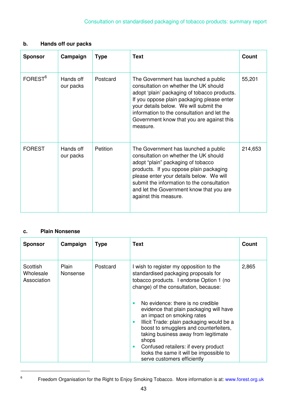### **b. Hands off our packs**

| <b>Sponsor</b>      | Campaign               | <b>Type</b> | <b>Text</b>                                                                                                                                                                                                                                                                                                                   | <b>Count</b> |
|---------------------|------------------------|-------------|-------------------------------------------------------------------------------------------------------------------------------------------------------------------------------------------------------------------------------------------------------------------------------------------------------------------------------|--------------|
| FOREST <sup>6</sup> | Hands off<br>our packs | Postcard    | The Government has launched a public<br>consultation on whether the UK should<br>adopt 'plain' packaging of tobacco products.<br>If you oppose plain packaging please enter<br>your details below. We will submit the<br>information to the consultation and let the<br>Government know that you are against this<br>measure. | 55,201       |
| <b>FOREST</b>       | Hands off<br>our packs | Petition    | The Government has launched a public<br>consultation on whether the UK should<br>adopt "plain" packaging of tobacco<br>products. If you oppose plain packaging<br>please enter your details below. We will<br>submit the information to the consultation<br>and let the Government know that you are<br>against this measure. | 214,653      |

### **c. Plain Nonsense**

| <b>Sponsor</b>                       | Campaign          | <b>Type</b> | <b>Text</b>                                                                                                                                                                                                                                                                                                                                                                                                                                                                                                                                                                         | Count |
|--------------------------------------|-------------------|-------------|-------------------------------------------------------------------------------------------------------------------------------------------------------------------------------------------------------------------------------------------------------------------------------------------------------------------------------------------------------------------------------------------------------------------------------------------------------------------------------------------------------------------------------------------------------------------------------------|-------|
| Scottish<br>Wholesale<br>Association | Plain<br>Nonsense | Postcard    | I wish to register my opposition to the<br>standardised packaging proposals for<br>tobacco products. I endorse Option 1 (no<br>change) of the consultation, because:<br>No evidence: there is no credible<br>$\bullet$<br>evidence that plain packaging will have<br>an impact on smoking rates<br>Illicit Trade: plain packaging would be a<br>$\bullet$<br>boost to smugglers and counterfeiters,<br>taking business away from legitimate<br>shops<br>Confused retailers: if every product<br>$\bullet$<br>looks the same it will be impossible to<br>serve customers efficiently | 2,865 |

 $\overline{a}$ 6

Freedom Organisation for the Right to Enjoy Smoking Tobacco. More information is at: www.forest.org.uk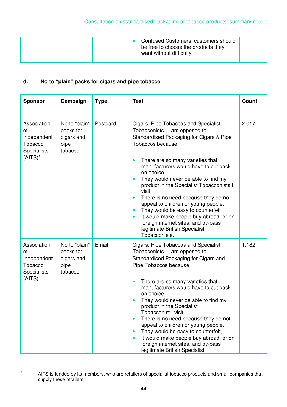| Confused Customers: customers should<br>be free to choose the products they<br>want without difficulty |
|--------------------------------------------------------------------------------------------------------|
|--------------------------------------------------------------------------------------------------------|

## **d. No to "plain" packs for cigars and pipe tobacco**

| <b>Sponsor</b>                                                                           | Campaign                                                    | <b>Type</b> | <b>Text</b>                                                                                                                                                                                                                                                                                                                                                                                                                                                                                                                                                                                                                                          | Count |
|------------------------------------------------------------------------------------------|-------------------------------------------------------------|-------------|------------------------------------------------------------------------------------------------------------------------------------------------------------------------------------------------------------------------------------------------------------------------------------------------------------------------------------------------------------------------------------------------------------------------------------------------------------------------------------------------------------------------------------------------------------------------------------------------------------------------------------------------------|-------|
| Association<br>οf<br>Independent<br>Tobacco<br><b>Specialists</b><br>(AITS) <sup>7</sup> | No to "plain"<br>packs for<br>cigars and<br>pipe<br>tobacco | Postcard    | Cigars, Pipe Tobaccos and Specialist<br>Tobacconists. I am opposed to<br>Standardised Packaging for Cigars & Pipe<br>Tobaccos because:<br>There are so many varieties that<br>$\bullet$<br>manufacturers would have to cut back<br>on choice,<br>They would never be able to find my<br>$\bullet$<br>product in the Specialist Tobacconists I<br>visit,<br>There is no need because they do no<br>$\bullet$<br>appeal to children or young people,<br>They would be easy to counterfeit<br>$\bullet$<br>It would make people buy abroad, or on<br>$\bullet$<br>foreign internet sites, and by-pass<br>legitimate British Specialist<br>Tobacconists. | 2,017 |
| Association<br>οf<br>Independent<br>Tobacco<br><b>Specialists</b><br>(AITS)              | No to "plain"<br>packs for<br>cigars and<br>pipe<br>tobacco | Email       | Cigars, Pipe Tobaccos and Specialist<br>Tobacconists. I am opposed to<br>Standardised Packaging for Cigars and<br>Pipe Tobaccos because:<br>There are so many varieties that<br>$\bullet$<br>manufacturers would have to cut back<br>on choice,<br>They would never be able to find my<br>$\bullet$<br>product in the Specialist<br>Tobacconist I visit,<br>There is no need because they do not<br>$\bullet$<br>appeal to children or young people,<br>They would be easy to counterfeit,<br>$\bullet$<br>It would make people buy abroad, or on<br>$\bullet$<br>foreign internet sites, and by-pass<br>legitimate British Specialist               | 1,182 |

<sup>7</sup> AITS is funded by its members, who are retailers of specialist tobacco products and small companies that supply these retailers.

 $\overline{a}$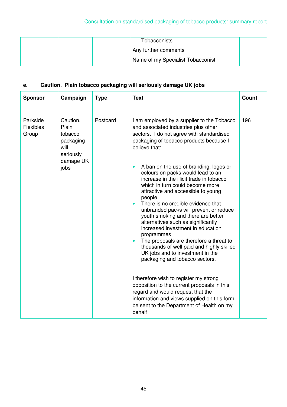| Tobacconists.                     |  |
|-----------------------------------|--|
| Any further comments              |  |
| Name of my Specialist Tobacconist |  |

# **e. Caution. Plain tobacco packaging will seriously damage UK jobs**

| <b>Sponsor</b>                        | Campaign                                                                            | <b>Type</b> | <b>Text</b>                                                                                                                                                                                                                                                                                                                                                                                                                                                                                                                                                                                                                                                                                                                                                                                                                                                                                                                                                                                                                                                        | <b>Count</b> |
|---------------------------------------|-------------------------------------------------------------------------------------|-------------|--------------------------------------------------------------------------------------------------------------------------------------------------------------------------------------------------------------------------------------------------------------------------------------------------------------------------------------------------------------------------------------------------------------------------------------------------------------------------------------------------------------------------------------------------------------------------------------------------------------------------------------------------------------------------------------------------------------------------------------------------------------------------------------------------------------------------------------------------------------------------------------------------------------------------------------------------------------------------------------------------------------------------------------------------------------------|--------------|
| Parkside<br><b>Flexibles</b><br>Group | Caution.<br>Plain<br>tobacco<br>packaging<br>will<br>seriously<br>damage UK<br>jobs | Postcard    | I am employed by a supplier to the Tobacco<br>and associated industries plus other<br>sectors. I do not agree with standardised<br>packaging of tobacco products because I<br>believe that:<br>A ban on the use of branding, logos or<br>$\bullet$<br>colours on packs would lead to an<br>increase in the illicit trade in tobacco<br>which in turn could become more<br>attractive and accessible to young<br>people.<br>There is no credible evidence that<br>$\bullet$<br>unbranded packs will prevent or reduce<br>youth smoking and there are better<br>alternatives such as significantly<br>increased investment in education<br>programmes<br>The proposals are therefore a threat to<br>$\bullet$<br>thousands of well paid and highly skilled<br>UK jobs and to investment in the<br>packaging and tobacco sectors.<br>I therefore wish to register my strong<br>opposition to the current proposals in this<br>regard and would request that the<br>information and views supplied on this form<br>be sent to the Department of Health on my<br>behalf | 196          |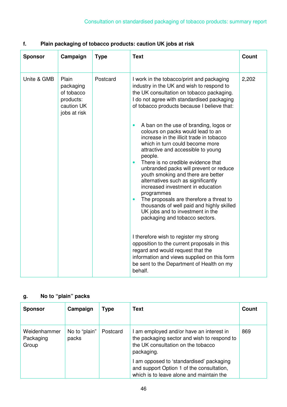| <b>Sponsor</b> | Campaign                                                                    | <b>Type</b> | <b>Text</b>                                                                                                                                                                                                                                                                                                                                                                                                                                                                                                                                                                                                        | Count |
|----------------|-----------------------------------------------------------------------------|-------------|--------------------------------------------------------------------------------------------------------------------------------------------------------------------------------------------------------------------------------------------------------------------------------------------------------------------------------------------------------------------------------------------------------------------------------------------------------------------------------------------------------------------------------------------------------------------------------------------------------------------|-------|
| Unite & GMB    | Plain<br>packaging<br>of tobacco<br>products:<br>caution UK<br>jobs at risk | Postcard    | I work in the tobacco/print and packaging<br>industry in the UK and wish to respond to<br>the UK consultation on tobacco packaging.<br>I do not agree with standardised packaging<br>of tobacco products because I believe that:                                                                                                                                                                                                                                                                                                                                                                                   | 2,202 |
|                |                                                                             |             | A ban on the use of branding, logos or<br>colours on packs would lead to an<br>increase in the illicit trade in tobacco<br>which in turn could become more<br>attractive and accessible to young<br>people.<br>There is no credible evidence that<br>$\bullet$<br>unbranded packs will prevent or reduce<br>youth smoking and there are better<br>alternatives such as significantly<br>increased investment in education<br>programmes<br>The proposals are therefore a threat to<br>$\bullet$<br>thousands of well paid and highly skilled<br>UK jobs and to investment in the<br>packaging and tobacco sectors. |       |
|                |                                                                             |             | I therefore wish to register my strong<br>opposition to the current proposals in this<br>regard and would request that the<br>information and views supplied on this form<br>be sent to the Department of Health on my<br>behalf.                                                                                                                                                                                                                                                                                                                                                                                  |       |

# **f. Plain packaging of tobacco products: caution UK jobs at risk**

# **g. No to "plain" packs**

| <b>Sponsor</b>                     | Campaign               | <b>Type</b> | Text                                                                                                                                        | Count |
|------------------------------------|------------------------|-------------|---------------------------------------------------------------------------------------------------------------------------------------------|-------|
| Weidenhammer<br>Packaging<br>Group | No to "plain"<br>packs | Postcard    | I am employed and/or have an interest in<br>the packaging sector and wish to respond to<br>the UK consultation on the tobacco<br>packaging. | 869   |
|                                    |                        |             | I am opposed to 'standardised' packaging<br>and support Option 1 of the consultation,<br>which is to leave alone and maintain the           |       |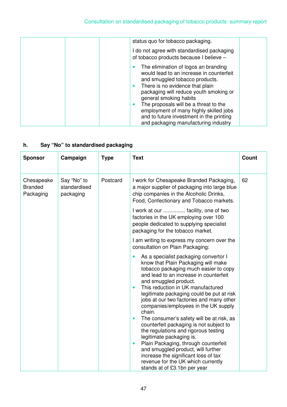| status quo for tobacco packaging.                                                                                                                                                                                                                                                                                                                                                                                          |
|----------------------------------------------------------------------------------------------------------------------------------------------------------------------------------------------------------------------------------------------------------------------------------------------------------------------------------------------------------------------------------------------------------------------------|
| I do not agree with standardised packaging<br>of tobacco products because I believe -                                                                                                                                                                                                                                                                                                                                      |
| The elimination of logos an branding<br>would lead to an increase in counterfeit<br>and smuggled tobacco products.<br>There is no evidence that plain<br>$\bullet$<br>packaging will reduce youth smoking or<br>general smoking habits<br>The proposals will be a threat to the<br>$\bullet$<br>employment of many highly skilled jobs<br>and to future investment in the printing<br>and packaging manufacturing industry |

# **h. Say "No" to standardised packaging**

| <b>Sponsor</b>                            | Campaign                                 | <b>Type</b> | <b>Text</b>                                                                                                                                                                                                                                                                                                                                                                                                                                                                                                                                                                                                                                                                                                                                                                          | <b>Count</b> |
|-------------------------------------------|------------------------------------------|-------------|--------------------------------------------------------------------------------------------------------------------------------------------------------------------------------------------------------------------------------------------------------------------------------------------------------------------------------------------------------------------------------------------------------------------------------------------------------------------------------------------------------------------------------------------------------------------------------------------------------------------------------------------------------------------------------------------------------------------------------------------------------------------------------------|--------------|
| Chesapeake<br><b>Branded</b><br>Packaging | Say "No" to<br>standardised<br>packaging | Postcard    | I work for Chesapeake Branded Packaging,<br>a major supplier of packaging into large blue<br>chip companies in the Alcoholic Drinks,<br>Food, Confectionary and Tobacco markets.                                                                                                                                                                                                                                                                                                                                                                                                                                                                                                                                                                                                     | 62           |
|                                           |                                          |             | I work at our  facility, one of two<br>factories in the UK employing over 100<br>people dedicated to supplying specialist<br>packaging for the tobacco market.                                                                                                                                                                                                                                                                                                                                                                                                                                                                                                                                                                                                                       |              |
|                                           |                                          |             | I am writing to express my concern over the<br>consultation on Plain Packaging:                                                                                                                                                                                                                                                                                                                                                                                                                                                                                                                                                                                                                                                                                                      |              |
|                                           |                                          |             | As a specialist packaging convertor I<br>$\bullet$<br>know that Plain Packaging will make<br>tobacco packaging much easier to copy<br>and lead to an increase in counterfeit<br>and smuggled product.<br>This reduction in UK manufactured<br>$\bullet$<br>legitimate packaging could be put at risk<br>jobs at our two factories and many other<br>companies/employees in the UK supply<br>chain.<br>The consumer's safety will be at risk, as<br>$\bullet$<br>counterfeit packaging is not subject to<br>the regulations and rigorous testing<br>legitimate packaging is.<br>Plain Packaging, through counterfeit<br>$\bullet$<br>and smuggled product, will further<br>increase the significant loss of tax<br>revenue for the UK which currently<br>stands at of £3.1bn per year |              |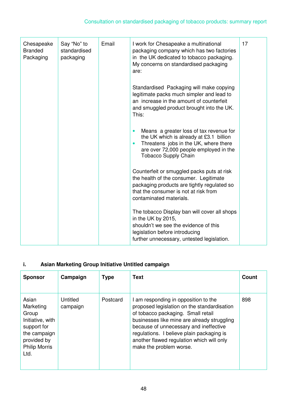| Chesapeake<br><b>Branded</b><br>Packaging | Say "No" to<br>standardised<br>packaging | Email | I work for Chesapeake a multinational<br>packaging company which has two factories<br>in the UK dedicated to tobacco packaging.<br>My concerns on standardised packaging<br>are:                                               | 17 |
|-------------------------------------------|------------------------------------------|-------|--------------------------------------------------------------------------------------------------------------------------------------------------------------------------------------------------------------------------------|----|
|                                           |                                          |       | Standardised Packaging will make copying<br>legitimate packs much simpler and lead to<br>an increase in the amount of counterfeit<br>and smuggled product brought into the UK.<br>This:                                        |    |
|                                           |                                          |       | Means a greater loss of tax revenue for<br>$\bullet$<br>the UK which is already at £3.1 billion<br>Threatens jobs in the UK, where there<br>$\bullet$<br>are over 72,000 people employed in the<br><b>Tobacco Supply Chain</b> |    |
|                                           |                                          |       | Counterfeit or smuggled packs puts at risk<br>the health of the consumer. Legitimate<br>packaging products are tightly regulated so<br>that the consumer is not at risk from<br>contaminated materials.                        |    |
|                                           |                                          |       | The tobacco Display ban will cover all shops<br>in the UK by 2015,<br>shouldn't we see the evidence of this<br>legislation before introducing<br>further unnecessary, untested legislation.                                    |    |

# **i. Asian Marketing Group Initiative Untitled campaign**

| <b>Sponsor</b>                                                                                                                | Campaign             | <b>Type</b> | Text                                                                                                                                                                                                                                                                                                                                    | Count |
|-------------------------------------------------------------------------------------------------------------------------------|----------------------|-------------|-----------------------------------------------------------------------------------------------------------------------------------------------------------------------------------------------------------------------------------------------------------------------------------------------------------------------------------------|-------|
| Asian<br>Marketing<br>Group<br>Initiative, with<br>support for<br>the campaign<br>provided by<br><b>Philip Morris</b><br>Ltd. | Untitled<br>campaign | Postcard    | I am responding in opposition to the<br>proposed legislation on the standardisation<br>of tobacco packaging. Small retail<br>businesses like mine are already struggling<br>because of unnecessary and ineffective<br>regulations. I believe plain packaging is<br>another flawed regulation which will only<br>make the problem worse. | 898   |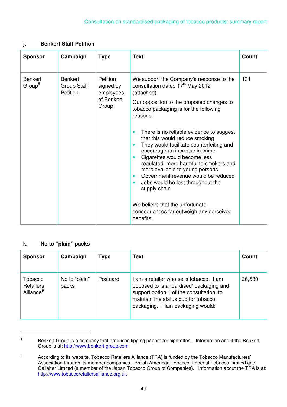#### **j. Benkert Staff Petition**

| <b>Sponsor</b>                       | Campaign                                  | <b>Type</b>                                               | <b>Text</b>                                                                                                                                                                                                                                                                                                                                                                                                                                                                                                                   | <b>Count</b> |
|--------------------------------------|-------------------------------------------|-----------------------------------------------------------|-------------------------------------------------------------------------------------------------------------------------------------------------------------------------------------------------------------------------------------------------------------------------------------------------------------------------------------------------------------------------------------------------------------------------------------------------------------------------------------------------------------------------------|--------------|
| <b>Benkert</b><br>Group <sup>8</sup> | <b>Benkert</b><br>Group Staff<br>Petition | Petition<br>signed by<br>employees<br>of Benkert<br>Group | We support the Company's response to the<br>consultation dated 17 <sup>th</sup> May 2012<br>(attached).<br>Our opposition to the proposed changes to<br>tobacco packaging is for the following<br>reasons:                                                                                                                                                                                                                                                                                                                    | 131          |
|                                      |                                           |                                                           | There is no reliable evidence to suggest<br>$\bullet$<br>that this would reduce smoking<br>They would facilitate counterfeiting and<br>$\bullet$<br>encourage an increase in crime<br>Cigarettes would become less<br>$\bullet$<br>regulated, more harmful to smokers and<br>more available to young persons<br>Government revenue would be reduced<br>$\bullet$<br>Jobs would be lost throughout the<br>$\bullet$<br>supply chain<br>We believe that the unfortunate<br>consequences far outweigh any perceived<br>benefits. |              |

#### **k. No to "plain" packs**

| <b>Sponsor</b>                                       | Campaign               | <b>Type</b> | Text                                                                                                                                                                                                     | Count  |
|------------------------------------------------------|------------------------|-------------|----------------------------------------------------------------------------------------------------------------------------------------------------------------------------------------------------------|--------|
| Tobacco<br><b>Retailers</b><br>Alliance <sup>9</sup> | No to "plain"<br>packs | Postcard    | am a retailer who sells tobacco. I am<br>opposed to 'standardised' packaging and<br>support option 1 of the consultation: to<br>maintain the status quo for tobacco<br>packaging. Plain packaging would: | 26,530 |

 $\overline{a}$ 8

Benkert Group is a company that produces tipping papers for cigarettes. Information about the Benkert Group is at: http://www.benkert-group.com

<sup>9</sup> According to its website, Tobacco Retailers Alliance (TRA) is funded by the Tobacco Manufacturers' Association through its member companies - British American Tobacco, Imperial Tobacco Limited and Gallaher Limited (a member of the Japan Tobacco Group of Companies). Information about the TRA is at: http://www.tobaccoretailersalliance.org.uk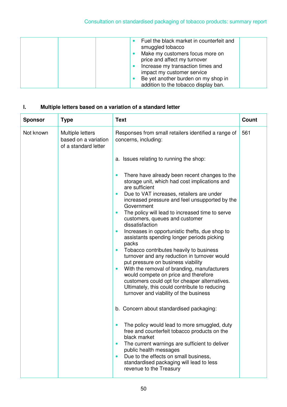| Fuel the black market in counterfeit and<br>smuggled tobacco<br>Make my customers focus more on<br>price and affect my turnover<br>Increase my transaction times and<br>impact my customer service<br>Be yet another burden on my shop in |
|-------------------------------------------------------------------------------------------------------------------------------------------------------------------------------------------------------------------------------------------|
| addition to the tobacco display ban.                                                                                                                                                                                                      |

# **l. Multiple letters based on a variation of a standard letter**

| Not known<br>Responses from small retailers identified a range of<br>Multiple letters<br>561<br>based on a variation<br>concerns, including:<br>of a standard letter                                                                                                                                                                                                                                                                                                                                                                                                                                                                                                                                                                                                                                                                                                                                                                                                                                                                                                                                                                                                                                                                                                  |  |
|-----------------------------------------------------------------------------------------------------------------------------------------------------------------------------------------------------------------------------------------------------------------------------------------------------------------------------------------------------------------------------------------------------------------------------------------------------------------------------------------------------------------------------------------------------------------------------------------------------------------------------------------------------------------------------------------------------------------------------------------------------------------------------------------------------------------------------------------------------------------------------------------------------------------------------------------------------------------------------------------------------------------------------------------------------------------------------------------------------------------------------------------------------------------------------------------------------------------------------------------------------------------------|--|
|                                                                                                                                                                                                                                                                                                                                                                                                                                                                                                                                                                                                                                                                                                                                                                                                                                                                                                                                                                                                                                                                                                                                                                                                                                                                       |  |
| a. Issues relating to running the shop:                                                                                                                                                                                                                                                                                                                                                                                                                                                                                                                                                                                                                                                                                                                                                                                                                                                                                                                                                                                                                                                                                                                                                                                                                               |  |
| There have already been recent changes to the<br>storage unit, which had cost implications and<br>are sufficient<br>Due to VAT increases, retailers are under<br>$\bullet$<br>increased pressure and feel unsupported by the<br>Government<br>The policy will lead to increased time to serve<br>$\bullet$<br>customers, queues and customer<br>dissatisfaction<br>Increases in opportunistic thefts, due shop to<br>$\bullet$<br>assistants spending longer periods picking<br>packs<br>Tobacco contributes heavily to business<br>$\bullet$<br>turnover and any reduction in turnover would<br>put pressure on business viability<br>With the removal of branding, manufacturers<br>$\bullet$<br>would compete on price and therefore<br>customers could opt for cheaper alternatives.<br>Ultimately, this could contribute to reducing<br>turnover and viability of the business<br>b. Concern about standardised packaging:<br>The policy would lead to more smuggled, duty<br>free and counterfeit tobacco products on the<br>black market<br>The current warnings are sufficient to deliver<br>$\bullet$<br>public health messages<br>Due to the effects on small business,<br>$\bullet$<br>standardised packaging will lead to less<br>revenue to the Treasury |  |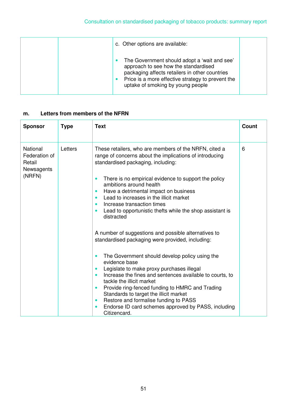| c. Other options are available:                                                                                                                                                                                                  |  |
|----------------------------------------------------------------------------------------------------------------------------------------------------------------------------------------------------------------------------------|--|
| The Government should adopt a 'wait and see'<br>approach to see how the standardised<br>packaging affects retailers in other countries<br>Price is a more effective strategy to prevent the<br>uptake of smoking by young people |  |

## **m. Letters from members of the NFRN**

| <b>Sponsor</b>                                                     | <b>Type</b> | <b>Text</b>                                                                                                                                                                                                                                                                                                                                                                                                                                                                                                                    | <b>Count</b> |
|--------------------------------------------------------------------|-------------|--------------------------------------------------------------------------------------------------------------------------------------------------------------------------------------------------------------------------------------------------------------------------------------------------------------------------------------------------------------------------------------------------------------------------------------------------------------------------------------------------------------------------------|--------------|
| <b>National</b><br>Federation of<br>Retail<br>Newsagents<br>(NRFN) | Letters     | These retailers, who are members of the NRFN, cited a<br>range of concerns about the implications of introducing<br>standardised packaging, including:<br>There is no empirical evidence to support the policy<br>ambitions around health<br>Have a detrimental impact on business<br>Lead to increases in the illicit market<br>Increase transaction times<br>Lead to opportunistic thefts while the shop assistant is<br>distracted                                                                                          | 6            |
|                                                                    |             | A number of suggestions and possible alternatives to<br>standardised packaging were provided, including:<br>The Government should develop policy using the<br>evidence base<br>Legislate to make proxy purchases illegal<br>Increase the fines and sentences available to courts, to<br>tackle the illicit market<br>Provide ring-fenced funding to HMRC and Trading<br>Standards to target the illicit market<br>Restore and formalise funding to PASS<br>Endorse ID card schemes approved by PASS, including<br>Citizencard. |              |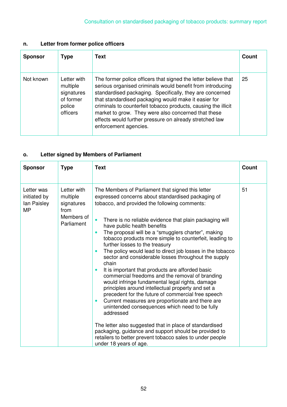# **n. Letter from former police officers**

| <b>Sponsor</b> | <b>Type</b>                                                              | Text                                                                                                                                                                                                                                                                                                                                                                                                                                                          | Count |
|----------------|--------------------------------------------------------------------------|---------------------------------------------------------------------------------------------------------------------------------------------------------------------------------------------------------------------------------------------------------------------------------------------------------------------------------------------------------------------------------------------------------------------------------------------------------------|-------|
| Not known      | Letter with<br>multiple<br>signatures<br>of former<br>police<br>officers | The former police officers that signed the letter believe that<br>serious organised criminals would benefit from introducing<br>standardised packaging. Specifically, they are concerned<br>that standardised packaging would make it easier for<br>criminals to counterfeit tobacco products, causing the illicit<br>market to grow. They were also concerned that these<br>effects would further pressure on already stretched law<br>enforcement agencies. | 25    |

# **o. Letter signed by Members of Parliament**

| <b>Sponsor</b>                                         | <b>Type</b>                                                                      | <b>Text</b>                                                                                                                                                                                                                                                                                                                                                                                                                                                                                                                                                                                                                                                                                                                                                                                                                                                                                                                                                                                                                                                                                                                                                      | <b>Count</b> |
|--------------------------------------------------------|----------------------------------------------------------------------------------|------------------------------------------------------------------------------------------------------------------------------------------------------------------------------------------------------------------------------------------------------------------------------------------------------------------------------------------------------------------------------------------------------------------------------------------------------------------------------------------------------------------------------------------------------------------------------------------------------------------------------------------------------------------------------------------------------------------------------------------------------------------------------------------------------------------------------------------------------------------------------------------------------------------------------------------------------------------------------------------------------------------------------------------------------------------------------------------------------------------------------------------------------------------|--------------|
| Letter was<br>initiated by<br>lan Paisley<br><b>MP</b> | Letter with<br>multiple<br>signatures<br>from<br>Members of<br><b>Parliament</b> | The Members of Parliament that signed this letter<br>expressed concerns about standardised packaging of<br>tobacco, and provided the following comments:<br>There is no reliable evidence that plain packaging will<br>$\bullet$<br>have public health benefits<br>The proposal will be a "smugglers charter", making<br>tobacco products more simple to counterfeit, leading to<br>further losses to the treasury<br>The policy would lead to direct job losses in the tobacco<br>sector and considerable losses throughout the supply<br>chain<br>It is important that products are afforded basic<br>commercial freedoms and the removal of branding<br>would infringe fundamental legal rights, damage<br>principles around intellectual property and set a<br>precedent for the future of commercial free speech<br>Current measures are proportionate and there are<br>$\bullet$<br>unintended consequences which need to be fully<br>addressed<br>The letter also suggested that in place of standardised<br>packaging, guidance and support should be provided to<br>retailers to better prevent tobacco sales to under people<br>under 18 years of age. | 51           |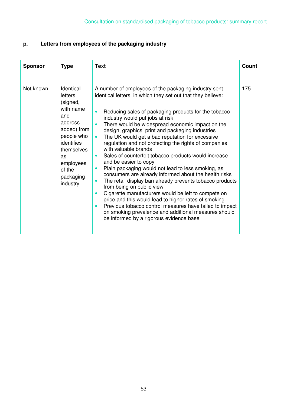# **p. Letters from employees of the packaging industry**

| <b>Sponsor</b> | <b>Type</b>                                                                                                                                                                    | <b>Text</b>                                                                                                                                                                                                                                                                                                                                                                                                                                                                                                                                                                                                                                                                                                                                                                                                                                                                                                                                                                                                                                                             | Count |
|----------------|--------------------------------------------------------------------------------------------------------------------------------------------------------------------------------|-------------------------------------------------------------------------------------------------------------------------------------------------------------------------------------------------------------------------------------------------------------------------------------------------------------------------------------------------------------------------------------------------------------------------------------------------------------------------------------------------------------------------------------------------------------------------------------------------------------------------------------------------------------------------------------------------------------------------------------------------------------------------------------------------------------------------------------------------------------------------------------------------------------------------------------------------------------------------------------------------------------------------------------------------------------------------|-------|
| Not known      | Identical<br>letters<br>(signed,<br>with name<br>and<br>address<br>added) from<br>people who<br>identifies<br>themselves<br>as<br>employees<br>of the<br>packaging<br>industry | A number of employees of the packaging industry sent<br>identical letters, in which they set out that they believe:<br>Reducing sales of packaging products for the tobacco<br>industry would put jobs at risk<br>There would be widespread economic impact on the<br>design, graphics, print and packaging industries<br>The UK would get a bad reputation for excessive<br>$\bullet$<br>regulation and not protecting the rights of companies<br>with valuable brands<br>Sales of counterfeit tobacco products would increase<br>$\bullet$<br>and be easier to copy<br>Plain packaging would not lead to less smoking, as<br>consumers are already informed about the health risks<br>The retail display ban already prevents tobacco products<br>$\bullet$<br>from being on public view<br>Cigarette manufacturers would be left to compete on<br>price and this would lead to higher rates of smoking<br>Previous tobacco control measures have failed to impact<br>on smoking prevalence and additional measures should<br>be informed by a rigorous evidence base | 175   |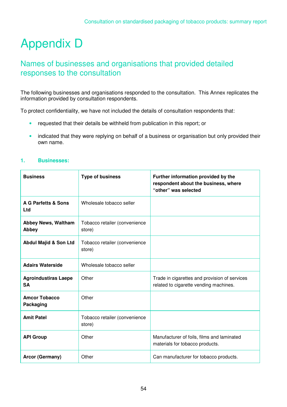# Appendix D

# Names of businesses and organisations that provided detailed responses to the consultation

The following businesses and organisations responded to the consultation. This Annex replicates the information provided by consultation respondents.

To protect confidentiality, we have not included the details of consultation respondents that:

- requested that their details be withheld from publication in this report; or
- indicated that they were replying on behalf of a business or organisation but only provided their own name.

#### **1. Businesses:**

| <b>Business</b>                          | <b>Type of business</b>                 | Further information provided by the<br>respondent about the business, where<br>"other" was selected |
|------------------------------------------|-----------------------------------------|-----------------------------------------------------------------------------------------------------|
| <b>A G Parfetts &amp; Sons</b><br>Ltd    | Wholesale tobacco seller                |                                                                                                     |
| <b>Abbey News, Waltham</b><br>Abbey      | Tobacco retailer (convenience<br>store) |                                                                                                     |
| <b>Abdul Majid &amp; Son Ltd</b>         | Tobacco retailer (convenience<br>store) |                                                                                                     |
| <b>Adairs Waterside</b>                  | Wholesale tobacco seller                |                                                                                                     |
| <b>Agroindustiras Laepe</b><br><b>SA</b> | Other                                   | Trade in cigarettes and provision of services<br>related to cigarette vending machines.             |
| <b>Amcor Tobacco</b><br>Packaging        | Other                                   |                                                                                                     |
| <b>Amit Patel</b>                        | Tobacco retailer (convenience<br>store) |                                                                                                     |
| <b>API Group</b>                         | Other                                   | Manufacturer of foils, films and laminated<br>materials for tobacco products.                       |
| <b>Arcor (Germany)</b>                   | Other                                   | Can manufacturer for tobacco products.                                                              |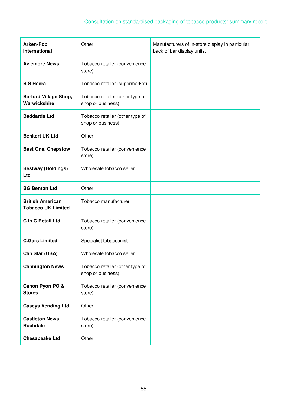# Consultation on standardised packaging of tobacco products: summary report

| <b>Arken-Pop</b><br><b>International</b>             | Other                                                | Manufacturers of in-store display in particular<br>back of bar display units. |
|------------------------------------------------------|------------------------------------------------------|-------------------------------------------------------------------------------|
| <b>Aviemore News</b>                                 | Tobacco retailer (convenience<br>store)              |                                                                               |
| <b>B S Heera</b>                                     | Tobacco retailer (supermarket)                       |                                                                               |
| <b>Barford Village Shop,</b><br>Warwickshire         | Tobacco retailer (other type of<br>shop or business) |                                                                               |
| <b>Beddards Ltd</b>                                  | Tobacco retailer (other type of<br>shop or business) |                                                                               |
| <b>Benkert UK Ltd</b>                                | Other                                                |                                                                               |
| <b>Best One, Chepstow</b>                            | Tobacco retailer (convenience<br>store)              |                                                                               |
| <b>Bestway (Holdings)</b><br>Ltd                     | Wholesale tobacco seller                             |                                                                               |
| <b>BG Benton Ltd</b>                                 | Other                                                |                                                                               |
| <b>British American</b><br><b>Tobacco UK Limited</b> | Tobacco manufacturer                                 |                                                                               |
| C In C Retail Ltd                                    | Tobacco retailer (convenience<br>store)              |                                                                               |
| <b>C.Gars Limited</b>                                | Specialist tobacconist                               |                                                                               |
| Can Star (USA)                                       | Wholesale tobacco seller                             |                                                                               |
| <b>Cannington News</b>                               | Tobacco retailer (other type of<br>shop or business) |                                                                               |
| Canon Pyon PO &<br><b>Stores</b>                     | Tobacco retailer (convenience<br>store)              |                                                                               |
| <b>Caseys Vending Ltd</b>                            | Other                                                |                                                                               |
| <b>Castleton News,</b><br><b>Rochdale</b>            | Tobacco retailer (convenience<br>store)              |                                                                               |
| <b>Chesapeake Ltd</b>                                | Other                                                |                                                                               |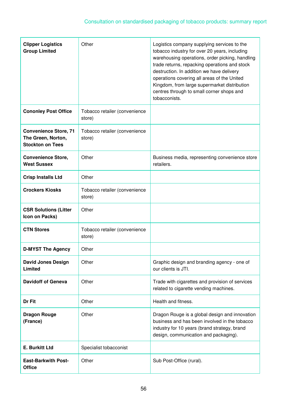| <b>Clipper Logistics</b><br><b>Group Limited</b>                              | Other                                   | Logistics company supplying services to the<br>tobacco industry for over 20 years, including<br>warehousing operations, order picking, handling<br>trade returns, repacking operations and stock<br>destruction. In addition we have delivery<br>operations covering all areas of the United<br>Kingdom, from large supermarket distribution<br>centres through to small corner shops and<br>tobacconists. |
|-------------------------------------------------------------------------------|-----------------------------------------|------------------------------------------------------------------------------------------------------------------------------------------------------------------------------------------------------------------------------------------------------------------------------------------------------------------------------------------------------------------------------------------------------------|
| <b>Cononley Post Office</b>                                                   | Tobacco retailer (convenience<br>store) |                                                                                                                                                                                                                                                                                                                                                                                                            |
| <b>Convenience Store, 71</b><br>The Green, Norton,<br><b>Stockton on Tees</b> | Tobacco retailer (convenience<br>store) |                                                                                                                                                                                                                                                                                                                                                                                                            |
| <b>Convenience Store,</b><br><b>West Sussex</b>                               | Other                                   | Business media, representing convenience store<br>retailers.                                                                                                                                                                                                                                                                                                                                               |
| <b>Crisp Installs Ltd</b>                                                     | Other                                   |                                                                                                                                                                                                                                                                                                                                                                                                            |
| <b>Crockers Kiosks</b>                                                        | Tobacco retailer (convenience<br>store) |                                                                                                                                                                                                                                                                                                                                                                                                            |
| <b>CSR Solutions (Litter</b><br>Icon on Packs)                                | Other                                   |                                                                                                                                                                                                                                                                                                                                                                                                            |
| <b>CTN Stores</b>                                                             | Tobacco retailer (convenience<br>store) |                                                                                                                                                                                                                                                                                                                                                                                                            |
| <b>D-MYST The Agency</b>                                                      | Other                                   |                                                                                                                                                                                                                                                                                                                                                                                                            |
| <b>David Jones Design</b><br>Limited                                          | Other                                   | Graphic design and branding agency - one of<br>our clients is JTI.                                                                                                                                                                                                                                                                                                                                         |
| <b>Davidoff of Geneva</b>                                                     | Other                                   | Trade with cigarettes and provision of services<br>related to cigarette vending machines.                                                                                                                                                                                                                                                                                                                  |
| Dr Fit                                                                        | Other                                   | Health and fitness.                                                                                                                                                                                                                                                                                                                                                                                        |
| <b>Dragon Rouge</b><br>(France)                                               | Other                                   | Dragon Rouge is a global design and innovation<br>business and has been involved in the tobacco<br>industry for 10 years (brand strategy, brand<br>design, communication and packaging).                                                                                                                                                                                                                   |
| <b>E. Burkitt Ltd</b>                                                         | Specialist tobacconist                  |                                                                                                                                                                                                                                                                                                                                                                                                            |
| <b>East-Barkwith Post-</b><br><b>Office</b>                                   | Other                                   | Sub Post-Office (rural).                                                                                                                                                                                                                                                                                                                                                                                   |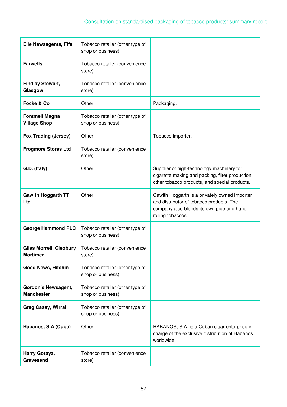| <b>Elie Newsagents, Fife</b>                      | Tobacco retailer (other type of<br>shop or business) |                                                                                                                                                              |
|---------------------------------------------------|------------------------------------------------------|--------------------------------------------------------------------------------------------------------------------------------------------------------------|
| <b>Farwells</b>                                   | Tobacco retailer (convenience<br>store)              |                                                                                                                                                              |
| <b>Findlay Stewart,</b><br>Glasgow                | Tobacco retailer (convenience<br>store)              |                                                                                                                                                              |
| Focke & Co                                        | Other                                                | Packaging.                                                                                                                                                   |
| <b>Fontmell Magna</b><br><b>Village Shop</b>      | Tobacco retailer (other type of<br>shop or business) |                                                                                                                                                              |
| <b>Fox Trading (Jersey)</b>                       | Other                                                | Tobacco importer.                                                                                                                                            |
| <b>Frogmore Stores Ltd</b>                        | Tobacco retailer (convenience<br>store)              |                                                                                                                                                              |
| G.D. (Italy)                                      | Other                                                | Supplier of high-technology machinery for<br>cigarette making and packing, filter production,<br>other tobacco products, and special products.               |
| <b>Gawith Hoggarth TT</b><br>Ltd                  | Other                                                | Gawith Hoggarth is a privately owned importer<br>and distributor of tobacco products. The<br>company also blends its own pipe and hand-<br>rolling tobaccos. |
| <b>George Hammond PLC</b>                         | Tobacco retailer (other type of<br>shop or business) |                                                                                                                                                              |
| <b>Giles Morrell, Cleobury</b><br><b>Mortimer</b> | Tobacco retailer (convenience<br>store)              |                                                                                                                                                              |
| <b>Good News, Hitchin</b>                         | Tobacco retailer (other type of<br>shop or business) |                                                                                                                                                              |
| <b>Gordon's Newsagent,</b><br><b>Manchester</b>   | Tobacco retailer (other type of<br>shop or business) |                                                                                                                                                              |
| <b>Greg Casey, Wirral</b>                         | Tobacco retailer (other type of<br>shop or business) |                                                                                                                                                              |
| Habanos, S.A (Cuba)                               | Other                                                | HABANOS, S.A. is a Cuban cigar enterprise in<br>charge of the exclusive distribution of Habanos<br>worldwide.                                                |
| Harry Goraya,<br>Gravesend                        | Tobacco retailer (convenience<br>store)              |                                                                                                                                                              |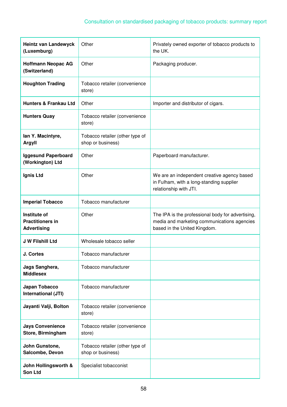| <b>Heintz van Landewyck</b><br>(Luxemburg)                    | Other                                                | Privately owned exporter of tobacco products to<br>the UK.                                                                       |
|---------------------------------------------------------------|------------------------------------------------------|----------------------------------------------------------------------------------------------------------------------------------|
| <b>Hoffmann Neopac AG</b><br>(Switzerland)                    | Other                                                | Packaging producer.                                                                                                              |
| <b>Houghton Trading</b>                                       | Tobacco retailer (convenience<br>store)              |                                                                                                                                  |
| <b>Hunters &amp; Frankau Ltd</b>                              | Other                                                | Importer and distributor of cigars.                                                                                              |
| <b>Hunters Quay</b>                                           | Tobacco retailer (convenience<br>store)              |                                                                                                                                  |
| lan Y. Macintyre,<br><b>Argyll</b>                            | Tobacco retailer (other type of<br>shop or business) |                                                                                                                                  |
| <b>Iggesund Paperboard</b><br>(Workington) Ltd                | Other                                                | Paperboard manufacturer.                                                                                                         |
| Ignis Ltd                                                     | Other                                                | We are an independent creative agency based<br>in Fulham, with a long-standing supplier<br>relationship with JTI.                |
| <b>Imperial Tobacco</b>                                       | Tobacco manufacturer                                 |                                                                                                                                  |
| Institute of<br><b>Practitioners in</b><br><b>Advertising</b> | Other                                                | The IPA is the professional body for advertising,<br>media and marketing communications agencies<br>based in the United Kingdom. |
| <b>J W Filshill Ltd</b>                                       | Wholesale tobacco seller                             |                                                                                                                                  |
| <b>J. Cortes</b>                                              | Tobacco manufacturer                                 |                                                                                                                                  |
| Jags Sanghera,<br><b>Middlesex</b>                            | Tobacco manufacturer                                 |                                                                                                                                  |
| Japan Tobacco<br>International (JTI)                          | Tobacco manufacturer                                 |                                                                                                                                  |
| Jayanti Valji, Bolton                                         | Tobacco retailer (convenience<br>store)              |                                                                                                                                  |
| <b>Jays Convenience</b><br>Store, Birmingham                  | Tobacco retailer (convenience<br>store)              |                                                                                                                                  |
| John Gunstone,<br>Salcombe, Devon                             | Tobacco retailer (other type of<br>shop or business) |                                                                                                                                  |
| John Hollingsworth &<br>Son Ltd                               | Specialist tobacconist                               |                                                                                                                                  |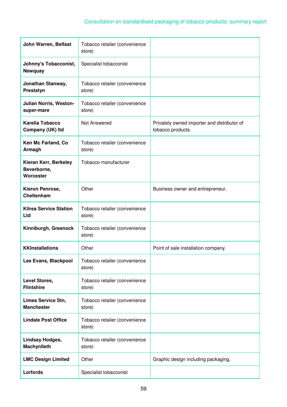# Consultation on standardised packaging of tobacco products: summary report

| John Warren, Belfast                              | Tobacco retailer (convenience<br>store) |                                                                  |
|---------------------------------------------------|-----------------------------------------|------------------------------------------------------------------|
| Johnny's Tobacconist,<br>Newquay                  | Specialist tobacconist                  |                                                                  |
| Jonathan Stanway,<br>Prestatyn                    | Tobacco retailer (convenience<br>store) |                                                                  |
| Julian Norris, Weston-<br>super-mare              | Tobacco retailer (convenience<br>store) |                                                                  |
| <b>Karelia Tobacco</b><br>Company (UK) Itd        | Not Answered                            | Privately owned importer and distributor of<br>tobacco products. |
| Ken Mc Farland, Co<br>Armagh                      | Tobacco retailer (convenience<br>store) |                                                                  |
| Kieran Kerr, Berkeley<br>Beverborne,<br>Worcester | Tobacco manufacturer                    |                                                                  |
| Kieron Penrose,<br>Cheltenham                     | Other                                   | Business owner and entrepreneur.                                 |
| <b>Kilrea Service Station</b><br>Ltd              | Tobacco retailer (convenience<br>store) |                                                                  |
| Kinniburgh, Greenock                              | Tobacco retailer (convenience<br>store) |                                                                  |
| <b>KKInstallations</b>                            | Other                                   | Point of sale installation company.                              |
| Lee Evans, Blackpool                              | Tobacco retailer (convenience<br>store) |                                                                  |
| Level Stores,<br><b>Flintshire</b>                | Tobacco retailer (convenience<br>store) |                                                                  |
| <b>Limes Service Stn,</b><br><b>Manchester</b>    | Tobacco retailer (convenience<br>store) |                                                                  |
| <b>Lindale Post Office</b>                        | Tobacco retailer (convenience<br>store) |                                                                  |
| <b>Lindsay Hodges,</b><br>Machynlleth             | Tobacco retailer (convenience<br>store) |                                                                  |
| <b>LMC Design Limited</b>                         | Other                                   | Graphic design including packaging.                              |
| Lorfords                                          | Specialist tobacconist                  |                                                                  |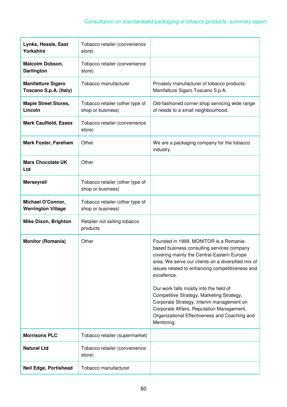| Lynks, Hessle, East<br><b>Yorkshire</b>             | Tobacco retailer (convenience<br>store)              |                                                                                                                                                                                                                                                                                                                                                    |
|-----------------------------------------------------|------------------------------------------------------|----------------------------------------------------------------------------------------------------------------------------------------------------------------------------------------------------------------------------------------------------------------------------------------------------------------------------------------------------|
| <b>Malcolm Dobson,</b><br><b>Darlington</b>         | Tobacco retailer (convenience<br>store)              |                                                                                                                                                                                                                                                                                                                                                    |
| <b>Manifatture Sigaro</b><br>Toscano S.p.A. (Italy) | Tobacco manufacturer                                 | Privately manufacturer of tobacco products:<br>Manifatture Sigaro Toscano S.p.A.                                                                                                                                                                                                                                                                   |
| <b>Maple Street Stores,</b><br>Lincoln              | Tobacco retailer (other type of<br>shop or business) | Old-fashioned corner shop servicing wide range<br>of needs to a small neighbourhood.                                                                                                                                                                                                                                                               |
| <b>Mark Caulfield, Essex</b>                        | Tobacco retailer (convenience<br>store)              |                                                                                                                                                                                                                                                                                                                                                    |
| <b>Mark Foster, Fareham</b>                         | Other                                                | We are a packaging company for the tobacco<br>industry.                                                                                                                                                                                                                                                                                            |
| <b>Mars Chocolate UK</b><br>Ltd                     | Other                                                |                                                                                                                                                                                                                                                                                                                                                    |
| <b>Merseyrail</b>                                   | Tobacco retailer (other type of<br>shop or business) |                                                                                                                                                                                                                                                                                                                                                    |
| Michael O'Connor,<br><b>Werrington Village</b>      | Tobacco retailer (other type of<br>shop or business) |                                                                                                                                                                                                                                                                                                                                                    |
| <b>Mike Dixon, Brighton</b>                         | Retailer not selling tobacco<br>products             |                                                                                                                                                                                                                                                                                                                                                    |
| <b>Monitor (Romania)</b>                            | Other                                                | Founded in 1999, MONITOR is a Romania-<br>based business consulting services company<br>covering mainly the Central-Eastern Europe<br>area. We serve our clients on a diversified mix of<br>issues related to enhancing competitiveness and<br>excellence.<br>Our work falls mostly into the field of<br>Competitive Strategy, Marketing Strategy, |
|                                                     |                                                      | Corporate Strategy, Interim management on<br>Corporate Affairs, Reputation Management,<br>Organizational Effectiveness and Coaching and<br>Mentoring.                                                                                                                                                                                              |
| <b>Morrisons PLC</b>                                | Tobacco retailer (supermarket)                       |                                                                                                                                                                                                                                                                                                                                                    |
| <b>Natural Ltd</b>                                  | Tobacco retailer (convenience<br>store)              |                                                                                                                                                                                                                                                                                                                                                    |
| <b>Neil Edge, Portishead</b>                        | Tobacco manufacturer                                 |                                                                                                                                                                                                                                                                                                                                                    |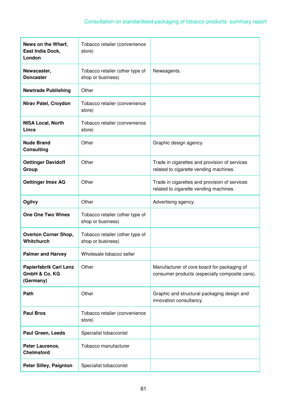| News on the Wharf,<br>East India Dock,<br>London            | Tobacco retailer (convenience<br>store)              |                                                                                               |
|-------------------------------------------------------------|------------------------------------------------------|-----------------------------------------------------------------------------------------------|
| Newscaster,<br><b>Doncaster</b>                             | Tobacco retailer (other type of<br>shop or business) | Newsagents.                                                                                   |
| <b>Newtrade Publishing</b>                                  | Other                                                |                                                                                               |
| Nirav Patel, Croydon                                        | Tobacco retailer (convenience<br>store)              |                                                                                               |
| <b>NISA Local, North</b><br><b>Lincs</b>                    | Tobacco retailer (convenience<br>store)              |                                                                                               |
| <b>Nude Brand</b><br><b>Consulting</b>                      | Other                                                | Graphic design agency.                                                                        |
| <b>Oettinger Davidoff</b><br>Group                          | Other                                                | Trade in cigarettes and provision of services<br>related to cigarette vending machines.       |
| <b>Oettinger Imex AG</b>                                    | Other                                                | Trade in cigarettes and provision of services<br>related to cigarette vending machines.       |
| Ogilvy                                                      | Other                                                | Advertising agency.                                                                           |
| <b>One One Two Wines</b>                                    | Tobacco retailer (other type of<br>shop or business) |                                                                                               |
| <b>Overton Corner Shop,</b><br>Whitchurch                   | Tobacco retailer (other type of<br>shop or business) |                                                                                               |
| <b>Palmer and Harvey</b>                                    | Wholesale tobacco seller                             |                                                                                               |
| <b>Papierfabrik Carl Lenz</b><br>GmbH & Co. KG<br>(Germany) | Other                                                | Manufacturer of core board for packaging of<br>consumer products (especially composite cans). |
| Path                                                        | Other                                                | Graphic and structural packaging design and<br>innovation consultancy.                        |
| <b>Paul Bros</b>                                            | Tobacco retailer (convenience<br>store)              |                                                                                               |
| Paul Green, Leeds                                           | Specialist tobacconist                               |                                                                                               |
| Peter Laurence,<br><b>Chelmsford</b>                        | Tobacco manufacturer                                 |                                                                                               |
| <b>Peter Silley, Paignton</b>                               | Specialist tobacconist                               |                                                                                               |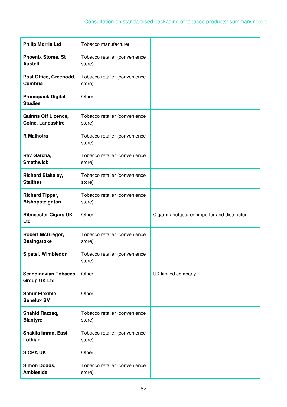| <b>Philip Morris Ltd</b>                           | Tobacco manufacturer                    |                                              |
|----------------------------------------------------|-----------------------------------------|----------------------------------------------|
| <b>Phoenix Stores, St</b><br><b>Austell</b>        | Tobacco retailer (convenience<br>store) |                                              |
| Post Office, Greenodd,<br>Cumbria                  | Tobacco retailer (convenience<br>store) |                                              |
| <b>Promopack Digital</b><br><b>Studies</b>         | Other                                   |                                              |
| <b>Quinns Off Licence,</b><br>Colne, Lancashire    | Tobacco retailer (convenience<br>store) |                                              |
| <b>R</b> Malhotra                                  | Tobacco retailer (convenience<br>store) |                                              |
| Rav Garcha,<br><b>Smethwick</b>                    | Tobacco retailer (convenience<br>store) |                                              |
| <b>Richard Blakeley,</b><br><b>Staithes</b>        | Tobacco retailer (convenience<br>store) |                                              |
| <b>Richard Tipper,</b><br><b>Bishopsteignton</b>   | Tobacco retailer (convenience<br>store) |                                              |
|                                                    |                                         |                                              |
| <b>Ritmeester Cigars UK</b><br>Ltd                 | Other                                   | Cigar manufacturer, importer and distributor |
| Robert McGregor,<br><b>Basingstoke</b>             | Tobacco retailer (convenience<br>store) |                                              |
| S patel, Wimbledon                                 | Tobacco retailer (convenience<br>store) |                                              |
| <b>Scandinavian Tobacco</b><br><b>Group UK Ltd</b> | Other                                   | UK limited company                           |
| <b>Schur Flexible</b><br><b>Benelux BV</b>         | Other                                   |                                              |
| Shahid Razzaq,<br><b>Blantyre</b>                  | Tobacco retailer (convenience<br>store) |                                              |
| Shakila Imran, East<br>Lothian                     | Tobacco retailer (convenience<br>store) |                                              |
| <b>SICPA UK</b>                                    | Other                                   |                                              |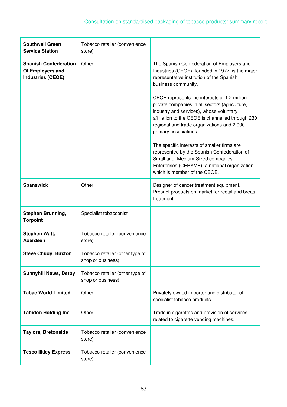| <b>Southwell Green</b><br><b>Service Station</b>                             | Tobacco retailer (convenience<br>store)              |                                                                                                                                                                                                                                                                                                                                                                                                                                                                                                                                                                                                                                                                 |
|------------------------------------------------------------------------------|------------------------------------------------------|-----------------------------------------------------------------------------------------------------------------------------------------------------------------------------------------------------------------------------------------------------------------------------------------------------------------------------------------------------------------------------------------------------------------------------------------------------------------------------------------------------------------------------------------------------------------------------------------------------------------------------------------------------------------|
| <b>Spanish Confederation</b><br>Of Employers and<br><b>Industries (CEOE)</b> | Other                                                | The Spanish Confederation of Employers and<br>Industries (CEOE), founded in 1977, is the major<br>representative institution of the Spanish<br>business community.<br>CEOE represents the interests of 1.2 million<br>private companies in all sectors (agriculture,<br>industry and services), whose voluntary<br>affiliation to the CEOE is channelled through 230<br>regional and trade organizations and 2,000<br>primary associations.<br>The specific interests of smaller firms are<br>represented by the Spanish Confederation of<br>Small and, Medium-Sized companies<br>Enterprises (CEPYME), a national organization<br>which is member of the CEOE. |
| <b>Spanswick</b>                                                             | Other                                                | Designer of cancer treatment equipment.<br>Presnet products on market for rectal and breast<br>treatment.                                                                                                                                                                                                                                                                                                                                                                                                                                                                                                                                                       |
| Stephen Brunning,<br><b>Torpoint</b>                                         | Specialist tobacconist                               |                                                                                                                                                                                                                                                                                                                                                                                                                                                                                                                                                                                                                                                                 |
| Stephen Watt,<br>Aberdeen                                                    | Tobacco retailer (convenience<br>store)              |                                                                                                                                                                                                                                                                                                                                                                                                                                                                                                                                                                                                                                                                 |
| <b>Steve Chudy, Buxton</b>                                                   | Tobacco retailer (other type of<br>shop or business) |                                                                                                                                                                                                                                                                                                                                                                                                                                                                                                                                                                                                                                                                 |
| <b>Sunnyhill News, Derby</b>                                                 | Tobacco retailer (other type of<br>shop or business) |                                                                                                                                                                                                                                                                                                                                                                                                                                                                                                                                                                                                                                                                 |
| <b>Tabac World Limited</b>                                                   | Other                                                | Privately owned importer and distributor of<br>specialist tobacco products.                                                                                                                                                                                                                                                                                                                                                                                                                                                                                                                                                                                     |
| <b>Tabidon Holding Inc</b>                                                   | Other                                                | Trade in cigarettes and provision of services<br>related to cigarette vending machines.                                                                                                                                                                                                                                                                                                                                                                                                                                                                                                                                                                         |
| <b>Taylors, Bretonside</b>                                                   | Tobacco retailer (convenience<br>store)              |                                                                                                                                                                                                                                                                                                                                                                                                                                                                                                                                                                                                                                                                 |
| <b>Tesco Ilkley Express</b>                                                  | Tobacco retailer (convenience<br>store)              |                                                                                                                                                                                                                                                                                                                                                                                                                                                                                                                                                                                                                                                                 |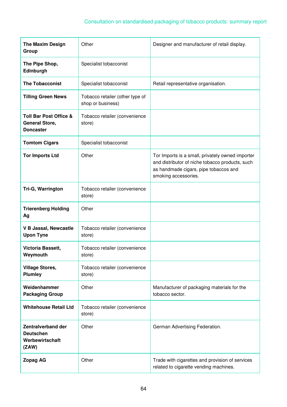| <b>The Maxim Design</b><br>Group                                               | Other                                                | Designer and manufacturer of retail display.                                                                                                                         |
|--------------------------------------------------------------------------------|------------------------------------------------------|----------------------------------------------------------------------------------------------------------------------------------------------------------------------|
| The Pipe Shop,<br>Edinburgh                                                    | Specialist tobacconist                               |                                                                                                                                                                      |
| <b>The Tobacconist</b>                                                         | Specialist tobacconist                               | Retail representative organisation.                                                                                                                                  |
| <b>Tilling Green News</b>                                                      | Tobacco retailer (other type of<br>shop or business) |                                                                                                                                                                      |
| <b>Toll Bar Post Office &amp;</b><br><b>General Store,</b><br><b>Doncaster</b> | Tobacco retailer (convenience<br>store)              |                                                                                                                                                                      |
| <b>Tomtom Cigars</b>                                                           | Specialist tobacconist                               |                                                                                                                                                                      |
| <b>Tor Imports Ltd</b>                                                         | Other                                                | Tor Imports is a small, privately owned importer<br>and distributor of niche tobacco products, such<br>as handmade cigars, pipe tobaccos and<br>smoking accessories. |
| Tri-G, Warrington                                                              | Tobacco retailer (convenience<br>store)              |                                                                                                                                                                      |
| <b>Trierenberg Holding</b><br>Ag                                               | Other                                                |                                                                                                                                                                      |
| <b>V B Jassal, Newcastle</b><br><b>Upon Tyne</b>                               | Tobacco retailer (convenience<br>store)              |                                                                                                                                                                      |
| Victoria Bassett,<br>Weymouth                                                  | Tobacco retailer (convenience<br>store)              |                                                                                                                                                                      |
| <b>Village Stores,</b><br><b>Plumley</b>                                       | Tobacco retailer (convenience<br>store)              |                                                                                                                                                                      |
| Weidenhammer<br><b>Packaging Group</b>                                         | Other                                                | Manufacturer of packaging materials for the<br>tobacco sector.                                                                                                       |
| <b>Whitehouse Retail Ltd</b>                                                   | Tobacco retailer (convenience<br>store)              |                                                                                                                                                                      |
| <b>Zentralverband der</b><br><b>Deutschen</b><br>Werbewirtschaft<br>(ZAW)      | Other                                                | German Advertising Federation.                                                                                                                                       |
| <b>Zopag AG</b>                                                                | Other                                                | Trade with cigarettes and provision of services<br>related to cigarette vending machines.                                                                            |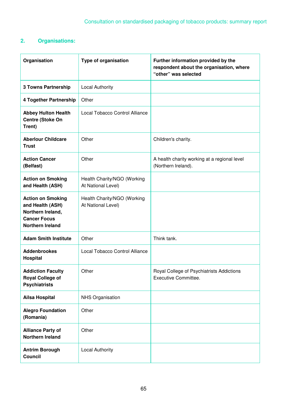# **2. Organisations:**

| Organisation                                                                                                        | <b>Type of organisation</b>                       | Further information provided by the<br>respondent about the organisation, where<br>"other" was selected |
|---------------------------------------------------------------------------------------------------------------------|---------------------------------------------------|---------------------------------------------------------------------------------------------------------|
| <b>3 Towns Partnership</b>                                                                                          | <b>Local Authority</b>                            |                                                                                                         |
| 4 Together Partnership                                                                                              | Other                                             |                                                                                                         |
| <b>Abbey Hulton Health</b><br>Centre (Stoke On<br>Trent)                                                            | Local Tobacco Control Alliance                    |                                                                                                         |
| <b>Aberlour Childcare</b><br><b>Trust</b>                                                                           | Other                                             | Children's charity.                                                                                     |
| <b>Action Cancer</b><br>(Belfast)                                                                                   | Other                                             | A health charity working at a regional level<br>(Northern Ireland).                                     |
| <b>Action on Smoking</b><br>and Health (ASH)                                                                        | Health Charity/NGO (Working<br>At National Level) |                                                                                                         |
| <b>Action on Smoking</b><br>and Health (ASH)<br>Northern Ireland,<br><b>Cancer Focus</b><br><b>Northern Ireland</b> | Health Charity/NGO (Working<br>At National Level) |                                                                                                         |
| <b>Adam Smith Institute</b>                                                                                         | Other                                             | Think tank.                                                                                             |
| <b>Addenbrookes</b><br>Hospital                                                                                     | Local Tobacco Control Alliance                    |                                                                                                         |
| <b>Addiction Faculty</b><br><b>Royal College of</b><br><b>Psychiatrists</b>                                         | Other                                             | Royal College of Psychiatrists Addictions<br>Executive Committee.                                       |
| <b>Ailsa Hospital</b>                                                                                               | <b>NHS Organisation</b>                           |                                                                                                         |
| <b>Alegro Foundation</b><br>(Romania)                                                                               | Other                                             |                                                                                                         |
| <b>Alliance Party of</b><br><b>Northern Ireland</b>                                                                 | Other                                             |                                                                                                         |
| <b>Antrim Borough</b><br><b>Council</b>                                                                             | <b>Local Authority</b>                            |                                                                                                         |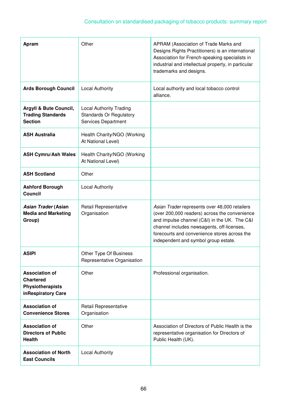| Apram                                                                                      | Other                                                                                   | APRAM (Association of Trade Marks and<br>Designs Rights Practitioners) is an international<br>Association for French-speaking specialists in<br>industrial and intellectual property, in particular<br>trademarks and designs.                                                       |
|--------------------------------------------------------------------------------------------|-----------------------------------------------------------------------------------------|--------------------------------------------------------------------------------------------------------------------------------------------------------------------------------------------------------------------------------------------------------------------------------------|
| <b>Ards Borough Council</b>                                                                | <b>Local Authority</b>                                                                  | Local authority and local tobacco control<br>alliance.                                                                                                                                                                                                                               |
| Argyll & Bute Council,<br><b>Trading Standards</b><br><b>Section</b>                       | <b>Local Authority Trading</b><br><b>Standards Or Regulatory</b><br>Services Department |                                                                                                                                                                                                                                                                                      |
| <b>ASH Australia</b>                                                                       | Health Charity/NGO (Working<br>At National Level)                                       |                                                                                                                                                                                                                                                                                      |
| <b>ASH Cymru/Ash Wales</b>                                                                 | Health Charity/NGO (Working<br>At National Level)                                       |                                                                                                                                                                                                                                                                                      |
| <b>ASH Scotland</b>                                                                        | Other                                                                                   |                                                                                                                                                                                                                                                                                      |
| <b>Ashford Borough</b><br><b>Council</b>                                                   | <b>Local Authority</b>                                                                  |                                                                                                                                                                                                                                                                                      |
| Asian Trader (Asian<br><b>Media and Marketing</b><br>Group)                                | Retail Representative<br>Organisation                                                   | Asian Trader represents over 48,000 retailers<br>(over 200,000 readers) across the convenience<br>and impulse channel (C&I) in the UK. The C&I<br>channel includes newsagents, off-licenses,<br>forecourts and convenience stores across the<br>independent and symbol group estate. |
| <b>ASIPI</b>                                                                               | Other Type Of Business<br>Representative Organisation                                   |                                                                                                                                                                                                                                                                                      |
| <b>Association of</b><br><b>Chartered</b><br><b>Physiotherapists</b><br>inRespiratory Care | Other                                                                                   | Professional organisation.                                                                                                                                                                                                                                                           |
| <b>Association of</b><br><b>Convenience Stores</b>                                         | <b>Retail Representative</b><br>Organisation                                            |                                                                                                                                                                                                                                                                                      |
| <b>Association of</b><br><b>Directors of Public</b><br><b>Health</b>                       | Other                                                                                   | Association of Directors of Public Health is the<br>representative organisation for Directors of<br>Public Health (UK).                                                                                                                                                              |
| <b>Association of North</b>                                                                | <b>Local Authority</b>                                                                  |                                                                                                                                                                                                                                                                                      |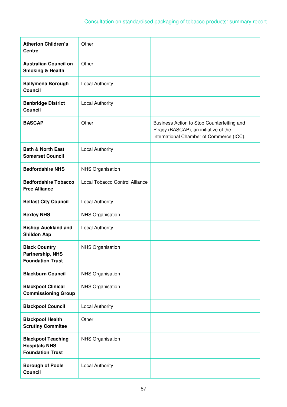| <b>Atherton Children's</b><br><b>Centre</b>                                  | Other                          |                                                                                                                                 |
|------------------------------------------------------------------------------|--------------------------------|---------------------------------------------------------------------------------------------------------------------------------|
| <b>Australian Council on</b><br><b>Smoking &amp; Health</b>                  | Other                          |                                                                                                                                 |
| <b>Ballymena Borough</b><br><b>Council</b>                                   | <b>Local Authority</b>         |                                                                                                                                 |
| <b>Banbridge District</b><br><b>Council</b>                                  | <b>Local Authority</b>         |                                                                                                                                 |
| <b>BASCAP</b>                                                                | Other                          | Business Action to Stop Counterfeiting and<br>Piracy (BASCAP), an initiative of the<br>International Chamber of Commerce (ICC). |
| <b>Bath &amp; North East</b><br><b>Somerset Council</b>                      | <b>Local Authority</b>         |                                                                                                                                 |
| <b>Bedfordshire NHS</b>                                                      | <b>NHS Organisation</b>        |                                                                                                                                 |
| <b>Bedfordshire Tobacco</b><br><b>Free Alliance</b>                          | Local Tobacco Control Alliance |                                                                                                                                 |
| <b>Belfast City Council</b>                                                  | <b>Local Authority</b>         |                                                                                                                                 |
| <b>Bexley NHS</b>                                                            | <b>NHS Organisation</b>        |                                                                                                                                 |
| <b>Bishop Auckland and</b><br><b>Shildon Aap</b>                             | <b>Local Authority</b>         |                                                                                                                                 |
| <b>Black Country</b><br><b>Partnership, NHS</b><br><b>Foundation Trust</b>   | <b>NHS Organisation</b>        |                                                                                                                                 |
| <b>Blackburn Council</b>                                                     | <b>NHS Organisation</b>        |                                                                                                                                 |
| <b>Blackpool Clinical</b><br><b>Commissioning Group</b>                      | NHS Organisation               |                                                                                                                                 |
| <b>Blackpool Council</b>                                                     | <b>Local Authority</b>         |                                                                                                                                 |
| <b>Blackpool Health</b><br><b>Scrutiny Commitee</b>                          | Other                          |                                                                                                                                 |
| <b>Blackpool Teaching</b><br><b>Hospitals NHS</b><br><b>Foundation Trust</b> | <b>NHS Organisation</b>        |                                                                                                                                 |
| <b>Borough of Poole</b><br><b>Council</b>                                    | <b>Local Authority</b>         |                                                                                                                                 |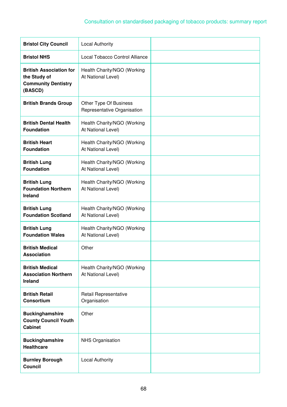# Consultation on standardised packaging of tobacco products: summary report

| <b>Bristol City Council</b>                                                             | <b>Local Authority</b>                                |  |
|-----------------------------------------------------------------------------------------|-------------------------------------------------------|--|
| <b>Bristol NHS</b>                                                                      | Local Tobacco Control Alliance                        |  |
| <b>British Association for</b><br>the Study of<br><b>Community Dentistry</b><br>(BASCD) | Health Charity/NGO (Working<br>At National Level)     |  |
| <b>British Brands Group</b>                                                             | Other Type Of Business<br>Representative Organisation |  |
| <b>British Dental Health</b><br><b>Foundation</b>                                       | Health Charity/NGO (Working<br>At National Level)     |  |
| <b>British Heart</b><br><b>Foundation</b>                                               | Health Charity/NGO (Working<br>At National Level)     |  |
| <b>British Lung</b><br><b>Foundation</b>                                                | Health Charity/NGO (Working<br>At National Level)     |  |
| <b>British Lung</b><br><b>Foundation Northern</b><br>Ireland                            | Health Charity/NGO (Working<br>At National Level)     |  |
| <b>British Lung</b><br><b>Foundation Scotland</b>                                       | Health Charity/NGO (Working<br>At National Level)     |  |
| <b>British Lung</b><br><b>Foundation Wales</b>                                          | Health Charity/NGO (Working<br>At National Level)     |  |
| <b>British Medical</b><br><b>Association</b>                                            | Other                                                 |  |
| <b>British Medical</b><br><b>Association Northern</b><br>Ireland                        | Health Charity/NGO (Working<br>At National Level)     |  |
| <b>British Retail</b><br>Consortium                                                     | Retail Representative<br>Organisation                 |  |
| <b>Buckinghamshire</b><br><b>County Council Youth</b><br><b>Cabinet</b>                 | Other                                                 |  |
| <b>Buckinghamshire</b><br><b>Healthcare</b>                                             | <b>NHS Organisation</b>                               |  |
| <b>Burnley Borough</b><br><b>Council</b>                                                | <b>Local Authority</b>                                |  |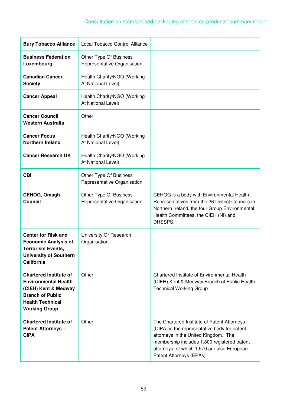| <b>Bury Tobacco Alliance</b>                                                                                                                                       | Local Tobacco Control Alliance                        |                                                                                                                                                                                                                                                              |
|--------------------------------------------------------------------------------------------------------------------------------------------------------------------|-------------------------------------------------------|--------------------------------------------------------------------------------------------------------------------------------------------------------------------------------------------------------------------------------------------------------------|
| <b>Business Federation</b><br>Luxembourg                                                                                                                           | Other Type Of Business<br>Representative Organisation |                                                                                                                                                                                                                                                              |
| <b>Canadian Cancer</b><br><b>Society</b>                                                                                                                           | Health Charity/NGO (Working<br>At National Level)     |                                                                                                                                                                                                                                                              |
| <b>Cancer Appeal</b>                                                                                                                                               | Health Charity/NGO (Working<br>At National Level)     |                                                                                                                                                                                                                                                              |
| <b>Cancer Council</b><br>Western Australia                                                                                                                         | Other                                                 |                                                                                                                                                                                                                                                              |
| <b>Cancer Focus</b><br><b>Northern Ireland</b>                                                                                                                     | Health Charity/NGO (Working<br>At National Level)     |                                                                                                                                                                                                                                                              |
| <b>Cancer Research UK</b>                                                                                                                                          | Health Charity/NGO (Working<br>At National Level)     |                                                                                                                                                                                                                                                              |
| <b>CBI</b>                                                                                                                                                         | Other Type Of Business<br>Representative Organisation |                                                                                                                                                                                                                                                              |
| CEHOG, Omagh<br><b>Council</b>                                                                                                                                     | Other Type Of Business<br>Representative Organisation | CEHOG is a body with Environmental Health<br>Representatives from the 26 District Councils in<br>Northern Ireland, the four Group Environmental<br>Health Committees, the CIEH (NI) and<br>DHSSPS.                                                           |
| <b>Center for Risk and</b><br><b>Economic Analysis of</b><br><b>Terrorism Events.</b><br><b>University of Southern</b><br><b>California</b>                        | University Or Research<br>Organisation                |                                                                                                                                                                                                                                                              |
| <b>Chartered Institute of</b><br><b>Environmental Health</b><br>(CIEH) Kent & Medway<br><b>Branch of Public</b><br><b>Health Technical</b><br><b>Working Group</b> | Other                                                 | Chartered Institute of Environmental Health<br>(CIEH) Kent & Medway Branch of Public Health<br><b>Technical Working Group</b>                                                                                                                                |
| <b>Chartered Institute of</b><br><b>Patent Attorneys -</b><br><b>CIPA</b>                                                                                          | Other                                                 | The Chartered Institute of Patent Attorneys<br>(CIPA) is the representative body for patent<br>attorneys in the United Kingdom. The<br>membership includes 1,800 registered patent<br>attorneys, of which 1,570 are also European<br>Patent Attorneys (EPAs) |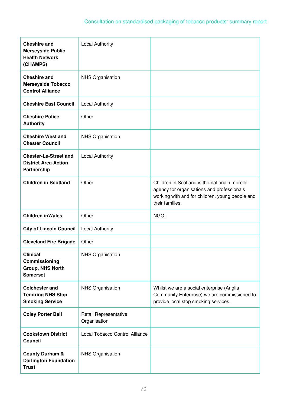| <b>Cheshire and</b><br><b>Merseyside Public</b><br><b>Health Network</b><br>(CHAMPS) | <b>Local Authority</b>                |                                                                                                                                                                   |
|--------------------------------------------------------------------------------------|---------------------------------------|-------------------------------------------------------------------------------------------------------------------------------------------------------------------|
| <b>Cheshire and</b><br><b>Merseyside Tobacco</b><br><b>Control Alliance</b>          | <b>NHS Organisation</b>               |                                                                                                                                                                   |
| <b>Cheshire East Council</b>                                                         | <b>Local Authority</b>                |                                                                                                                                                                   |
| <b>Cheshire Police</b><br><b>Authority</b>                                           | Other                                 |                                                                                                                                                                   |
| <b>Cheshire West and</b><br><b>Chester Council</b>                                   | <b>NHS Organisation</b>               |                                                                                                                                                                   |
| <b>Chester-Le-Street and</b><br><b>District Area Action</b><br>Partnership           | <b>Local Authority</b>                |                                                                                                                                                                   |
| <b>Children in Scotland</b>                                                          | Other                                 | Children in Scotland is the national umbrella<br>agency for organisations and professionals<br>working with and for children, young people and<br>their families. |
| <b>Children in Wales</b>                                                             | Other                                 | NGO.                                                                                                                                                              |
| <b>City of Lincoln Council</b>                                                       | <b>Local Authority</b>                |                                                                                                                                                                   |
| <b>Cleveland Fire Brigade</b>                                                        | Other                                 |                                                                                                                                                                   |
| <b>Clinical</b><br>Commissioning<br>Group, NHS North<br><b>Somerset</b>              | NHS Organisation                      |                                                                                                                                                                   |
| <b>Colchester and</b><br><b>Tendring NHS Stop</b><br><b>Smoking Service</b>          | <b>NHS Organisation</b>               | Whilst we are a social enterprise (Anglia<br>Community Enterprise) we are commissioned to<br>provide local stop smoking services.                                 |
| <b>Coley Porter Bell</b>                                                             | Retail Representative<br>Organisation |                                                                                                                                                                   |
| <b>Cookstown District</b><br>Council                                                 | Local Tobacco Control Alliance        |                                                                                                                                                                   |
| <b>County Durham &amp;</b><br><b>Darlington Foundation</b><br><b>Trust</b>           | <b>NHS Organisation</b>               |                                                                                                                                                                   |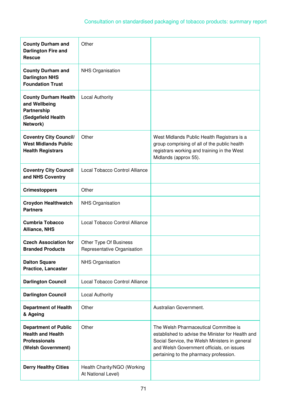| <b>County Durham and</b><br><b>Darlington Fire and</b><br><b>Rescue</b>                               | Other                                                 |                                                                                                                                                                                                                                     |
|-------------------------------------------------------------------------------------------------------|-------------------------------------------------------|-------------------------------------------------------------------------------------------------------------------------------------------------------------------------------------------------------------------------------------|
| <b>County Durham and</b><br><b>Darlington NHS</b><br><b>Foundation Trust</b>                          | <b>NHS Organisation</b>                               |                                                                                                                                                                                                                                     |
| <b>County Durham Health</b><br>and Wellbeing<br><b>Partnership</b><br>(Sedgefield Health<br>Network)  | <b>Local Authority</b>                                |                                                                                                                                                                                                                                     |
| <b>Coventry City Council/</b><br><b>West Midlands Public</b><br><b>Health Registrars</b>              | Other                                                 | West Midlands Public Health Registrars is a<br>group comprising of all of the public health<br>registrars working and training in the West<br>Midlands (approx 55).                                                                 |
| <b>Coventry City Council</b><br>and NHS Coventry                                                      | Local Tobacco Control Alliance                        |                                                                                                                                                                                                                                     |
| <b>Crimestoppers</b>                                                                                  | Other                                                 |                                                                                                                                                                                                                                     |
| <b>Croydon Healthwatch</b><br><b>Partners</b>                                                         | <b>NHS Organisation</b>                               |                                                                                                                                                                                                                                     |
| <b>Cumbria Tobacco</b><br><b>Alliance, NHS</b>                                                        | Local Tobacco Control Alliance                        |                                                                                                                                                                                                                                     |
| <b>Czech Association for</b><br><b>Branded Products</b>                                               | Other Type Of Business<br>Representative Organisation |                                                                                                                                                                                                                                     |
| <b>Dalton Square</b><br>Practice, Lancaster                                                           | NHS Organisation                                      |                                                                                                                                                                                                                                     |
| <b>Darlington Council</b>                                                                             | Local Tobacco Control Alliance                        |                                                                                                                                                                                                                                     |
| <b>Darlington Council</b>                                                                             | <b>Local Authority</b>                                |                                                                                                                                                                                                                                     |
| <b>Department of Health</b><br>& Ageing                                                               | Other                                                 | Australian Government.                                                                                                                                                                                                              |
| <b>Department of Public</b><br><b>Health and Health</b><br><b>Professionals</b><br>(Welsh Government) | Other                                                 | The Welsh Pharmaceutical Committee is<br>established to advise the Minister for Health and<br>Social Service, the Welsh Ministers in general<br>and Welsh Government officials, on issues<br>pertaining to the pharmacy profession. |
| <b>Derry Healthy Cities</b>                                                                           | Health Charity/NGO (Working<br>At National Level)     |                                                                                                                                                                                                                                     |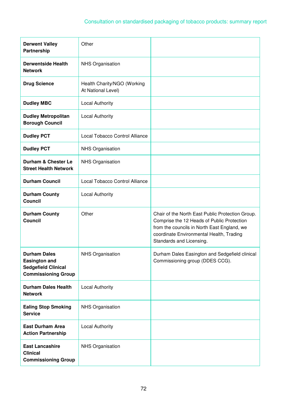| <b>Derwent Valley</b><br>Partnership                                                                    | Other                                             |                                                                                                                                                                                                                       |
|---------------------------------------------------------------------------------------------------------|---------------------------------------------------|-----------------------------------------------------------------------------------------------------------------------------------------------------------------------------------------------------------------------|
| <b>Derwentside Health</b><br><b>Network</b>                                                             | <b>NHS Organisation</b>                           |                                                                                                                                                                                                                       |
| <b>Drug Science</b>                                                                                     | Health Charity/NGO (Working<br>At National Level) |                                                                                                                                                                                                                       |
| <b>Dudley MBC</b>                                                                                       | <b>Local Authority</b>                            |                                                                                                                                                                                                                       |
| <b>Dudley Metropolitan</b><br><b>Borough Council</b>                                                    | <b>Local Authority</b>                            |                                                                                                                                                                                                                       |
| <b>Dudley PCT</b>                                                                                       | Local Tobacco Control Alliance                    |                                                                                                                                                                                                                       |
| <b>Dudley PCT</b>                                                                                       | <b>NHS Organisation</b>                           |                                                                                                                                                                                                                       |
| Durham & Chester Le<br><b>Street Health Network</b>                                                     | <b>NHS Organisation</b>                           |                                                                                                                                                                                                                       |
| <b>Durham Council</b>                                                                                   | Local Tobacco Control Alliance                    |                                                                                                                                                                                                                       |
| <b>Durham County</b><br><b>Council</b>                                                                  | <b>Local Authority</b>                            |                                                                                                                                                                                                                       |
| <b>Durham County</b><br><b>Council</b>                                                                  | Other                                             | Chair of the North East Public Protection Group.<br>Comprise the 12 Heads of Public Protection<br>from the councils in North East England, we<br>coordinate Environmental Health, Trading<br>Standards and Licensing. |
| <b>Durham Dales</b><br><b>Easington and</b><br><b>Sedgefield Clinical</b><br><b>Commissioning Group</b> | NHS Organisation                                  | Durham Dales Easington and Sedgefield clinical<br>Commissioning group (DDES CCG).                                                                                                                                     |
| <b>Durham Dales Health</b><br><b>Network</b>                                                            | <b>Local Authority</b>                            |                                                                                                                                                                                                                       |
| <b>Ealing Stop Smoking</b><br><b>Service</b>                                                            | <b>NHS Organisation</b>                           |                                                                                                                                                                                                                       |
| <b>East Durham Area</b><br><b>Action Partnership</b>                                                    | <b>Local Authority</b>                            |                                                                                                                                                                                                                       |
| <b>East Lancashire</b><br><b>Clinical</b><br><b>Commissioning Group</b>                                 | <b>NHS Organisation</b>                           |                                                                                                                                                                                                                       |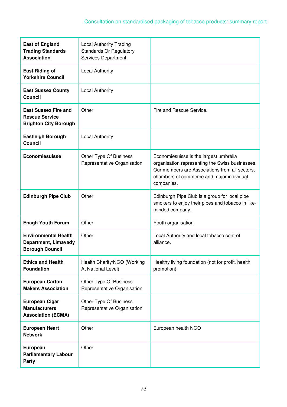| <b>East of England</b><br><b>Trading Standards</b><br><b>Association</b>             | <b>Local Authority Trading</b><br><b>Standards Or Regulatory</b><br>Services Department |                                                                                                                                                                                                        |
|--------------------------------------------------------------------------------------|-----------------------------------------------------------------------------------------|--------------------------------------------------------------------------------------------------------------------------------------------------------------------------------------------------------|
| <b>East Riding of</b><br><b>Yorkshire Council</b>                                    | <b>Local Authority</b>                                                                  |                                                                                                                                                                                                        |
| <b>East Sussex County</b><br><b>Council</b>                                          | <b>Local Authority</b>                                                                  |                                                                                                                                                                                                        |
| <b>East Sussex Fire and</b><br><b>Rescue Service</b><br><b>Brighton City Borough</b> | Other                                                                                   | Fire and Rescue Service.                                                                                                                                                                               |
| <b>Eastleigh Borough</b><br><b>Council</b>                                           | <b>Local Authority</b>                                                                  |                                                                                                                                                                                                        |
| <b>Economiesuisse</b>                                                                | Other Type Of Business<br>Representative Organisation                                   | Economiesuisse is the largest umbrella<br>organisation representing the Swiss businesses.<br>Our members are Associations from all sectors,<br>chambers of commerce and major individual<br>companies. |
| <b>Edinburgh Pipe Club</b>                                                           | Other                                                                                   | Edinburgh Pipe Club is a group for local pipe<br>smokers to enjoy their pipes and tobacco in like-<br>minded company.                                                                                  |
| <b>Enagh Youth Forum</b>                                                             | Other                                                                                   | Youth organisation.                                                                                                                                                                                    |
| <b>Environmental Health</b><br>Department, Limavady<br><b>Borough Council</b>        | Other                                                                                   | Local Authority and local tobacco control<br>alliance.                                                                                                                                                 |
| <b>Ethics and Health</b><br><b>Foundation</b>                                        | Health Charity/NGO (Working<br>At National Level)                                       | Healthy living foundation (not for profit, health<br>promotion).                                                                                                                                       |
| <b>European Carton</b><br><b>Makers Association</b>                                  | Other Type Of Business<br>Representative Organisation                                   |                                                                                                                                                                                                        |
| <b>European Cigar</b><br><b>Manufacturers</b><br><b>Association (ECMA)</b>           | Other Type Of Business<br>Representative Organisation                                   |                                                                                                                                                                                                        |
| <b>European Heart</b><br><b>Network</b>                                              | Other                                                                                   | European health NGO                                                                                                                                                                                    |
| <b>European</b><br><b>Parliamentary Labour</b><br><b>Party</b>                       | Other                                                                                   |                                                                                                                                                                                                        |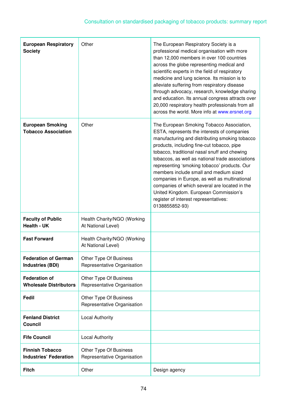| <b>European Respiratory</b><br><b>Society</b>           | Other                                                 | The European Respiratory Society is a<br>professional medical organisation with more<br>than 12,000 members in over 100 countries<br>across the globe representing medical and<br>scientific experts in the field of respiratory<br>medicine and lung science. Its mission is to<br>alleviate suffering from respiratory disease<br>through advocacy, research, knowledge sharing<br>and education. Its annual congress attracts over<br>20,000 respiratory health professionals from all<br>across the world. More info at www.ersnet.org                                                   |
|---------------------------------------------------------|-------------------------------------------------------|----------------------------------------------------------------------------------------------------------------------------------------------------------------------------------------------------------------------------------------------------------------------------------------------------------------------------------------------------------------------------------------------------------------------------------------------------------------------------------------------------------------------------------------------------------------------------------------------|
| <b>European Smoking</b><br><b>Tobacco Association</b>   | Other                                                 | The European Smoking Tobacco Association,<br>ESTA, represents the interests of companies<br>manufacturing and distributing smoking tobacco<br>products, including fine-cut tobacco, pipe<br>tobacco, traditional nasal snuff and chewing<br>tobaccos, as well as national trade associations<br>representing 'smoking tobacco' products. Our<br>members include small and medium sized<br>companies in Europe, as well as multinational<br>companies of which several are located in the<br>United Kingdom. European Commission's<br>register of interest representatives:<br>0138855852-93) |
| <b>Faculty of Public</b><br><b>Health - UK</b>          | Health Charity/NGO (Working<br>At National Level)     |                                                                                                                                                                                                                                                                                                                                                                                                                                                                                                                                                                                              |
| <b>Fast Forward</b>                                     | Health Charity/NGO (Working<br>At National Level)     |                                                                                                                                                                                                                                                                                                                                                                                                                                                                                                                                                                                              |
| <b>Federation of German</b><br><b>Industries (BDI)</b>  | Other Type Of Business<br>Representative Organisation |                                                                                                                                                                                                                                                                                                                                                                                                                                                                                                                                                                                              |
| <b>Federation of</b><br><b>Wholesale Distributors</b>   | Other Type Of Business<br>Representative Organisation |                                                                                                                                                                                                                                                                                                                                                                                                                                                                                                                                                                                              |
| Fedil                                                   | Other Type Of Business<br>Representative Organisation |                                                                                                                                                                                                                                                                                                                                                                                                                                                                                                                                                                                              |
| <b>Fenland District</b><br><b>Council</b>               | <b>Local Authority</b>                                |                                                                                                                                                                                                                                                                                                                                                                                                                                                                                                                                                                                              |
| <b>Fife Council</b>                                     | <b>Local Authority</b>                                |                                                                                                                                                                                                                                                                                                                                                                                                                                                                                                                                                                                              |
| <b>Finnish Tobacco</b><br><b>Industries' Federation</b> | Other Type Of Business<br>Representative Organisation |                                                                                                                                                                                                                                                                                                                                                                                                                                                                                                                                                                                              |
| <b>Fitch</b>                                            | Other                                                 | Design agency                                                                                                                                                                                                                                                                                                                                                                                                                                                                                                                                                                                |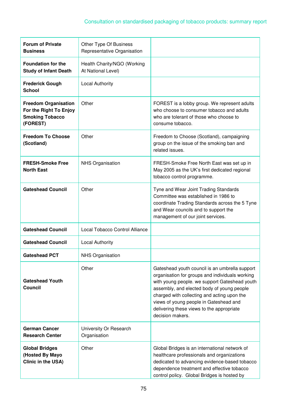| <b>Forum of Private</b><br><b>Business</b>                                                  | Other Type Of Business<br>Representative Organisation |                                                                                                                                                                                                                                                                                                                                                            |
|---------------------------------------------------------------------------------------------|-------------------------------------------------------|------------------------------------------------------------------------------------------------------------------------------------------------------------------------------------------------------------------------------------------------------------------------------------------------------------------------------------------------------------|
| <b>Foundation for the</b><br><b>Study of Infant Death</b>                                   | Health Charity/NGO (Working<br>At National Level)     |                                                                                                                                                                                                                                                                                                                                                            |
| <b>Frederick Gough</b><br><b>School</b>                                                     | <b>Local Authority</b>                                |                                                                                                                                                                                                                                                                                                                                                            |
| <b>Freedom Organisation</b><br>For the Right To Enjoy<br><b>Smoking Tobacco</b><br>(FOREST) | Other                                                 | FOREST is a lobby group. We represent adults<br>who choose to consumer tobacco and adults<br>who are tolerant of those who choose to<br>consume tobacco.                                                                                                                                                                                                   |
| <b>Freedom To Choose</b><br>(Scotland)                                                      | Other                                                 | Freedom to Choose (Scotland), campaigning<br>group on the issue of the smoking ban and<br>related issues.                                                                                                                                                                                                                                                  |
| <b>FRESH-Smoke Free</b><br><b>North East</b>                                                | <b>NHS Organisation</b>                               | FRESH-Smoke Free North East was set up in<br>May 2005 as the UK's first dedicated regional<br>tobacco control programme.                                                                                                                                                                                                                                   |
| <b>Gateshead Council</b>                                                                    | Other                                                 | Tyne and Wear Joint Trading Standards<br>Committee was established in 1986 to<br>coordinate Trading Standards across the 5 Tyne<br>and Wear councils and to support the<br>management of our joint services.                                                                                                                                               |
| <b>Gateshead Council</b>                                                                    | Local Tobacco Control Alliance                        |                                                                                                                                                                                                                                                                                                                                                            |
| <b>Gateshead Council</b>                                                                    | <b>Local Authority</b>                                |                                                                                                                                                                                                                                                                                                                                                            |
| <b>Gateshead PCT</b>                                                                        | <b>NHS Organisation</b>                               |                                                                                                                                                                                                                                                                                                                                                            |
| <b>Gateshead Youth</b><br><b>Council</b>                                                    | Other                                                 | Gateshead youth council is an umbrella support<br>organisation for groups and individuals working<br>with young people. we support Gateshead youth<br>assembly, and elected body of young people<br>charged with collecting and acting upon the<br>views of young people in Gateshead and<br>delivering these views to the appropriate<br>decision makers. |
| <b>German Cancer</b><br><b>Research Center</b>                                              | University Or Research<br>Organisation                |                                                                                                                                                                                                                                                                                                                                                            |
| <b>Global Bridges</b><br>(Hosted By Mayo<br>Clinic in the USA)                              | Other                                                 | Global Bridges is an international network of<br>healthcare professionals and organizations<br>dedicated to advancing evidence-based tobacco<br>dependence treatment and effective tobacco<br>control policy. Global Bridges is hosted by                                                                                                                  |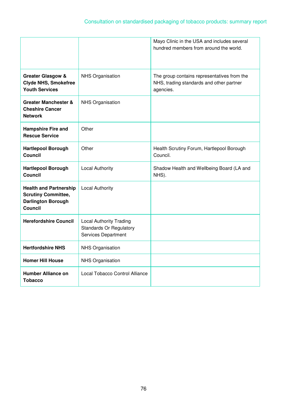|                                                                                                            |                                                                                         | Mayo Clinic in the USA and includes several<br>hundred members from around the world.                |
|------------------------------------------------------------------------------------------------------------|-----------------------------------------------------------------------------------------|------------------------------------------------------------------------------------------------------|
| <b>Greater Glasgow &amp;</b><br><b>Clyde NHS, Smokefree</b><br><b>Youth Services</b>                       | <b>NHS Organisation</b>                                                                 | The group contains representatives from the<br>NHS, trading standards and other partner<br>agencies. |
| Greater Manchester &<br><b>Cheshire Cancer</b><br><b>Network</b>                                           | <b>NHS Organisation</b>                                                                 |                                                                                                      |
| <b>Hampshire Fire and</b><br><b>Rescue Service</b>                                                         | Other                                                                                   |                                                                                                      |
| <b>Hartlepool Borough</b><br><b>Council</b>                                                                | Other                                                                                   | Health Scrutiny Forum, Hartlepool Borough<br>Council.                                                |
| <b>Hartlepool Borough</b><br><b>Council</b>                                                                | <b>Local Authority</b>                                                                  | Shadow Health and Wellbeing Board (LA and<br>NHS).                                                   |
| <b>Health and Partnership</b><br><b>Scrutiny Committee,</b><br><b>Darlington Borough</b><br><b>Council</b> | <b>Local Authority</b>                                                                  |                                                                                                      |
| <b>Herefordshire Council</b>                                                                               | <b>Local Authority Trading</b><br><b>Standards Or Regulatory</b><br>Services Department |                                                                                                      |
| <b>Hertfordshire NHS</b>                                                                                   | <b>NHS Organisation</b>                                                                 |                                                                                                      |
| <b>Homer Hill House</b>                                                                                    | <b>NHS Organisation</b>                                                                 |                                                                                                      |
| Humber Alliance on<br><b>Tobacco</b>                                                                       | Local Tobacco Control Alliance                                                          |                                                                                                      |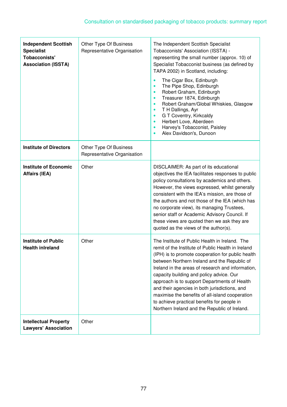| <b>Independent Scottish</b><br><b>Specialist</b><br><b>Tobacconists'</b><br><b>Association (ISSTA)</b> | Other Type Of Business<br>Representative Organisation | The Independent Scottish Specialist<br>Tobacconists' Association (ISSTA) -<br>representing the small number (approx. 10) of<br>Specialist Tobacconist business (as defined by<br>TAPA 2002) in Scotland, including:<br>The Cigar Box, Edinburgh<br>$\bullet$<br>The Pipe Shop, Edinburgh<br>$\bullet$<br>Robert Graham, Edinburgh<br>$\bullet$<br>Treasurer 1874, Edinburgh<br>$\bullet$<br>Robert Graham/Global Whiskies, Glasgow<br>$\bullet$<br>T H Dallings, Ayr<br>$\bullet$<br>G T Coventry, Kirkcaldy<br>$\bullet$<br>Herbert Love, Aberdeen<br>$\bullet$<br>Harvey's Tobacconist, Paisley<br>$\bullet$<br>Alex Davidson's, Dunoon<br>$\bullet$ |
|--------------------------------------------------------------------------------------------------------|-------------------------------------------------------|--------------------------------------------------------------------------------------------------------------------------------------------------------------------------------------------------------------------------------------------------------------------------------------------------------------------------------------------------------------------------------------------------------------------------------------------------------------------------------------------------------------------------------------------------------------------------------------------------------------------------------------------------------|
| <b>Institute of Directors</b>                                                                          | Other Type Of Business<br>Representative Organisation |                                                                                                                                                                                                                                                                                                                                                                                                                                                                                                                                                                                                                                                        |
| <b>Institute of Economic</b><br><b>Affairs (IEA)</b>                                                   | Other                                                 | DISCLAIMER: As part of its educational<br>objectives the IEA facilitates responses to public<br>policy consultations by academics and others.<br>However, the views expressed, whilst generally<br>consistent with the IEA's mission, are those of<br>the authors and not those of the IEA (which has<br>no corporate view), its managing Trustees,<br>senior staff or Academic Advisory Council. If<br>these views are quoted then we ask they are<br>quoted as the views of the author(s).                                                                                                                                                           |
| <b>Institute of Public</b><br><b>Health inlreland</b>                                                  | Other                                                 | The Institute of Public Health in Ireland. The<br>remit of the Institute of Public Health in Ireland<br>(IPH) is to promote cooperation for public health<br>between Northern Ireland and the Republic of<br>Ireland in the areas of research and information,<br>capacity building and policy advice. Our<br>approach is to support Departments of Health<br>and their agencies in both jurisdictions, and<br>maximise the benefits of all-island cooperation<br>to achieve practical benefits for people in<br>Northern Ireland and the Republic of Ireland.                                                                                         |
| <b>Intellectual Property</b><br><b>Lawyers' Association</b>                                            | Other                                                 |                                                                                                                                                                                                                                                                                                                                                                                                                                                                                                                                                                                                                                                        |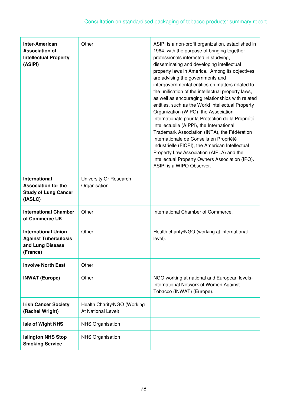| <b>Inter-American</b><br><b>Association of</b><br><b>Intellectual Property</b><br>(ASIPI)    | Other                                             | ASIPI is a non-profit organization, established in<br>1964, with the purpose of bringing together<br>professionals interested in studying,<br>disseminating and developing intellectual<br>property laws in America. Among its objectives<br>are advising the governments and<br>intergovernmental entities on matters related to<br>the unification of the intellectual property laws,<br>as well as encouraging relationships with related<br>entities, such as the World Intellectual Property<br>Organization (WIPO), the Association<br>Internationale pour la Protection de la Propriété<br>Intellectuelle (AIPPI), the International<br>Trademark Association (INTA), the Fédération<br>Internationale de Conseils en Propriété<br>Industrielle (FICPI), the American Intellectual<br>Property Law Association (AIPLA) and the<br>Intellectual Property Owners Association (IPO).<br>ASIPI is a WIPO Observer. |
|----------------------------------------------------------------------------------------------|---------------------------------------------------|-----------------------------------------------------------------------------------------------------------------------------------------------------------------------------------------------------------------------------------------------------------------------------------------------------------------------------------------------------------------------------------------------------------------------------------------------------------------------------------------------------------------------------------------------------------------------------------------------------------------------------------------------------------------------------------------------------------------------------------------------------------------------------------------------------------------------------------------------------------------------------------------------------------------------|
| <b>International</b><br><b>Association for the</b><br><b>Study of Lung Cancer</b><br>(IASLC) | University Or Research<br>Organisation            |                                                                                                                                                                                                                                                                                                                                                                                                                                                                                                                                                                                                                                                                                                                                                                                                                                                                                                                       |
| <b>International Chamber</b><br>of Commerce UK                                               | Other                                             | International Chamber of Commerce.                                                                                                                                                                                                                                                                                                                                                                                                                                                                                                                                                                                                                                                                                                                                                                                                                                                                                    |
| <b>International Union</b><br><b>Against Tuberculosis</b><br>and Lung Disease<br>(France)    | Other                                             | Health charity/NGO (working at international<br>level).                                                                                                                                                                                                                                                                                                                                                                                                                                                                                                                                                                                                                                                                                                                                                                                                                                                               |
| <b>Involve North East</b>                                                                    | Other                                             |                                                                                                                                                                                                                                                                                                                                                                                                                                                                                                                                                                                                                                                                                                                                                                                                                                                                                                                       |
| <b>INWAT (Europe)</b>                                                                        | Other                                             | NGO working at national and European levels-<br>International Network of Women Against<br>Tobacco (INWAT) (Europe).                                                                                                                                                                                                                                                                                                                                                                                                                                                                                                                                                                                                                                                                                                                                                                                                   |
| <b>Irish Cancer Society</b><br>(Rachel Wright)                                               | Health Charity/NGO (Working<br>At National Level) |                                                                                                                                                                                                                                                                                                                                                                                                                                                                                                                                                                                                                                                                                                                                                                                                                                                                                                                       |
| Isle of Wight NHS                                                                            | <b>NHS Organisation</b>                           |                                                                                                                                                                                                                                                                                                                                                                                                                                                                                                                                                                                                                                                                                                                                                                                                                                                                                                                       |
| <b>Islington NHS Stop</b><br><b>Smoking Service</b>                                          | <b>NHS Organisation</b>                           |                                                                                                                                                                                                                                                                                                                                                                                                                                                                                                                                                                                                                                                                                                                                                                                                                                                                                                                       |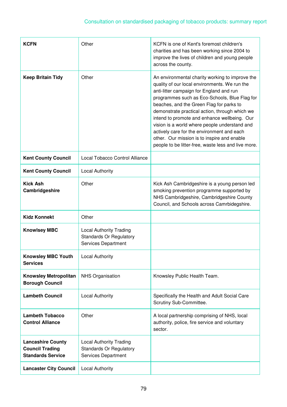| <b>KCFN</b>                                                                    | Other                                                                                          | KCFN is one of Kent's foremost children's<br>charities and has been working since 2004 to<br>improve the lives of children and young people<br>across the county.                                                                                                                                                                                                                                                                                                                                                                                |
|--------------------------------------------------------------------------------|------------------------------------------------------------------------------------------------|--------------------------------------------------------------------------------------------------------------------------------------------------------------------------------------------------------------------------------------------------------------------------------------------------------------------------------------------------------------------------------------------------------------------------------------------------------------------------------------------------------------------------------------------------|
| <b>Keep Britain Tidy</b>                                                       | Other                                                                                          | An environmental charity working to improve the<br>quality of our local environments. We run the<br>anti-litter campaign for England and run<br>programmes such as Eco-Schools, Blue Flag for<br>beaches, and the Green Flag for parks to<br>demonstrate practical action, through which we<br>intend to promote and enhance wellbeing. Our<br>vision is a world where people understand and<br>actively care for the environment and each<br>other. Our mission is to inspire and enable<br>people to be litter-free, waste less and live more. |
| <b>Kent County Council</b>                                                     | Local Tobacco Control Alliance                                                                 |                                                                                                                                                                                                                                                                                                                                                                                                                                                                                                                                                  |
| <b>Kent County Council</b>                                                     | <b>Local Authority</b>                                                                         |                                                                                                                                                                                                                                                                                                                                                                                                                                                                                                                                                  |
| <b>Kick Ash</b><br>Cambridgeshire                                              | Other                                                                                          | Kick Ash Cambridgeshire is a young person led<br>smoking prevention programme supported by<br>NHS Cambridgeshire, Cambridgeshire County<br>Council, and Schools across Camrbidegshire.                                                                                                                                                                                                                                                                                                                                                           |
| <b>Kidz Konnekt</b>                                                            | Other                                                                                          |                                                                                                                                                                                                                                                                                                                                                                                                                                                                                                                                                  |
| <b>Knowlsey MBC</b>                                                            | <b>Local Authority Trading</b><br><b>Standards Or Regulatory</b><br><b>Services Department</b> |                                                                                                                                                                                                                                                                                                                                                                                                                                                                                                                                                  |
| <b>Knowsley MBC Youth</b><br><b>Services</b>                                   | <b>Local Authority</b>                                                                         |                                                                                                                                                                                                                                                                                                                                                                                                                                                                                                                                                  |
| <b>Knowsley Metropolitan</b><br><b>Borough Council</b>                         | <b>NHS Organisation</b>                                                                        | Knowsley Public Health Team.                                                                                                                                                                                                                                                                                                                                                                                                                                                                                                                     |
| <b>Lambeth Council</b>                                                         | <b>Local Authority</b>                                                                         | Specifically the Health and Adult Social Care<br>Scrutiny Sub-Committee.                                                                                                                                                                                                                                                                                                                                                                                                                                                                         |
| <b>Lambeth Tobacco</b><br><b>Control Alliance</b>                              | Other                                                                                          | A local partnership comprising of NHS, local<br>authority, police, fire service and voluntary<br>sector.                                                                                                                                                                                                                                                                                                                                                                                                                                         |
| <b>Lancashire County</b><br><b>Council Trading</b><br><b>Standards Service</b> | <b>Local Authority Trading</b><br><b>Standards Or Regulatory</b><br>Services Department        |                                                                                                                                                                                                                                                                                                                                                                                                                                                                                                                                                  |
| <b>Lancaster City Council</b>                                                  | <b>Local Authority</b>                                                                         |                                                                                                                                                                                                                                                                                                                                                                                                                                                                                                                                                  |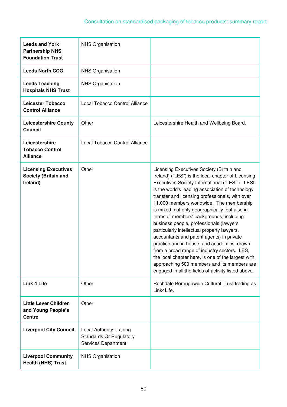| <b>Leeds and York</b><br><b>Partnership NHS</b><br><b>Foundation Trust</b> | <b>NHS Organisation</b>                                                                 |                                                                                                                                                                                                                                                                                                                                                                                                                                                                                                                                                                                                                                                                                                                                                                                                       |
|----------------------------------------------------------------------------|-----------------------------------------------------------------------------------------|-------------------------------------------------------------------------------------------------------------------------------------------------------------------------------------------------------------------------------------------------------------------------------------------------------------------------------------------------------------------------------------------------------------------------------------------------------------------------------------------------------------------------------------------------------------------------------------------------------------------------------------------------------------------------------------------------------------------------------------------------------------------------------------------------------|
| <b>Leeds North CCG</b>                                                     | <b>NHS Organisation</b>                                                                 |                                                                                                                                                                                                                                                                                                                                                                                                                                                                                                                                                                                                                                                                                                                                                                                                       |
| <b>Leeds Teaching</b><br><b>Hospitals NHS Trust</b>                        | <b>NHS Organisation</b>                                                                 |                                                                                                                                                                                                                                                                                                                                                                                                                                                                                                                                                                                                                                                                                                                                                                                                       |
| <b>Leicester Tobacco</b><br><b>Control Alliance</b>                        | Local Tobacco Control Alliance                                                          |                                                                                                                                                                                                                                                                                                                                                                                                                                                                                                                                                                                                                                                                                                                                                                                                       |
| <b>Leicestershire County</b><br>Council                                    | Other                                                                                   | Leicestershire Health and Wellbeing Board.                                                                                                                                                                                                                                                                                                                                                                                                                                                                                                                                                                                                                                                                                                                                                            |
| Leicestershire<br><b>Tobacco Control</b><br><b>Alliance</b>                | Local Tobacco Control Alliance                                                          |                                                                                                                                                                                                                                                                                                                                                                                                                                                                                                                                                                                                                                                                                                                                                                                                       |
| <b>Licensing Executives</b><br>Society (Britain and<br>Ireland)            | Other                                                                                   | Licensing Executives Society (Britain and<br>Ireland) ("LES") is the local chapter of Licensing<br>Executives Society International ("LESI"). LESI<br>is the world's leading association of technology<br>transfer and licensing professionals, with over<br>11,000 members worldwide. The membership<br>is mixed, not only geographically, but also in<br>terms of members' backgrounds, including<br>business people, professionals (lawyers<br>particularly intellectual property lawyers,<br>accountants and patent agents) in private<br>practice and in house, and academics, drawn<br>from a broad range of industry sectors. LES,<br>the local chapter here, is one of the largest with<br>approaching 500 members and its members are<br>engaged in all the fields of activity listed above. |
| <b>Link 4 Life</b>                                                         | Other                                                                                   | Rochdale Boroughwide Cultural Trust trading as<br>Link4Life.                                                                                                                                                                                                                                                                                                                                                                                                                                                                                                                                                                                                                                                                                                                                          |
| <b>Little Lever Children</b><br>and Young People's<br><b>Centre</b>        | Other                                                                                   |                                                                                                                                                                                                                                                                                                                                                                                                                                                                                                                                                                                                                                                                                                                                                                                                       |
| <b>Liverpool City Council</b>                                              | <b>Local Authority Trading</b><br><b>Standards Or Regulatory</b><br>Services Department |                                                                                                                                                                                                                                                                                                                                                                                                                                                                                                                                                                                                                                                                                                                                                                                                       |
| <b>Liverpool Community</b><br><b>Health (NHS) Trust</b>                    | <b>NHS Organisation</b>                                                                 |                                                                                                                                                                                                                                                                                                                                                                                                                                                                                                                                                                                                                                                                                                                                                                                                       |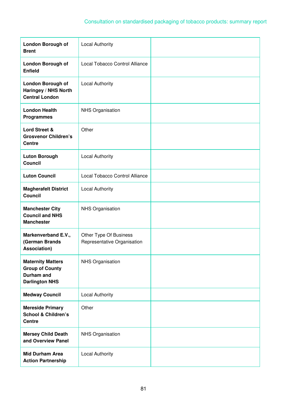| <b>London Borough of</b><br><b>Brent</b>                                                  | <b>Local Authority</b>                                |  |
|-------------------------------------------------------------------------------------------|-------------------------------------------------------|--|
| <b>London Borough of</b><br><b>Enfield</b>                                                | Local Tobacco Control Alliance                        |  |
| <b>London Borough of</b><br>Haringey / NHS North<br><b>Central London</b>                 | <b>Local Authority</b>                                |  |
| <b>London Health</b><br><b>Programmes</b>                                                 | <b>NHS Organisation</b>                               |  |
| Lord Street &<br><b>Grosvenor Children's</b><br><b>Centre</b>                             | Other                                                 |  |
| <b>Luton Borough</b><br><b>Council</b>                                                    | <b>Local Authority</b>                                |  |
| <b>Luton Council</b>                                                                      | Local Tobacco Control Alliance                        |  |
| <b>Magherafelt District</b><br><b>Council</b>                                             | <b>Local Authority</b>                                |  |
| <b>Manchester City</b><br><b>Council and NHS</b><br><b>Manchester</b>                     | <b>NHS Organisation</b>                               |  |
| Markenverband E.V.,<br>(German Brands<br>Association)                                     | Other Type Of Business<br>Representative Organisation |  |
| <b>Maternity Matters</b><br><b>Group of County</b><br>Durham and<br><b>Darlington NHS</b> | <b>NHS Organisation</b>                               |  |
| <b>Medway Council</b>                                                                     | <b>Local Authority</b>                                |  |
| <b>Mereside Primary</b><br><b>School &amp; Children's</b><br><b>Centre</b>                | Other                                                 |  |
| <b>Mersey Child Death</b><br>and Overview Panel                                           | <b>NHS Organisation</b>                               |  |
| <b>Mid Durham Area</b><br><b>Action Partnership</b>                                       | <b>Local Authority</b>                                |  |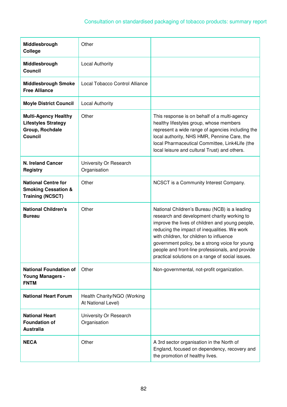| Middlesbrough<br>College                                                                       | Other                                             |                                                                                                                                                                                                                                                                                                                                                                                                       |
|------------------------------------------------------------------------------------------------|---------------------------------------------------|-------------------------------------------------------------------------------------------------------------------------------------------------------------------------------------------------------------------------------------------------------------------------------------------------------------------------------------------------------------------------------------------------------|
| Middlesbrough<br><b>Council</b>                                                                | <b>Local Authority</b>                            |                                                                                                                                                                                                                                                                                                                                                                                                       |
| <b>Middlesbrough Smoke</b><br><b>Free Alliance</b>                                             | Local Tobacco Control Alliance                    |                                                                                                                                                                                                                                                                                                                                                                                                       |
| <b>Moyle District Council</b>                                                                  | <b>Local Authority</b>                            |                                                                                                                                                                                                                                                                                                                                                                                                       |
| <b>Multi-Agency Healthy</b><br><b>Lifestyles Strategy</b><br>Group, Rochdale<br><b>Council</b> | Other                                             | This response is on behalf of a multi-agency<br>healthy lifestyles group, whose members<br>represent a wide range of agencies including the<br>local authority, NHS HMR, Pennine Care, the<br>local Pharmaceutical Committee, Link4Life (the<br>local leisure and cultural Trust) and others.                                                                                                         |
| <b>N. Ireland Cancer</b><br><b>Registry</b>                                                    | University Or Research<br>Organisation            |                                                                                                                                                                                                                                                                                                                                                                                                       |
| <b>National Centre for</b><br><b>Smoking Cessation &amp;</b><br><b>Training (NCSCT)</b>        | Other                                             | NCSCT is a Community Interest Company.                                                                                                                                                                                                                                                                                                                                                                |
| <b>National Children's</b><br><b>Bureau</b>                                                    | Other                                             | National Children's Bureau (NCB) is a leading<br>research and development charity working to<br>improve the lives of children and young people,<br>reducing the impact of inequalities. We work<br>with children, for children to influence<br>government policy, be a strong voice for young<br>people and front-line professionals, and provide<br>practical solutions on a range of social issues. |
| <b>National Foundation of</b><br><b>Young Managers -</b><br><b>FNTM</b>                        | Other                                             | Non-governmental, not-profit organization.                                                                                                                                                                                                                                                                                                                                                            |
| <b>National Heart Forum</b>                                                                    | Health Charity/NGO (Working<br>At National Level) |                                                                                                                                                                                                                                                                                                                                                                                                       |
| <b>National Heart</b><br><b>Foundation of</b><br><b>Australia</b>                              | University Or Research<br>Organisation            |                                                                                                                                                                                                                                                                                                                                                                                                       |
| <b>NECA</b>                                                                                    | Other                                             | A 3rd sector organisation in the North of<br>England, focused on dependency, recovery and<br>the promotion of healthy lives.                                                                                                                                                                                                                                                                          |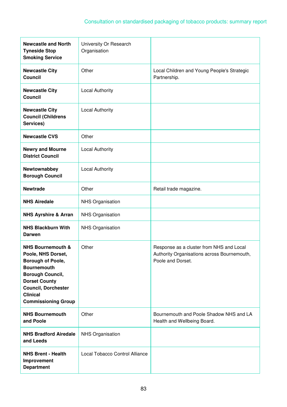| <b>Newcastle and North</b><br><b>Tyneside Stop</b><br><b>Smoking Service</b>                                                                                                                                                    | University Or Research<br>Organisation |                                                                                                              |
|---------------------------------------------------------------------------------------------------------------------------------------------------------------------------------------------------------------------------------|----------------------------------------|--------------------------------------------------------------------------------------------------------------|
| <b>Newcastle City</b><br><b>Council</b>                                                                                                                                                                                         | Other                                  | Local Children and Young People's Strategic<br>Partnership.                                                  |
| <b>Newcastle City</b><br><b>Council</b>                                                                                                                                                                                         | <b>Local Authority</b>                 |                                                                                                              |
| <b>Newcastle City</b><br><b>Council (Childrens</b><br>Services)                                                                                                                                                                 | <b>Local Authority</b>                 |                                                                                                              |
| <b>Newcastle CVS</b>                                                                                                                                                                                                            | Other                                  |                                                                                                              |
| <b>Newry and Mourne</b><br><b>District Council</b>                                                                                                                                                                              | <b>Local Authority</b>                 |                                                                                                              |
| Newtownabbey<br><b>Borough Council</b>                                                                                                                                                                                          | <b>Local Authority</b>                 |                                                                                                              |
| <b>Newtrade</b>                                                                                                                                                                                                                 | Other                                  | Retail trade magazine.                                                                                       |
| <b>NHS Airedale</b>                                                                                                                                                                                                             | <b>NHS Organisation</b>                |                                                                                                              |
| <b>NHS Ayrshire &amp; Arran</b>                                                                                                                                                                                                 | <b>NHS Organisation</b>                |                                                                                                              |
| <b>NHS Blackburn With</b><br><b>Darwen</b>                                                                                                                                                                                      | <b>NHS Organisation</b>                |                                                                                                              |
| <b>NHS Bournemouth &amp;</b><br>Poole, NHS Dorset,<br>Borough of Poole,<br><b>Bournemouth</b><br><b>Borough Council,</b><br><b>Dorset County</b><br><b>Council, Dorchester</b><br><b>Clinical</b><br><b>Commissioning Group</b> | Other                                  | Response as a cluster from NHS and Local<br>Authority Organisations across Bournemouth,<br>Poole and Dorset. |
| <b>NHS Bournemouth</b><br>and Poole                                                                                                                                                                                             | Other                                  | Bournemouth and Poole Shadow NHS and LA<br>Health and Wellbeing Board.                                       |
| <b>NHS Bradford Airedale</b><br>and Leeds                                                                                                                                                                                       | <b>NHS Organisation</b>                |                                                                                                              |
| <b>NHS Brent - Health</b><br>Improvement<br><b>Department</b>                                                                                                                                                                   | Local Tobacco Control Alliance         |                                                                                                              |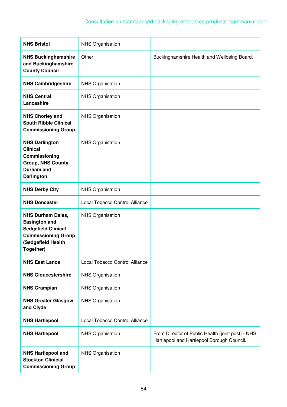| <b>NHS Bristol</b>                                                                                                                              | <b>NHS Organisation</b>        |                                                                                                 |
|-------------------------------------------------------------------------------------------------------------------------------------------------|--------------------------------|-------------------------------------------------------------------------------------------------|
| <b>NHS Buckinghamshire</b><br>and Buckinghamshire<br><b>County Council</b>                                                                      | Other                          | Buckinghamshire Health and Wellbeing Board.                                                     |
| <b>NHS Cambridgeshire</b>                                                                                                                       | <b>NHS Organisation</b>        |                                                                                                 |
| <b>NHS Central</b><br>Lancashire                                                                                                                | <b>NHS Organisation</b>        |                                                                                                 |
| <b>NHS Chorley and</b><br><b>South Ribble Clinical</b><br><b>Commissioning Group</b>                                                            | <b>NHS Organisation</b>        |                                                                                                 |
| <b>NHS Darlington</b><br><b>Clinical</b><br>Commissioning<br><b>Group, NHS County</b><br><b>Durham and</b><br><b>Darlington</b>                 | <b>NHS Organisation</b>        |                                                                                                 |
| <b>NHS Derby City</b>                                                                                                                           | NHS Organisation               |                                                                                                 |
| <b>NHS Doncaster</b>                                                                                                                            | Local Tobacco Control Alliance |                                                                                                 |
| <b>NHS Durham Dales,</b><br><b>Easington and</b><br><b>Sedgefield Clinical</b><br><b>Commissioning Group</b><br>(Sedgefield Health<br>Together) | <b>NHS Organisation</b>        |                                                                                                 |
| <b>NHS East Lancs</b>                                                                                                                           | Local Tobacco Control Alliance |                                                                                                 |
| <b>NHS Gloucestershire</b>                                                                                                                      | <b>NHS Organisation</b>        |                                                                                                 |
| <b>NHS Grampian</b>                                                                                                                             | <b>NHS Organisation</b>        |                                                                                                 |
| <b>NHS Greater Glasgow</b><br>and Clyde                                                                                                         | <b>NHS Organisation</b>        |                                                                                                 |
| <b>NHS Hartlepool</b>                                                                                                                           | Local Tobacco Control Alliance |                                                                                                 |
| <b>NHS Hartlepool</b>                                                                                                                           | <b>NHS Organisation</b>        | From Director of Public Health (joint post) - NHS<br>Hartlepool and Hartlepool Borough Council. |
| <b>NHS Hartlepool and</b><br><b>Stockton Clinicial</b><br><b>Commissioning Group</b>                                                            | <b>NHS Organisation</b>        |                                                                                                 |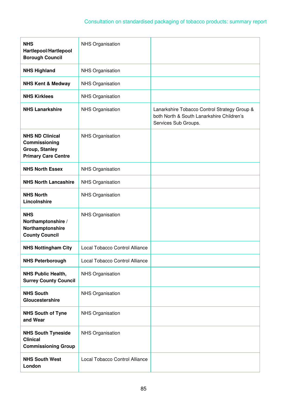| <b>NHS</b><br>Hartlepool/Hartlepool<br><b>Borough Council</b>                                  | <b>NHS Organisation</b>        |                                                                                                                   |
|------------------------------------------------------------------------------------------------|--------------------------------|-------------------------------------------------------------------------------------------------------------------|
| <b>NHS Highland</b>                                                                            | <b>NHS Organisation</b>        |                                                                                                                   |
| <b>NHS Kent &amp; Medway</b>                                                                   | <b>NHS Organisation</b>        |                                                                                                                   |
| <b>NHS Kirklees</b>                                                                            | <b>NHS Organisation</b>        |                                                                                                                   |
| <b>NHS Lanarkshire</b>                                                                         | <b>NHS Organisation</b>        | Lanarkshire Tobacco Control Strategy Group &<br>both North & South Lanarkshire Children's<br>Services Sub Groups. |
| <b>NHS ND Clinical</b><br>Commissioning<br><b>Group, Stanley</b><br><b>Primary Care Centre</b> | <b>NHS Organisation</b>        |                                                                                                                   |
| <b>NHS North Essex</b>                                                                         | <b>NHS Organisation</b>        |                                                                                                                   |
| <b>NHS North Lancashire</b>                                                                    | <b>NHS Organisation</b>        |                                                                                                                   |
| <b>NHS North</b><br>Lincolnshire                                                               | <b>NHS Organisation</b>        |                                                                                                                   |
| <b>NHS</b><br>Northamptonshire /<br>Northamptonshire<br><b>County Council</b>                  | <b>NHS Organisation</b>        |                                                                                                                   |
| <b>NHS Nottingham City</b>                                                                     | Local Tobacco Control Alliance |                                                                                                                   |
| <b>NHS Peterborough</b>                                                                        | Local Tobacco Control Alliance |                                                                                                                   |
| <b>NHS Public Health,</b><br><b>Surrey County Council</b>                                      | <b>NHS Organisation</b>        |                                                                                                                   |
| <b>NHS South</b><br>Gloucestershire                                                            | <b>NHS Organisation</b>        |                                                                                                                   |
| <b>NHS South of Tyne</b><br>and Wear                                                           | <b>NHS Organisation</b>        |                                                                                                                   |
| <b>NHS South Tyneside</b><br><b>Clinical</b><br><b>Commissioning Group</b>                     | <b>NHS Organisation</b>        |                                                                                                                   |
| <b>NHS South West</b><br>London                                                                | Local Tobacco Control Alliance |                                                                                                                   |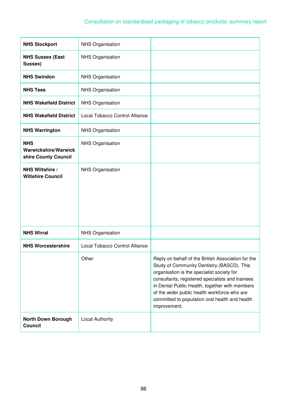| <b>NHS Stockport</b>                                       | <b>NHS Organisation</b>        |                                                                                                                                                                                                                                                                                                                                                                        |
|------------------------------------------------------------|--------------------------------|------------------------------------------------------------------------------------------------------------------------------------------------------------------------------------------------------------------------------------------------------------------------------------------------------------------------------------------------------------------------|
| <b>NHS Sussex (East</b><br>Sussex)                         | <b>NHS Organisation</b>        |                                                                                                                                                                                                                                                                                                                                                                        |
| <b>NHS Swindon</b>                                         | <b>NHS Organisation</b>        |                                                                                                                                                                                                                                                                                                                                                                        |
| <b>NHS Tees</b>                                            | <b>NHS Organisation</b>        |                                                                                                                                                                                                                                                                                                                                                                        |
| <b>NHS Wakefield District</b>                              | NHS Organisation               |                                                                                                                                                                                                                                                                                                                                                                        |
| <b>NHS Wakefield District</b>                              | Local Tobacco Control Alliance |                                                                                                                                                                                                                                                                                                                                                                        |
| <b>NHS Warrington</b>                                      | <b>NHS Organisation</b>        |                                                                                                                                                                                                                                                                                                                                                                        |
| <b>NHS</b><br>Warwickshire/Warwick<br>shire County Council | <b>NHS Organisation</b>        |                                                                                                                                                                                                                                                                                                                                                                        |
| NHS Wiltshire /<br><b>Wiltshire Council</b>                | <b>NHS Organisation</b>        |                                                                                                                                                                                                                                                                                                                                                                        |
| <b>NHS Wirral</b>                                          | NHS Organisation               |                                                                                                                                                                                                                                                                                                                                                                        |
| <b>NHS Worcestershire</b>                                  | Local Tobacco Control Alliance |                                                                                                                                                                                                                                                                                                                                                                        |
|                                                            | Other                          | Reply on behalf of the British Association for the<br>Study of Community Dentistry (BASCD). This<br>organisation is the specialist society for<br>consultants, registered specialists and trainees<br>in Dental Public Health, together with members<br>of the wider public health workforce who are<br>committed to population oral health and health<br>improvement. |
| <b>North Down Borough</b><br>Council                       | <b>Local Authority</b>         |                                                                                                                                                                                                                                                                                                                                                                        |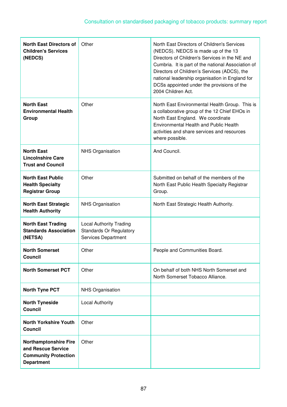| <b>North East Directors of</b><br><b>Children's Services</b><br>(NEDCS)                                | Other                                                                                   | North East Directors of Children's Services<br>(NEDCS). NEDCS is made up of the 13<br>Directors of Children's Services in the NE and<br>Cumbria. It is part of the national Association of<br>Directors of Children's Services (ADCS), the<br>national leadership organisation in England for<br>DCSs appointed under the provisions of the<br>2004 Children Act. |
|--------------------------------------------------------------------------------------------------------|-----------------------------------------------------------------------------------------|-------------------------------------------------------------------------------------------------------------------------------------------------------------------------------------------------------------------------------------------------------------------------------------------------------------------------------------------------------------------|
| <b>North East</b><br><b>Environmental Health</b><br>Group                                              | Other                                                                                   | North East Environmental Health Group. This is<br>a collaborative group of the 12 Chief EHOs in<br>North East England. We coordinate<br>Environmental Health and Public Health<br>activities and share services and resources<br>where possible.                                                                                                                  |
| <b>North East</b><br><b>Lincolnshire Care</b><br><b>Trust and Council</b>                              | <b>NHS Organisation</b>                                                                 | And Council.                                                                                                                                                                                                                                                                                                                                                      |
| <b>North East Public</b><br><b>Health Specialty</b><br><b>Registrar Group</b>                          | Other                                                                                   | Submitted on behalf of the members of the<br>North East Public Health Specialty Registrar<br>Group.                                                                                                                                                                                                                                                               |
| <b>North East Strategic</b><br><b>Health Authority</b>                                                 | <b>NHS Organisation</b>                                                                 | North East Strategic Health Authority.                                                                                                                                                                                                                                                                                                                            |
| <b>North East Trading</b><br><b>Standards Association</b><br>(NETSA)                                   | <b>Local Authority Trading</b><br><b>Standards Or Regulatory</b><br>Services Department |                                                                                                                                                                                                                                                                                                                                                                   |
| <b>North Somerset</b><br><b>Council</b>                                                                | Other                                                                                   | People and Communities Board.                                                                                                                                                                                                                                                                                                                                     |
| <b>North Somerset PCT</b>                                                                              | Other                                                                                   | On behalf of both NHS North Somerset and<br>North Somerset Tobacco Alliance.                                                                                                                                                                                                                                                                                      |
| <b>North Tyne PCT</b>                                                                                  | <b>NHS Organisation</b>                                                                 |                                                                                                                                                                                                                                                                                                                                                                   |
| <b>North Tyneside</b><br><b>Council</b>                                                                | <b>Local Authority</b>                                                                  |                                                                                                                                                                                                                                                                                                                                                                   |
| <b>North Yorkshire Youth</b><br><b>Council</b>                                                         | Other                                                                                   |                                                                                                                                                                                                                                                                                                                                                                   |
| <b>Northamptonshire Fire</b><br>and Rescue Service<br><b>Community Protection</b><br><b>Department</b> | Other                                                                                   |                                                                                                                                                                                                                                                                                                                                                                   |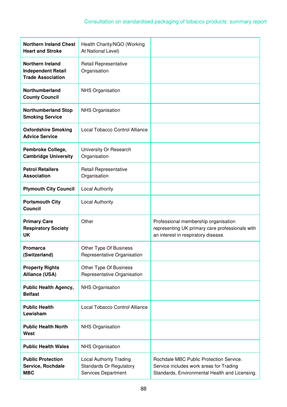| <b>Northern Ireland Chest</b><br><b>Heart and Stroke</b>                         | Health Charity/NGO (Working<br>At National Level)                                       |                                                                                                                                      |
|----------------------------------------------------------------------------------|-----------------------------------------------------------------------------------------|--------------------------------------------------------------------------------------------------------------------------------------|
| <b>Northern Ireland</b><br><b>Independent Retail</b><br><b>Trade Association</b> | Retail Representative<br>Organisation                                                   |                                                                                                                                      |
| Northumberland<br><b>County Council</b>                                          | <b>NHS Organisation</b>                                                                 |                                                                                                                                      |
| <b>Northumberland Stop</b><br><b>Smoking Service</b>                             | <b>NHS Organisation</b>                                                                 |                                                                                                                                      |
| <b>Oxfordshire Smoking</b><br><b>Advice Service</b>                              | Local Tobacco Control Alliance                                                          |                                                                                                                                      |
| Pembroke College,<br><b>Cambridge University</b>                                 | University Or Research<br>Organisation                                                  |                                                                                                                                      |
| <b>Petrol Retailers</b><br><b>Association</b>                                    | Retail Representative<br>Organisation                                                   |                                                                                                                                      |
| <b>Plymouth City Council</b>                                                     | <b>Local Authority</b>                                                                  |                                                                                                                                      |
| <b>Portsmouth City</b><br><b>Council</b>                                         | <b>Local Authority</b>                                                                  |                                                                                                                                      |
| <b>Primary Care</b><br><b>Respiratory Society</b><br><b>UK</b>                   | Other                                                                                   | Professional membership organisation<br>representing UK primary care professionals with<br>an interest in respiratory disease.       |
| <b>Promarca</b><br>(Switzerland)                                                 | Other Type Of Business<br>Representative Organisation                                   |                                                                                                                                      |
| <b>Property Rights</b><br><b>Alliance (USA)</b>                                  | Other Type Of Business<br>Representative Organisation                                   |                                                                                                                                      |
| <b>Public Health Agency,</b><br><b>Belfast</b>                                   | NHS Organisation                                                                        |                                                                                                                                      |
| <b>Public Health</b><br>Lewisham                                                 | Local Tobacco Control Alliance                                                          |                                                                                                                                      |
| <b>Public Health North</b><br>West                                               | <b>NHS Organisation</b>                                                                 |                                                                                                                                      |
| <b>Public Health Wales</b>                                                       | <b>NHS Organisation</b>                                                                 |                                                                                                                                      |
| <b>Public Protection</b><br>Service, Rochdale<br><b>MBC</b>                      | <b>Local Authority Trading</b><br><b>Standards Or Regulatory</b><br>Services Department | Rochdale MBC Public Protection Service.<br>Service includes work areas for Trading<br>Standards, Environmental Health and Licensing. |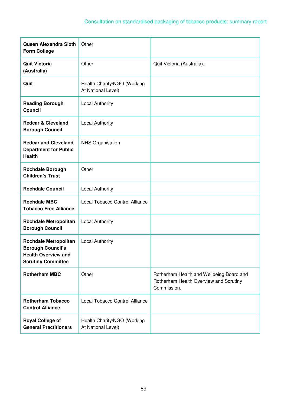| Queen Alexandra Sixth<br><b>Form College</b>                                                                        | Other                                             |                                                                                                   |
|---------------------------------------------------------------------------------------------------------------------|---------------------------------------------------|---------------------------------------------------------------------------------------------------|
| <b>Quit Victoria</b><br>(Australia)                                                                                 | Other                                             | Quit Victoria (Australia).                                                                        |
| Quit                                                                                                                | Health Charity/NGO (Working<br>At National Level) |                                                                                                   |
| <b>Reading Borough</b><br><b>Council</b>                                                                            | <b>Local Authority</b>                            |                                                                                                   |
| <b>Redcar &amp; Cleveland</b><br><b>Borough Council</b>                                                             | <b>Local Authority</b>                            |                                                                                                   |
| <b>Redcar and Cleveland</b><br><b>Department for Public</b><br><b>Health</b>                                        | <b>NHS Organisation</b>                           |                                                                                                   |
| <b>Rochdale Borough</b><br><b>Children's Trust</b>                                                                  | Other                                             |                                                                                                   |
| <b>Rochdale Council</b>                                                                                             | <b>Local Authority</b>                            |                                                                                                   |
| <b>Rochdale MBC</b><br><b>Tobacco Free Alliance</b>                                                                 | Local Tobacco Control Alliance                    |                                                                                                   |
| <b>Rochdale Metropolitan</b><br><b>Borough Council</b>                                                              | <b>Local Authority</b>                            |                                                                                                   |
| <b>Rochdale Metropolitan</b><br><b>Borough Council's</b><br><b>Health Overview and</b><br><b>Scrutiny Committee</b> | <b>Local Authority</b>                            |                                                                                                   |
| <b>Rotherham MBC</b>                                                                                                | Other                                             | Rotherham Health and Wellbeing Board and<br>Rotherham Health Overview and Scrutiny<br>Commission. |
| <b>Rotherham Tobacco</b><br><b>Control Alliance</b>                                                                 | Local Tobacco Control Alliance                    |                                                                                                   |
| <b>Royal College of</b><br><b>General Practitioners</b>                                                             | Health Charity/NGO (Working<br>At National Level) |                                                                                                   |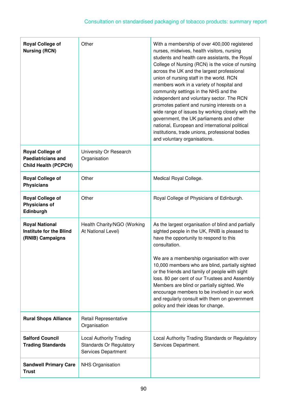| <b>Royal College of</b><br><b>Nursing (RCN)</b>                                     | Other                                                                                   | With a membership of over 400,000 registered<br>nurses, midwives, health visitors, nursing<br>students and health care assistants, the Royal<br>College of Nursing (RCN) is the voice of nursing<br>across the UK and the largest professional<br>union of nursing staff in the world. RCN<br>members work in a variety of hospital and<br>community settings in the NHS and the<br>independent and voluntary sector. The RCN<br>promotes patient and nursing interests on a<br>wide range of issues by working closely with the<br>government, the UK parliaments and other<br>national, European and international political<br>institutions, trade unions, professional bodies<br>and voluntary organisations. |
|-------------------------------------------------------------------------------------|-----------------------------------------------------------------------------------------|-------------------------------------------------------------------------------------------------------------------------------------------------------------------------------------------------------------------------------------------------------------------------------------------------------------------------------------------------------------------------------------------------------------------------------------------------------------------------------------------------------------------------------------------------------------------------------------------------------------------------------------------------------------------------------------------------------------------|
| <b>Royal College of</b><br><b>Paediatricians and</b><br><b>Child Health (PCPCH)</b> | University Or Research<br>Organisation                                                  |                                                                                                                                                                                                                                                                                                                                                                                                                                                                                                                                                                                                                                                                                                                   |
| <b>Royal College of</b><br><b>Physicians</b>                                        | Other                                                                                   | Medical Royal College.                                                                                                                                                                                                                                                                                                                                                                                                                                                                                                                                                                                                                                                                                            |
| <b>Royal College of</b><br><b>Physicians of</b><br>Edinburgh                        | Other                                                                                   | Royal College of Physicians of Edinburgh.                                                                                                                                                                                                                                                                                                                                                                                                                                                                                                                                                                                                                                                                         |
| <b>Royal National</b><br><b>Institute for the Blind</b><br>(RNIB) Campaigns         | Health Charity/NGO (Working<br>At National Level)                                       | As the largest organisation of blind and partially<br>sighted people in the UK, RNIB is pleased to<br>have the opportunity to respond to this<br>consultation.<br>We are a membership organisation with over<br>10,000 members who are blind, partially sighted<br>or the friends and family of people with sight<br>loss. 80 per cent of our Trustees and Assembly<br>Members are blind or partially sighted. We<br>encourage members to be involved in our work<br>and regularly consult with them on government<br>policy and their ideas for change.                                                                                                                                                          |
| <b>Rural Shops Alliance</b>                                                         | Retail Representative<br>Organisation                                                   |                                                                                                                                                                                                                                                                                                                                                                                                                                                                                                                                                                                                                                                                                                                   |
| <b>Salford Council</b><br><b>Trading Standards</b>                                  | <b>Local Authority Trading</b><br><b>Standards Or Regulatory</b><br>Services Department | Local Authority Trading Standards or Regulatory<br>Services Department.                                                                                                                                                                                                                                                                                                                                                                                                                                                                                                                                                                                                                                           |
| <b>Sandwell Primary Care</b><br><b>Trust</b>                                        | <b>NHS Organisation</b>                                                                 |                                                                                                                                                                                                                                                                                                                                                                                                                                                                                                                                                                                                                                                                                                                   |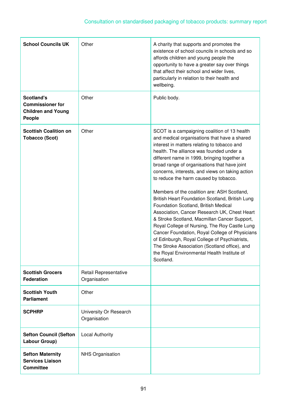| <b>School Councils UK</b>                                                           | Other                                  | A charity that supports and promotes the<br>existence of school councils in schools and so<br>affords children and young people the<br>opportunity to have a greater say over things<br>that affect their school and wider lives,<br>particularly in relation to their health and<br>wellbeing.                                                                                                                                                                                                                                                                                                                                                                                                                                                                                                                                                                                               |
|-------------------------------------------------------------------------------------|----------------------------------------|-----------------------------------------------------------------------------------------------------------------------------------------------------------------------------------------------------------------------------------------------------------------------------------------------------------------------------------------------------------------------------------------------------------------------------------------------------------------------------------------------------------------------------------------------------------------------------------------------------------------------------------------------------------------------------------------------------------------------------------------------------------------------------------------------------------------------------------------------------------------------------------------------|
| <b>Scotland's</b><br><b>Commissioner for</b><br><b>Children and Young</b><br>People | Other                                  | Public body.                                                                                                                                                                                                                                                                                                                                                                                                                                                                                                                                                                                                                                                                                                                                                                                                                                                                                  |
| <b>Scottish Coalition on</b><br><b>Tobacco (Scot)</b>                               | Other                                  | SCOT is a campaigning coalition of 13 health<br>and medical organisations that have a shared<br>interest in matters relating to tobacco and<br>health. The alliance was founded under a<br>different name in 1999, bringing together a<br>broad range of organisations that have joint<br>concerns, interests, and views on taking action<br>to reduce the harm caused by tobacco.<br>Members of the coalition are: ASH Scotland,<br>British Heart Foundation Scotland, British Lung<br>Foundation Scotland, British Medical<br>Association, Cancer Research UK, Chest Heart<br>& Stroke Scotland, Macmillan Cancer Support,<br>Royal College of Nursing, The Roy Castle Lung<br>Cancer Foundation, Royal College of Physicians<br>of Edinburgh, Royal College of Psychiatrists,<br>The Stroke Association (Scotland office), and<br>the Royal Environmental Health Institute of<br>Scotland. |
| <b>Scottish Grocers</b><br><b>Federation</b>                                        | Retail Representative<br>Organisation  |                                                                                                                                                                                                                                                                                                                                                                                                                                                                                                                                                                                                                                                                                                                                                                                                                                                                                               |
| <b>Scottish Youth</b><br><b>Parliament</b>                                          | Other                                  |                                                                                                                                                                                                                                                                                                                                                                                                                                                                                                                                                                                                                                                                                                                                                                                                                                                                                               |
| <b>SCPHRP</b>                                                                       | University Or Research<br>Organisation |                                                                                                                                                                                                                                                                                                                                                                                                                                                                                                                                                                                                                                                                                                                                                                                                                                                                                               |
| <b>Sefton Council (Sefton</b><br>Labour Group)                                      | <b>Local Authority</b>                 |                                                                                                                                                                                                                                                                                                                                                                                                                                                                                                                                                                                                                                                                                                                                                                                                                                                                                               |
| <b>Sefton Maternity</b><br><b>Services Liaison</b><br><b>Committee</b>              | <b>NHS Organisation</b>                |                                                                                                                                                                                                                                                                                                                                                                                                                                                                                                                                                                                                                                                                                                                                                                                                                                                                                               |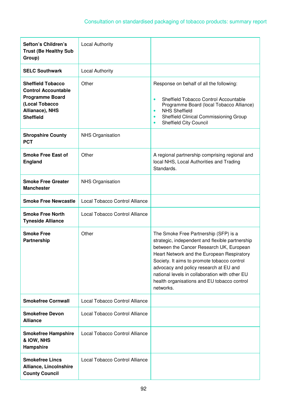| Sefton's Children's<br><b>Trust (Be Healthy Sub</b><br>Group)                                                                             | <b>Local Authority</b>         |                                                                                                                                                                                                                                                                                                                                                                                           |
|-------------------------------------------------------------------------------------------------------------------------------------------|--------------------------------|-------------------------------------------------------------------------------------------------------------------------------------------------------------------------------------------------------------------------------------------------------------------------------------------------------------------------------------------------------------------------------------------|
| <b>SELC Southwark</b>                                                                                                                     | <b>Local Authority</b>         |                                                                                                                                                                                                                                                                                                                                                                                           |
| <b>Sheffield Tobacco</b><br><b>Control Accountable</b><br><b>Programme Board</b><br>(Local Tobacco<br>Allianace), NHS<br><b>Sheffield</b> | Other                          | Response on behalf of all the following:<br>Sheffield Tobacco Control Accountable<br>$\bullet$<br>Programme Board (local Tobacco Alliance)<br><b>NHS Sheffield</b><br>$\bullet$<br>Sheffield Clinical Commissioning Group<br><b>Sheffield City Council</b>                                                                                                                                |
| <b>Shropshire County</b><br><b>PCT</b>                                                                                                    | <b>NHS Organisation</b>        |                                                                                                                                                                                                                                                                                                                                                                                           |
| <b>Smoke Free East of</b><br><b>England</b>                                                                                               | Other                          | A regional partnership comprising regional and<br>local NHS, Local Authorities and Trading<br>Standards.                                                                                                                                                                                                                                                                                  |
| <b>Smoke Free Greater</b><br><b>Manchester</b>                                                                                            | <b>NHS Organisation</b>        |                                                                                                                                                                                                                                                                                                                                                                                           |
| <b>Smoke Free Newcastle</b>                                                                                                               | Local Tobacco Control Alliance |                                                                                                                                                                                                                                                                                                                                                                                           |
| <b>Smoke Free North</b><br><b>Tyneside Alliance</b>                                                                                       | Local Tobacco Control Alliance |                                                                                                                                                                                                                                                                                                                                                                                           |
| <b>Smoke Free</b><br>Partnership                                                                                                          | Other                          | The Smoke Free Partnership (SFP) is a<br>strategic, independent and flexible partnership<br>between the Cancer Research UK, European<br>Heart Network and the European Respiratory<br>Society. It aims to promote tobacco control<br>advocacy and policy research at EU and<br>national levels in collaboration with other EU<br>health organisations and EU tobacco control<br>networks. |
| <b>Smokefree Cornwall</b>                                                                                                                 | Local Tobacco Control Alliance |                                                                                                                                                                                                                                                                                                                                                                                           |
| <b>Smokefree Devon</b><br><b>Alliance</b>                                                                                                 | Local Tobacco Control Alliance |                                                                                                                                                                                                                                                                                                                                                                                           |
| <b>Smokefree Hampshire</b><br>& IOW, NHS<br>Hampshire                                                                                     | Local Tobacco Control Alliance |                                                                                                                                                                                                                                                                                                                                                                                           |
| <b>Smokefree Lincs</b><br><b>Alliance, Lincolnshire</b><br><b>County Council</b>                                                          | Local Tobacco Control Alliance |                                                                                                                                                                                                                                                                                                                                                                                           |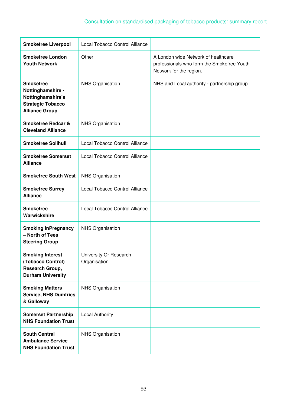| <b>Smokefree Liverpool</b>                                                                                      | Local Tobacco Control Alliance         |                                                                                                              |
|-----------------------------------------------------------------------------------------------------------------|----------------------------------------|--------------------------------------------------------------------------------------------------------------|
| <b>Smokefree London</b><br><b>Youth Network</b>                                                                 | Other                                  | A London wide Network of healthcare<br>professionals who form the Smokefree Youth<br>Network for the region. |
| <b>Smokefree</b><br>Nottinghamshire -<br>Nottinghamshire's<br><b>Strategic Tobacco</b><br><b>Alliance Group</b> | <b>NHS Organisation</b>                | NHS and Local authority - partnership group.                                                                 |
| <b>Smokefree Redcar &amp;</b><br><b>Cleveland Alliance</b>                                                      | <b>NHS Organisation</b>                |                                                                                                              |
| <b>Smokefree Solihull</b>                                                                                       | Local Tobacco Control Alliance         |                                                                                                              |
| <b>Smokefree Somerset</b><br><b>Alliance</b>                                                                    | Local Tobacco Control Alliance         |                                                                                                              |
| <b>Smokefree South West</b>                                                                                     | <b>NHS Organisation</b>                |                                                                                                              |
| <b>Smokefree Surrey</b><br><b>Alliance</b>                                                                      | Local Tobacco Control Alliance         |                                                                                                              |
| <b>Smokefree</b><br>Warwickshire                                                                                | Local Tobacco Control Alliance         |                                                                                                              |
| <b>Smoking inPregnancy</b><br>- North of Tees<br><b>Steering Group</b>                                          | <b>NHS Organisation</b>                |                                                                                                              |
| <b>Smoking Interest</b><br>(Tobacco Control)<br>Research Group,<br><b>Durham University</b>                     | University Or Research<br>Organisation |                                                                                                              |
| <b>Smoking Matters</b><br><b>Service, NHS Dumfries</b><br>& Galloway                                            | <b>NHS Organisation</b>                |                                                                                                              |
| <b>Somerset Partnership</b><br><b>NHS Foundation Trust</b>                                                      | <b>Local Authority</b>                 |                                                                                                              |
| <b>South Central</b><br><b>Ambulance Service</b><br><b>NHS Foundation Trust</b>                                 | <b>NHS Organisation</b>                |                                                                                                              |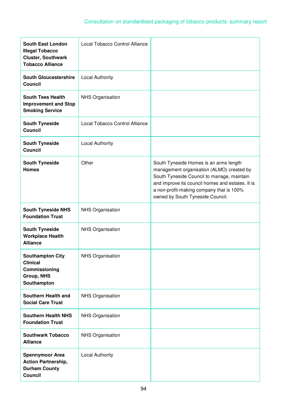| <b>South East London</b><br><b>Illegal Tobacco</b><br><b>Cluster, Southwark</b><br><b>Tobacco Alliance</b> | Local Tobacco Control Alliance |                                                                                                                                                                                                                                                                       |
|------------------------------------------------------------------------------------------------------------|--------------------------------|-----------------------------------------------------------------------------------------------------------------------------------------------------------------------------------------------------------------------------------------------------------------------|
| <b>South Gloucestershire</b><br><b>Council</b>                                                             | <b>Local Authority</b>         |                                                                                                                                                                                                                                                                       |
| <b>South Tees Health</b><br><b>Improvement and Stop</b><br><b>Smoking Service</b>                          | <b>NHS Organisation</b>        |                                                                                                                                                                                                                                                                       |
| <b>South Tyneside</b><br><b>Council</b>                                                                    | Local Tobacco Control Alliance |                                                                                                                                                                                                                                                                       |
| <b>South Tyneside</b><br><b>Council</b>                                                                    | <b>Local Authority</b>         |                                                                                                                                                                                                                                                                       |
| <b>South Tyneside</b><br><b>Homes</b>                                                                      | Other                          | South Tyneside Homes is an arms length<br>management organisation (ALMO) created by<br>South Tyneside Council to manage, maintain<br>and improve its council homes and estates. It is<br>a non-profit-making company that is 100%<br>owned by South Tyneside Council. |
| <b>South Tyneside NHS</b><br><b>Foundation Trust</b>                                                       | <b>NHS Organisation</b>        |                                                                                                                                                                                                                                                                       |
| <b>South Tyneside</b><br><b>Workplace Health</b><br><b>Alliance</b>                                        | <b>NHS Organisation</b>        |                                                                                                                                                                                                                                                                       |
| <b>Southampton City</b><br><b>Clinical</b><br>Commissioning<br><b>Group, NHS</b><br>Southampton            | NHS Organisation               |                                                                                                                                                                                                                                                                       |
| <b>Southern Health and</b><br><b>Social Care Trust</b>                                                     | <b>NHS Organisation</b>        |                                                                                                                                                                                                                                                                       |
| <b>Southern Health NHS</b><br><b>Foundation Trust</b>                                                      | <b>NHS Organisation</b>        |                                                                                                                                                                                                                                                                       |
| <b>Southwark Tobacco</b><br><b>Alliance</b>                                                                | <b>NHS Organisation</b>        |                                                                                                                                                                                                                                                                       |
| <b>Spennymoor Area</b><br><b>Action Partnership,</b><br><b>Durham County</b><br><b>Council</b>             | <b>Local Authority</b>         |                                                                                                                                                                                                                                                                       |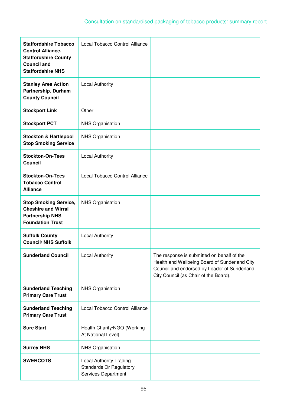| <b>Staffordshire Tobacco</b><br><b>Control Alliance,</b><br><b>Staffordshire County</b><br><b>Council and</b><br><b>Staffordshire NHS</b> | Local Tobacco Control Alliance                                                          |                                                                                                                                                                                      |
|-------------------------------------------------------------------------------------------------------------------------------------------|-----------------------------------------------------------------------------------------|--------------------------------------------------------------------------------------------------------------------------------------------------------------------------------------|
| <b>Stanley Area Action</b><br>Partnership, Durham<br><b>County Council</b>                                                                | <b>Local Authority</b>                                                                  |                                                                                                                                                                                      |
| <b>Stockport Link</b>                                                                                                                     | Other                                                                                   |                                                                                                                                                                                      |
| <b>Stockport PCT</b>                                                                                                                      | <b>NHS Organisation</b>                                                                 |                                                                                                                                                                                      |
| <b>Stockton &amp; Hartlepool</b><br><b>Stop Smoking Service</b>                                                                           | <b>NHS Organisation</b>                                                                 |                                                                                                                                                                                      |
| <b>Stockton-On-Tees</b><br><b>Council</b>                                                                                                 | <b>Local Authority</b>                                                                  |                                                                                                                                                                                      |
| <b>Stockton-On-Tees</b><br><b>Tobacco Control</b><br><b>Alliance</b>                                                                      | Local Tobacco Control Alliance                                                          |                                                                                                                                                                                      |
| <b>Stop Smoking Service,</b><br><b>Cheshire and Wirral</b><br><b>Partnership NHS</b><br><b>Foundation Trust</b>                           | <b>NHS Organisation</b>                                                                 |                                                                                                                                                                                      |
| <b>Suffolk County</b><br><b>Council/ NHS Suffolk</b>                                                                                      | <b>Local Authority</b>                                                                  |                                                                                                                                                                                      |
| <b>Sunderland Council</b>                                                                                                                 | <b>Local Authority</b>                                                                  | The response is submitted on behalf of the<br>Health and Wellbeing Board of Sunderland City<br>Council and endorsed by Leader of Sunderland<br>City Council (as Chair of the Board). |
| <b>Sunderland Teaching</b><br><b>Primary Care Trust</b>                                                                                   | NHS Organisation                                                                        |                                                                                                                                                                                      |
| <b>Sunderland Teaching</b><br><b>Primary Care Trust</b>                                                                                   | Local Tobacco Control Alliance                                                          |                                                                                                                                                                                      |
| <b>Sure Start</b>                                                                                                                         | Health Charity/NGO (Working<br>At National Level)                                       |                                                                                                                                                                                      |
| <b>Surrey NHS</b>                                                                                                                         | NHS Organisation                                                                        |                                                                                                                                                                                      |
| <b>SWERCOTS</b>                                                                                                                           | <b>Local Authority Trading</b><br><b>Standards Or Regulatory</b><br>Services Department |                                                                                                                                                                                      |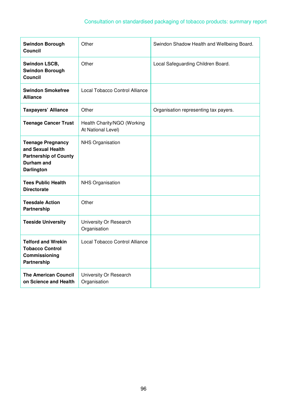| <b>Swindon Borough</b><br>Council                                                                                | Other                                             | Swindon Shadow Health and Wellbeing Board. |
|------------------------------------------------------------------------------------------------------------------|---------------------------------------------------|--------------------------------------------|
| <b>Swindon LSCB,</b><br><b>Swindon Borough</b><br>Council                                                        | Other                                             | Local Safeguarding Children Board.         |
| <b>Swindon Smokefree</b><br><b>Alliance</b>                                                                      | Local Tobacco Control Alliance                    |                                            |
| <b>Taxpayers' Alliance</b>                                                                                       | Other                                             | Organisation representing tax payers.      |
| <b>Teenage Cancer Trust</b>                                                                                      | Health Charity/NGO (Working<br>At National Level) |                                            |
| <b>Teenage Pregnancy</b><br>and Sexual Health<br><b>Partnership of County</b><br>Durham and<br><b>Darlington</b> | <b>NHS Organisation</b>                           |                                            |
| <b>Tees Public Health</b><br><b>Directorate</b>                                                                  | NHS Organisation                                  |                                            |
| <b>Teesdale Action</b><br>Partnership                                                                            | Other                                             |                                            |
| <b>Teeside University</b>                                                                                        | University Or Research<br>Organisation            |                                            |
| <b>Telford and Wrekin</b><br><b>Tobacco Control</b><br>Commissioning<br>Partnership                              | Local Tobacco Control Alliance                    |                                            |
| <b>The American Council</b><br>on Science and Health                                                             | University Or Research<br>Organisation            |                                            |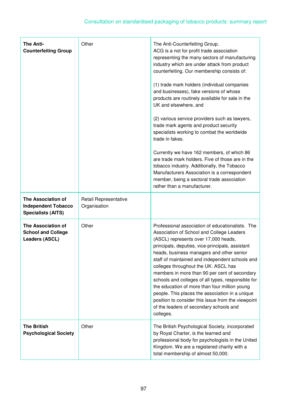| <b>The Anti-</b><br><b>Counterfeiting Group</b>                               | Other                                 | The Anti-Counterfeiting Group.<br>ACG is a not for profit trade association<br>representing the many sectors of manufacturing<br>industry which are under attack from product<br>counterfeiting. Our membership consists of:<br>(1) trade mark holders (individual companies<br>and businesses), fake versions of whose<br>products are routinely available for sale in the<br>UK and elsewhere, and<br>(2) various service providers such as lawyers,<br>trade mark agents and product security<br>specialists working to combat the worldwide<br>trade in fakes.<br>Currently we have 162 members, of which 86<br>are trade mark holders. Five of those are in the<br>tobacco industry. Additionally, the Tobacco<br>Manufacturers Association is a correspondent<br>member, being a sectoral trade association<br>rather than a manufacturer. |
|-------------------------------------------------------------------------------|---------------------------------------|--------------------------------------------------------------------------------------------------------------------------------------------------------------------------------------------------------------------------------------------------------------------------------------------------------------------------------------------------------------------------------------------------------------------------------------------------------------------------------------------------------------------------------------------------------------------------------------------------------------------------------------------------------------------------------------------------------------------------------------------------------------------------------------------------------------------------------------------------|
| The Association of<br><b>Independent Tobacco</b><br><b>Specialists (AITS)</b> | Retail Representative<br>Organisation |                                                                                                                                                                                                                                                                                                                                                                                                                                                                                                                                                                                                                                                                                                                                                                                                                                                  |
| The Association of<br><b>School and College</b><br>Leaders (ASCL)             | Other                                 | Professional association of educationalists. The<br>Association of School and College Leaders<br>(ASCL) represents over 17,000 heads,<br>principals, deputies, vice-principals, assistant<br>heads, business managers and other senior<br>staff of maintained and independent schools and<br>colleges throughout the UK. ASCL has<br>members in more than 90 per cent of secondary<br>schools and colleges of all types, responsible for<br>the education of more than four million young<br>people. This places the association in a unique<br>position to consider this issue from the viewpoint<br>of the leaders of secondary schools and<br>colleges.                                                                                                                                                                                       |
| <b>The British</b><br><b>Psychological Society</b>                            | Other                                 | The British Psychological Society, incorporated<br>by Royal Charter, is the learned and<br>professional body for psychologists in the United<br>Kingdom. We are a registered charity with a<br>total membership of almost 50,000.                                                                                                                                                                                                                                                                                                                                                                                                                                                                                                                                                                                                                |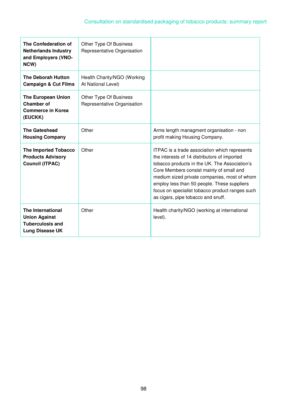| The Confederation of<br><b>Netherlands Industry</b><br>and Employers (VNO-<br>NCW)      | Other Type Of Business<br>Representative Organisation |                                                                                                                                                                                                                                                                                                                                                                                    |
|-----------------------------------------------------------------------------------------|-------------------------------------------------------|------------------------------------------------------------------------------------------------------------------------------------------------------------------------------------------------------------------------------------------------------------------------------------------------------------------------------------------------------------------------------------|
| <b>The Deborah Hutton</b><br><b>Campaign &amp; Cut Films</b>                            | Health Charity/NGO (Working<br>At National Level)     |                                                                                                                                                                                                                                                                                                                                                                                    |
| <b>The European Union</b><br><b>Chamber of</b><br><b>Commerce in Korea</b><br>(EUCKK)   | Other Type Of Business<br>Representative Organisation |                                                                                                                                                                                                                                                                                                                                                                                    |
| <b>The Gateshead</b><br><b>Housing Company</b>                                          | Other                                                 | Arms length managment organisation - non<br>profit making Housing Company.                                                                                                                                                                                                                                                                                                         |
| <b>The Imported Tobacco</b><br><b>Products Advisory</b><br><b>Council (ITPAC)</b>       | Other                                                 | ITPAC is a trade association which represents<br>the interests of 14 distributors of imported<br>tobacco products in the UK. The Association's<br>Core Members consist mainly of small and<br>medium sized private companies, most of whom<br>employ less than 50 people. These suppliers<br>focus on specialist tobacco product ranges such<br>as cigars, pipe tobacco and snuff. |
| The International<br><b>Union Against</b><br><b>Tuberculosis and</b><br>Lung Disease UK | Other                                                 | Health charity/NGO (working at international<br>level).                                                                                                                                                                                                                                                                                                                            |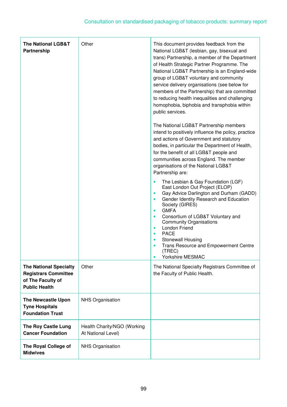| <b>The National LGB&amp;T</b><br>Partnership                                                              | Other                                             | This document provides feedback from the<br>National LGB&T (lesbian, gay, bisexual and<br>trans) Partnership, a member of the Department<br>of Health Strategic Partner Programme. The<br>National LGB&T Partnership is an England-wide<br>group of LGB&T voluntary and community<br>service delivery organisations (see below for<br>members of the Partnership) that are committed<br>to reducing health inequalities and challenging<br>homophobia, biphobia and transphobia within<br>public services.<br>The National LGB&T Partnership members<br>intend to positively influence the policy, practice<br>and actions of Government and statutory<br>bodies, in particular the Department of Health,<br>for the benefit of all LGB&T people and<br>communities across England. The member<br>organisations of the National LGB&T<br>Partnership are:<br>The Lesbian & Gay Foundation (LGF)<br>East London Out Project (ELOP)<br>Gay Advice Darlington and Durham (GADD)<br>$\bullet$ |
|-----------------------------------------------------------------------------------------------------------|---------------------------------------------------|-------------------------------------------------------------------------------------------------------------------------------------------------------------------------------------------------------------------------------------------------------------------------------------------------------------------------------------------------------------------------------------------------------------------------------------------------------------------------------------------------------------------------------------------------------------------------------------------------------------------------------------------------------------------------------------------------------------------------------------------------------------------------------------------------------------------------------------------------------------------------------------------------------------------------------------------------------------------------------------------|
|                                                                                                           |                                                   | Gender Identity Research and Education<br>Society (GIRES)<br><b>GMFA</b><br>$\bullet$<br>Consortium of LGB&T Voluntary and<br><b>Community Organisations</b><br><b>London Friend</b><br>$\bullet$<br><b>PACE</b><br>Stonewall Housing<br><b>Trans Resource and Empowerment Centre</b><br>(TREC)<br>Yorkshire MESMAC<br>$\bullet$                                                                                                                                                                                                                                                                                                                                                                                                                                                                                                                                                                                                                                                          |
| <b>The National Specialty</b><br><b>Registrars Committee</b><br>of The Faculty of<br><b>Public Health</b> | Other                                             | The National Specialty Registrars Committee of<br>the Faculty of Public Health.                                                                                                                                                                                                                                                                                                                                                                                                                                                                                                                                                                                                                                                                                                                                                                                                                                                                                                           |
| <b>The Newcastle Upon</b><br><b>Tyne Hospitals</b><br><b>Foundation Trust</b>                             | <b>NHS Organisation</b>                           |                                                                                                                                                                                                                                                                                                                                                                                                                                                                                                                                                                                                                                                                                                                                                                                                                                                                                                                                                                                           |
| <b>The Roy Castle Lung</b><br><b>Cancer Foundation</b>                                                    | Health Charity/NGO (Working<br>At National Level) |                                                                                                                                                                                                                                                                                                                                                                                                                                                                                                                                                                                                                                                                                                                                                                                                                                                                                                                                                                                           |
| The Royal College of<br><b>Midwives</b>                                                                   | <b>NHS Organisation</b>                           |                                                                                                                                                                                                                                                                                                                                                                                                                                                                                                                                                                                                                                                                                                                                                                                                                                                                                                                                                                                           |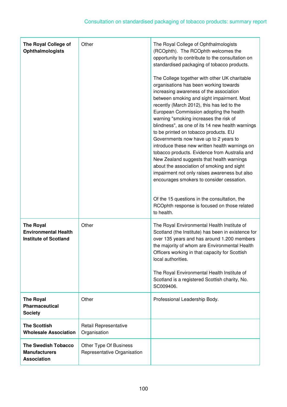| The Royal College of<br><b>Ophthalmologists</b>                                 | Other                                                 | The Royal College of Ophthalmologists<br>(RCOphth). The RCOphth welcomes the<br>opportunity to contribute to the consultation on<br>standardised packaging of tobacco products.<br>The College together with other UK charitable<br>organisations has been working towards<br>increasing awareness of the association<br>between smoking and sight impairment. Most<br>recently (March 2012), this has led to the<br>European Commission adopting the health<br>warning "smoking increases the risk of<br>blindness", as one of its 14 new health warnings<br>to be printed on tobacco products. EU<br>Governments now have up to 2 years to<br>introduce these new written health warnings on<br>tobacco products. Evidence from Australia and<br>New Zealand suggests that health warnings<br>about the association of smoking and sight<br>impairment not only raises awareness but also<br>encourages smokers to consider cessation.<br>Of the 15 questions in the consultation, the<br>RCOphth response is focused on those related<br>to health. |
|---------------------------------------------------------------------------------|-------------------------------------------------------|--------------------------------------------------------------------------------------------------------------------------------------------------------------------------------------------------------------------------------------------------------------------------------------------------------------------------------------------------------------------------------------------------------------------------------------------------------------------------------------------------------------------------------------------------------------------------------------------------------------------------------------------------------------------------------------------------------------------------------------------------------------------------------------------------------------------------------------------------------------------------------------------------------------------------------------------------------------------------------------------------------------------------------------------------------|
| <b>The Royal</b><br><b>Environmental Health</b><br><b>Institute of Scotland</b> | Other                                                 | The Royal Environmental Health Institute of<br>Scotland (the Institute) has been in existence for<br>over 135 years and has around 1.200 members<br>the majority of whom are Environmental Health<br>Officers working in that capacity for Scottish<br>local authorities.<br>The Royal Environmental Health Institute of<br>Scotland is a registered Scottish charity, No.<br>SC009406.                                                                                                                                                                                                                                                                                                                                                                                                                                                                                                                                                                                                                                                                |
| <b>The Royal</b><br><b>Pharmaceutical</b><br><b>Society</b>                     | Other                                                 | Professional Leadership Body.                                                                                                                                                                                                                                                                                                                                                                                                                                                                                                                                                                                                                                                                                                                                                                                                                                                                                                                                                                                                                          |
| <b>The Scottish</b><br><b>Wholesale Association</b>                             | Retail Representative<br>Organisation                 |                                                                                                                                                                                                                                                                                                                                                                                                                                                                                                                                                                                                                                                                                                                                                                                                                                                                                                                                                                                                                                                        |
| <b>The Swedish Tobacco</b><br><b>Manufacturers</b><br><b>Association</b>        | Other Type Of Business<br>Representative Organisation |                                                                                                                                                                                                                                                                                                                                                                                                                                                                                                                                                                                                                                                                                                                                                                                                                                                                                                                                                                                                                                                        |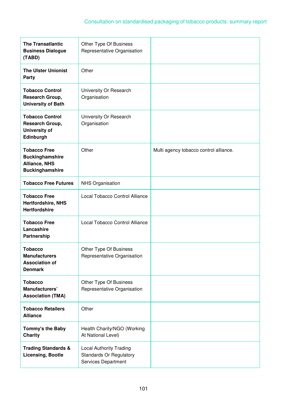| <b>The Transatlantic</b><br><b>Business Dialogue</b><br>(TABD)                                  | Other Type Of Business<br>Representative Organisation                                   |                                        |
|-------------------------------------------------------------------------------------------------|-----------------------------------------------------------------------------------------|----------------------------------------|
| <b>The Ulster Unionist</b><br>Party                                                             | Other                                                                                   |                                        |
| <b>Tobacco Control</b><br>Research Group,<br><b>University of Bath</b>                          | University Or Research<br>Organisation                                                  |                                        |
| <b>Tobacco Control</b><br>Research Group,<br><b>University of</b><br>Edinburgh                  | University Or Research<br>Organisation                                                  |                                        |
| <b>Tobacco Free</b><br><b>Buckinghamshire</b><br><b>Alliance, NHS</b><br><b>Buckinghamshire</b> | Other                                                                                   | Multi agency tobacco control alliance. |
| <b>Tobacco Free Futures</b>                                                                     | <b>NHS Organisation</b>                                                                 |                                        |
| <b>Tobacco Free</b><br><b>Hertfordshire, NHS</b><br><b>Hertfordshire</b>                        | Local Tobacco Control Alliance                                                          |                                        |
| <b>Tobacco Free</b><br>Lancashire<br>Partnership                                                | Local Tobacco Control Alliance                                                          |                                        |
| <b>Tobacco</b><br><b>Manufacturers</b><br><b>Association of</b><br><b>Denmark</b>               | Other Type Of Business<br>Representative Organisation                                   |                                        |
| <b>Tobacco</b><br>Manufacturers'<br><b>Association (TMA)</b>                                    | Other Type Of Business<br>Representative Organisation                                   |                                        |
| <b>Tobacco Retailers</b><br><b>Alliance</b>                                                     | Other                                                                                   |                                        |
| Tommy's the Baby<br><b>Charity</b>                                                              | Health Charity/NGO (Working<br>At National Level)                                       |                                        |
| <b>Trading Standards &amp;</b><br><b>Licensing, Bootle</b>                                      | <b>Local Authority Trading</b><br><b>Standards Or Regulatory</b><br>Services Department |                                        |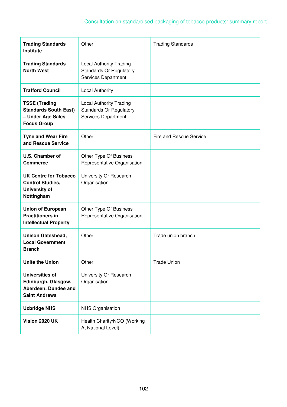| <b>Trading Standards</b><br><b>Institute</b>                                                    | Other                                                                                   | <b>Trading Standards</b>       |
|-------------------------------------------------------------------------------------------------|-----------------------------------------------------------------------------------------|--------------------------------|
| <b>Trading Standards</b><br><b>North West</b>                                                   | <b>Local Authority Trading</b><br><b>Standards Or Regulatory</b><br>Services Department |                                |
| <b>Trafford Council</b>                                                                         | <b>Local Authority</b>                                                                  |                                |
| <b>TSSE (Trading</b><br><b>Standards South East)</b><br>- Under Age Sales<br><b>Focus Group</b> | <b>Local Authority Trading</b><br><b>Standards Or Regulatory</b><br>Services Department |                                |
| <b>Tyne and Wear Fire</b><br>and Rescue Service                                                 | Other                                                                                   | <b>Fire and Rescue Service</b> |
| <b>U.S. Chamber of</b><br><b>Commerce</b>                                                       | Other Type Of Business<br>Representative Organisation                                   |                                |
| UK Centre for Tobacco<br><b>Control Studies,</b><br><b>University of</b><br>Nottingham          | University Or Research<br>Organisation                                                  |                                |
| <b>Union of European</b><br><b>Practitioners in</b><br><b>Intellectual Property</b>             | Other Type Of Business<br>Representative Organisation                                   |                                |
| <b>Unison Gateshead,</b><br><b>Local Government</b><br><b>Branch</b>                            | Other                                                                                   | Trade union branch             |
| <b>Unite the Union</b>                                                                          | Other                                                                                   | <b>Trade Union</b>             |
| <b>Universities of</b><br>Edinburgh, Glasgow,<br>Aberdeen, Dundee and<br><b>Saint Andrews</b>   | University Or Research<br>Organisation                                                  |                                |
| <b>Uxbridge NHS</b>                                                                             | <b>NHS Organisation</b>                                                                 |                                |
| Vision 2020 UK                                                                                  | Health Charity/NGO (Working<br>At National Level)                                       |                                |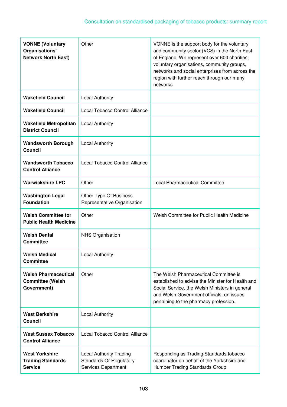| <b>VONNE (Voluntary</b><br>Organisations'<br><b>Network North East)</b> | Other                                                                            | VONNE is the support body for the voluntary<br>and community sector (VCS) in the North East<br>of England. We represent over 600 charities,<br>voluntary organisations, community groups,<br>networks and social enterprises from across the<br>region with further reach through our many<br>networks. |
|-------------------------------------------------------------------------|----------------------------------------------------------------------------------|---------------------------------------------------------------------------------------------------------------------------------------------------------------------------------------------------------------------------------------------------------------------------------------------------------|
| <b>Wakefield Council</b>                                                | <b>Local Authority</b>                                                           |                                                                                                                                                                                                                                                                                                         |
| <b>Wakefield Council</b>                                                | Local Tobacco Control Alliance                                                   |                                                                                                                                                                                                                                                                                                         |
| <b>Wakefield Metropolitan</b><br><b>District Council</b>                | <b>Local Authority</b>                                                           |                                                                                                                                                                                                                                                                                                         |
| <b>Wandsworth Borough</b><br><b>Council</b>                             | <b>Local Authority</b>                                                           |                                                                                                                                                                                                                                                                                                         |
| <b>Wandsworth Tobacco</b><br><b>Control Alliance</b>                    | Local Tobacco Control Alliance                                                   |                                                                                                                                                                                                                                                                                                         |
| <b>Warwickshire LPC</b>                                                 | Other                                                                            | <b>Local Pharmaceutical Committee</b>                                                                                                                                                                                                                                                                   |
| <b>Washington Legal</b><br><b>Foundation</b>                            | Other Type Of Business<br>Representative Organisation                            |                                                                                                                                                                                                                                                                                                         |
| <b>Welsh Committee for</b><br><b>Public Health Medicine</b>             | Other                                                                            | Welsh Committee for Public Health Medicine                                                                                                                                                                                                                                                              |
| <b>Welsh Dental</b><br><b>Committee</b>                                 | <b>NHS Organisation</b>                                                          |                                                                                                                                                                                                                                                                                                         |
| <b>Welsh Medical</b><br><b>Committee</b>                                | <b>Local Authority</b>                                                           |                                                                                                                                                                                                                                                                                                         |
| <b>Welsh Pharmaceutical</b><br><b>Committee (Welsh</b><br>Government)   | Other                                                                            | The Welsh Pharmaceutical Committee is<br>established to advise the Minister for Health and<br>Social Service, the Welsh Ministers in general<br>and Welsh Government officials, on issues<br>pertaining to the pharmacy profession.                                                                     |
| <b>West Berkshire</b><br><b>Council</b>                                 | <b>Local Authority</b>                                                           |                                                                                                                                                                                                                                                                                                         |
| <b>West Sussex Tobacco</b><br><b>Control Alliance</b>                   | Local Tobacco Control Alliance                                                   |                                                                                                                                                                                                                                                                                                         |
| <b>West Yorkshire</b><br><b>Trading Standards</b><br><b>Service</b>     | Local Authority Trading<br><b>Standards Or Regulatory</b><br>Services Department | Responding as Trading Standards tobacco<br>coordinator on behalf of the Yorkshsire and<br>Humber Trading Standards Group                                                                                                                                                                                |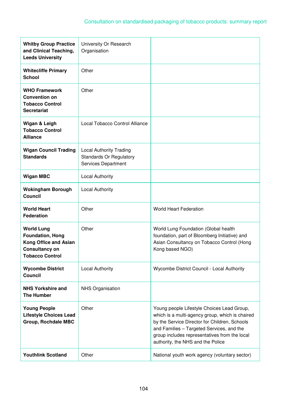| <b>Whitby Group Practice</b><br>and Clinical Teaching,<br><b>Leeds University</b>                                               | University Or Research<br>Organisation                                                  |                                                                                                                                                                                                                                                                                   |
|---------------------------------------------------------------------------------------------------------------------------------|-----------------------------------------------------------------------------------------|-----------------------------------------------------------------------------------------------------------------------------------------------------------------------------------------------------------------------------------------------------------------------------------|
| <b>Whitecliffe Primary</b><br><b>School</b>                                                                                     | Other                                                                                   |                                                                                                                                                                                                                                                                                   |
| <b>WHO Framework</b><br><b>Convention on</b><br><b>Tobacco Control</b><br><b>Secretariat</b>                                    | Other                                                                                   |                                                                                                                                                                                                                                                                                   |
| Wigan & Leigh<br><b>Tobacco Control</b><br><b>Alliance</b>                                                                      | Local Tobacco Control Alliance                                                          |                                                                                                                                                                                                                                                                                   |
| <b>Wigan Council Trading</b><br><b>Standards</b>                                                                                | <b>Local Authority Trading</b><br><b>Standards Or Regulatory</b><br>Services Department |                                                                                                                                                                                                                                                                                   |
| <b>Wigan MBC</b>                                                                                                                | <b>Local Authority</b>                                                                  |                                                                                                                                                                                                                                                                                   |
| <b>Wokingham Borough</b><br><b>Council</b>                                                                                      | <b>Local Authority</b>                                                                  |                                                                                                                                                                                                                                                                                   |
| <b>World Heart</b><br><b>Federation</b>                                                                                         | Other                                                                                   | <b>World Heart Federation</b>                                                                                                                                                                                                                                                     |
| <b>World Lung</b><br><b>Foundation, Hong</b><br><b>Kong Office and Asian</b><br><b>Consultancy on</b><br><b>Tobacco Control</b> | Other                                                                                   | World Lung Foundation (Global health<br>foundation, part of Bloomberg Initiative) and<br>Asian Consultancy on Tobacco Control (Hong<br>Kong based NGO)                                                                                                                            |
| <b>Wycombe District</b><br><b>Council</b>                                                                                       | <b>Local Authority</b>                                                                  | Wycombe District Council - Local Authority                                                                                                                                                                                                                                        |
| <b>NHS Yorkshire and</b><br><b>The Humber</b>                                                                                   | <b>NHS Organisation</b>                                                                 |                                                                                                                                                                                                                                                                                   |
| <b>Young People</b><br><b>Lifestyle Choices Lead</b><br><b>Group, Rochdale MBC</b>                                              | Other                                                                                   | Young people Lifestyle Choices Lead Group,<br>which is a multi-agency group, which is chaired<br>by the Service Director for Children, Schools<br>and Families - Targeted Services, and the<br>group includes representatives from the local<br>authority, the NHS and the Police |
| <b>Youthlink Scotland</b>                                                                                                       | Other                                                                                   | National youth work agency (voluntary sector)                                                                                                                                                                                                                                     |